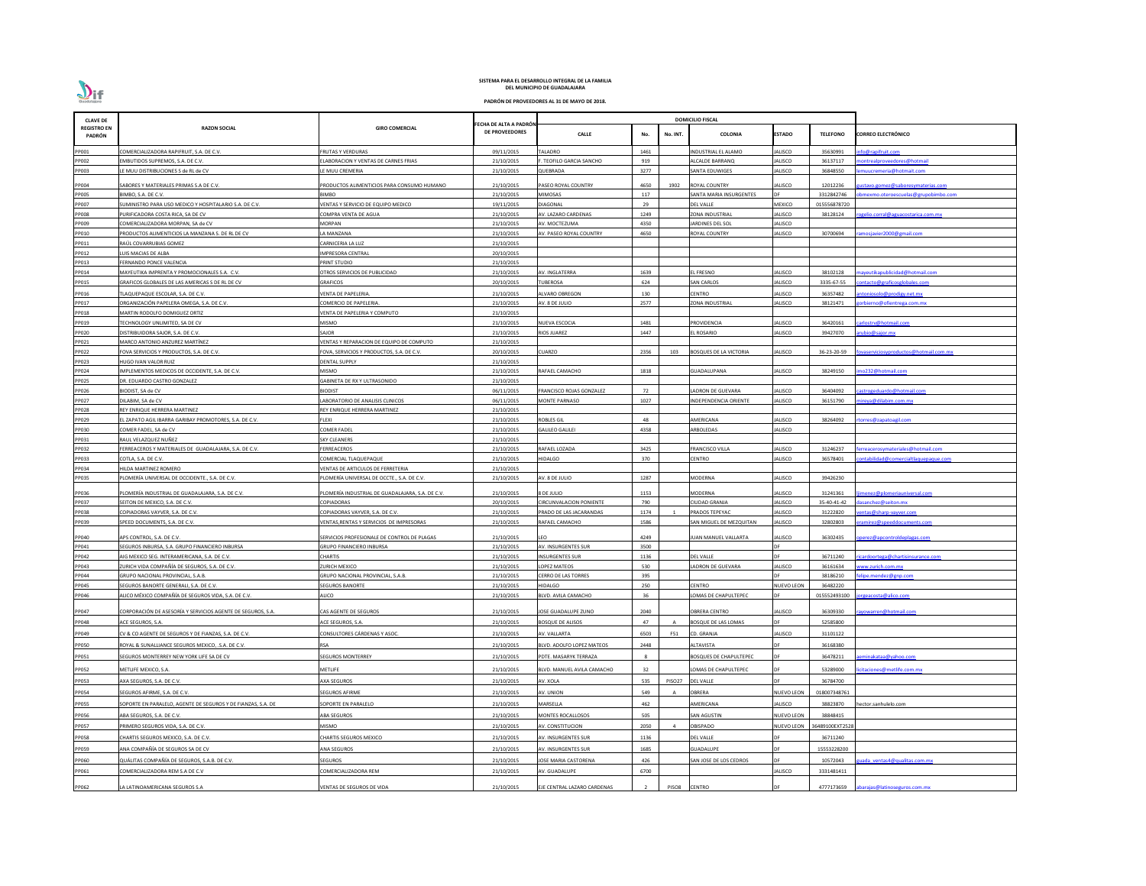| <b>CLAVE DE</b>              |                                                              |                                                  |                                         |                                |      |                | <b>DOMICILIO FISCAL</b>       |                   |                 |                                          |
|------------------------------|--------------------------------------------------------------|--------------------------------------------------|-----------------------------------------|--------------------------------|------|----------------|-------------------------------|-------------------|-----------------|------------------------------------------|
| <b>REGISTRO EN</b><br>PADRÓN | <b>RAZON SOCIAL</b>                                          | <b>GIRO COMERCIAL</b>                            | ECHA DE ALTA A PADRÓN<br>DE PROVEEDORES | <b>CALLE</b>                   | No.  | No. INT.       | <b>COLONIA</b>                | <b>ESTADO</b>     | <b>TELEFONO</b> | <b>CORREO ELECTRÓNICO</b>                |
| PP001                        | COMERCIALIZADORA RAPIFRUIT, S.A. DE C.V.                     | <b>FRUTAS Y VERDURAS</b>                         | 09/11/2015                              | <b>TALADRO</b>                 | 1461 |                | <b>INDUSTRIAL EL ALAMO</b>    | <b>JALISCO</b>    | 35630991        | fo@rapifruit.com                         |
| PP002                        | EMBUTIDOS SUPREMOS, S.A. DE C.V.                             | LABORACION Y VENTAS DE CARNES FRIAS              | 21/10/2015                              | . TEOFILO GARCIA SANCHO        | 919  |                | ALCALDE BARRANQ               | <b>JALISCO</b>    | 36137117        | ontrealproveedores@hotmail               |
| PP003                        | LE MUU DISTRIBUCIONES S de RL de CV                          | E MUU CREMERIA                                   | 21/10/2015                              | <b>QUEBRADA</b>                | 3277 |                | SANTA EDUWIGES                | <b>JALISCO</b>    | 36848550        | nuucremeria@hotmait.com                  |
| PP004                        | SABORES Y MATERIALES PRIMAS S.A DE C.V.                      | PRODUCTOS ALIMENTICIOS PARA CONSUMO HUMANO       | 21/10/2015                              | PASEO ROYAL COUNTRY            | 4650 | 1902           | <b>ROYAL COUNTRY</b>          | <b>JALISCO</b>    | 12012236        | <u>istavo.gomez@saboresymaterias.com</u> |
| <b>PP005</b>                 | BIMBO, S.A. DE C.V.                                          | BIMBO                                            | 21/10/2015                              | <b>MIMOSAS</b>                 | 117  |                | SANTA MARIA INSURGENTES       |                   | 3312842746      | mexmo.oteroescuelas@grupobimbo.com       |
| PP007                        | SUMINISTRO PARA USO MEDICO Y HOSPITALARIO S.A. DE C.V.       | VENTAS Y SERVICIO DE EQUIPO MEDICO               | 19/11/2015                              | <b>DIAGONAL</b>                | 29   |                | <b>DEL VALLE</b>              | MEXICO            | 015556878720    |                                          |
| <b>PP008</b>                 | PURIFICADORA COSTA RICA, SA DE CV                            | COMPRA VENTA DE AGUA                             | 21/10/2015                              | AV. LAZARO CARDENAS            | 1249 |                | ZONA INDUSTRIAL               | JALISCO           | 38128124        | gelio.corral@aguacostarica.com.mx        |
| PP009                        | COMERCIALIZADORA MORPAN, SA de CV                            | MORPAN                                           | 21/10/2015                              | AV. MOCTEZUMA                  | 4350 |                | ARDINES DEL SOL               | JALISCO           |                 |                                          |
| PP010                        | RODUCTOS ALIMENTICIOS LA MANZANA S. DE RL DE CV              | A MANZANA                                        | 21/10/2015                              | AV. PASEO ROYAL COUNTRY        | 4650 |                | <b>ROYAL COUNTRY</b>          | JALISCO           | 30700694        | mosjavier2000@gmail.com                  |
| PP011                        | RAÚL COVARRUBIAS GOMEZ                                       | CARNICERIA LA LUZ                                | 21/10/2015                              |                                |      |                |                               |                   |                 |                                          |
| PP012                        | UIS MACIAS DE ALBA                                           | <b>MPRESORA CENTRAL</b>                          | 20/10/2015                              |                                |      |                |                               |                   |                 |                                          |
| PP013                        | FERNANDO PONCE VALENCIA                                      | PRINT STUDIO                                     | 21/10/2015                              |                                |      |                |                               |                   |                 |                                          |
| PP014                        | MAYEUTIKA IMPRENTA Y PROMOCIONALES S.A. C.V.                 | <b>DTROS SERVICIOS DE PUBLICIDAD</b>             | 21/10/2015                              | AV. INGLATERRA                 | 1639 |                | <b>L FRESNO</b>               | JALISCO           | 38102128        | ayeutikapublicidad@hotmail.com           |
| PP015                        | GRAFICOS GLOBALES DE LAS AMERICAS S DE RL DE CV              | GRAFICOS                                         | 20/10/2015                              | TUBEROSA                       | 624  |                | SAN CARLOS                    | JALISCO           | 3335-67-55      | ntacto@graficosglobales.com              |
| PP016                        | TLAQUEPAQUE ESCOLAR, S.A. DE C.V.                            | VENTA DE PAPELERIA.                              | 21/10/2015                              | <b>ALVARO OBREGON</b>          | 130  |                | CENTRO                        | <b>JALISCO</b>    | 36357482        | toniosolo@prodigy.net.mx                 |
| PP017                        | ORGANIZACIÓN PAPELERA OMEGA, S.A. DE C.V.                    | COMERCIO DE PAPELERIA.                           | 21/10/2015                              | AV. 8 DE JULIO                 | 2577 |                | ZONA INDUSTRIAL               | ALISCO            | 38121471        | vrbierno@ofientrega.com.mx               |
| PP018                        | MARTIN RODOLFO DOMIGUEZ ORTIZ                                | VENTA DE PAPELERIA Y COMPUTO                     | 21/10/2015                              |                                |      |                |                               |                   |                 |                                          |
| PP019                        | TECHNOLOGY UNLIMITED, SA DE CV                               | MISMO                                            | 21/10/2015                              | <b>NUEVA ESCOCIA</b>           | 1481 |                | PROVIDENCIA                   | <b>JALISCO</b>    | 36420161        | arlostrv@hotmail.com                     |
| PP020                        | DISTRIBUIDORA SAJOR, S.A. DE C.V.                            | SAJOR                                            | 21/10/2015                              | <b>RIOS JUAREZ</b>             | 1447 |                | L ROSARIO                     | ALISCO            | 39427070        | ubio@sajor.mx                            |
| PP021                        | MARCO ANTONIO ANZUREZ MARTÍNEZ                               | VENTAS Y REPARACION DE EQUIPO DE COMPUTO         | 21/10/2015                              |                                |      |                |                               |                   |                 |                                          |
| PP022                        | FOVA SERVICIOS Y PRODUCTOS, S.A. DE C.V.                     | FOVA, SERVICIOS Y PRODUCTOS, S.A. DE C.V.        | 20/10/2015                              | <b>CUARZO</b>                  | 2356 | 103            | <b>BOSQUES DE LA VICTORIA</b> | <b>JALISCO</b>    | 36-23-20-59     | vaserviciosyproductos@hotmail.com.mx     |
| PP023                        | <b>HUGO IVAN VALOR RUIZ</b>                                  | <b>DENTAL SUPPLY</b>                             | 21/10/2015                              |                                |      |                |                               |                   |                 |                                          |
| PP024                        | IMPLEMENTOS MEDICOS DE OCCIDENTE, S.A. DE C.V.               | <b>MISMO</b>                                     | 21/10/2015                              | RAFAEL CAMACHO                 | 1818 |                | GUADALUPANA                   | <b>JALISCO</b>    | 38249150        | 10232@hotmail.com                        |
| PP025                        | DR. EDUARDO CASTRO GONZALEZ                                  | GABINETA DE RX Y ULTRASONIDO                     | 21/10/2015                              |                                |      |                |                               |                   |                 |                                          |
| PP026                        | BIODIST, SA de CV                                            | 31ODIST                                          | 06/11/2015                              | FRANCISCO ROJAS GONZALEZ       | 72   |                | ADRON DE GUEVARA              | JALISCO           | 36404092        | strogeduardo@hotmail.com                 |
| PP027                        | DILABIM, SA de CV                                            | ABORATORIO DE ANALISIS CLINICOS                  | 06/11/2015                              | <b>MONTE PARNASO</b>           | 1027 |                | NDEPENDENCIA ORIENTE          | <b>JALISCO</b>    | 36151790        | ireya@dilabim.com.mx                     |
| PP028                        | REY ENRIQUE HERRERA MARTINEZ                                 | REY ENRIQUE HERRERA MARTINEZ                     | 21/10/2015                              |                                |      |                |                               |                   |                 |                                          |
| PP029                        | EL ZAPATO AGIL IBARRA GARIBAY PROMOTORES, S.A. DE C.V.       | <b>FLEXI</b>                                     | 21/10/2015                              | <b>ROBLES GIL</b>              | 48   |                | AMERICANA                     | <b>JALISCO</b>    | 38264092        | orres@zapatoagil.com                     |
| PP030                        | COMER FADEL, SA de CV                                        | COMER FADEL                                      | 21/10/2015                              | <b>GALILEO GALILEI</b>         | 4358 |                | ARBOLEDAS                     | <b>JALISCO</b>    |                 |                                          |
| PP031                        | RAUL VELAZQUEZ NUÑEZ                                         | SKY CLEANERS                                     | 21/10/2015                              |                                |      |                |                               |                   |                 |                                          |
| PP032                        | FERREACEROS Y MATERIALES DE GUADALAJARA, S.A. DE C.V.        | <b>ERREACEROS</b>                                | 21/10/2015                              | RAFAEL LOZADA                  | 3425 |                | <b>RANCISCO VILLA</b>         | JALISCO           | 31246237        | rreacerosymateriales@hotmail.com         |
| PP033                        | COTLA. S.A. DE C.V.                                          | COMERCIAL TLAQUEPAQUE                            | 21/10/2015                              | <b>HIDALGO</b>                 | 370  |                | CENTRO                        | <b>JALISCO</b>    | 36578401        | ntabilidad@comercialtlaquepaque.com      |
| PP034                        | HILDA MARTINEZ ROMERO                                        | VENTAS DE ARTICULOS DE FERRETERIA                | 21/10/2015                              |                                |      |                |                               |                   |                 |                                          |
| PP035                        | PLOMERÍA UNIVERSAL DE OCCIDENTE., S.A. DE C.V.               | PLOMERÍA UNIVERSAL DE OCCTE., S.A. DE C.V.       | 21/10/2015                              | AV. 8 DE JULIO                 | 1287 |                | <b>MODERNA</b>                | <b>JALISCO</b>    | 39426230        |                                          |
| PP036                        | PLOMERÍA INDUSTRIAL DE GUADALAJARA. S.A. DE C.V.             | PLOMERÍA INDUSTRIAL DE GUADALAJARA, S.A. DE C.V. | 21/10/2015                              | 8 DE JULIO                     | 1153 |                | MODERNA                       | <b>JALISCO</b>    | 31241361        | menez@plomeriauniversal.com              |
| PP037                        | SEITON DE MEXICO, S.A. DE C.V.                               | COPIADORAS                                       | 20/10/2015                              | <b>CIRCUNVALACION PONIENTE</b> | 790  |                | CIUDAD GRANJA                 | <b>JALISCO</b>    | 35-40-41-42     | sanchez@seiton.mx                        |
| PP038                        | COPIADORAS VAYVER, S.A. DE C.V.                              | OPIADORAS VAYVER, S.A. DE C.V.                   | 21/10/2015                              | PRADO DE LAS JACARANDAS        | 1174 |                | PRADOS TEPEYAC                | <b>JALISCO</b>    | 31222820        | ntas@sharp-vayver.com                    |
| PP039                        | SPEED DOCUMENTS, S.A. DE C.V.                                | ENTAS, RENTAS Y SERVICIOS DE IMPRESORAS          | 21/10/2015                              | RAFAEL CAMACHO                 | 1586 |                | SAN MIGUEL DE MEZQUITAN       | JALISCO           | 32802803        | amirez@speeddocuments.com                |
| PP040                        | APS CONTROL, S.A. DE C.V.                                    | SERVICIOS PROFESIONALE DE CONTROL DE PLAGAS      | 21/10/2015                              | LEO                            | 4249 |                | JUAN MANUEL VALLARTA          | <b>JALISCO</b>    | 36302435        | perez@apcontroldeplagas.com              |
| PP041                        | SEGUROS INBURSA, S.A. GRUPO FINANCIERO INBURSA               | <b>GRUPO FINANCIERO INBURSA</b>                  | 21/10/2015                              | <b>AV. INSURGENTES SUR</b>     | 3500 |                |                               | DE.               |                 |                                          |
| PP042                        | AIG MEXICO SEG. INTERAMERICANA, S.A. DE C.V.                 | CHARTIS                                          | 21/10/2015                              | <b>INSURGENTES SUR</b>         | 1136 |                | DEL VALLE                     | <b>DF</b>         | 36711240        | cardoortega@chartisinsurance.com         |
| PP043                        | ZURICH VIDA COMPAÑÍA DE SEGUROS, S.A. DE C.V.                | ZURICH MEXICO                                    | 21/10/2015                              | LOPEZ MATEOS                   | 530  |                | LADRON DE GUEVARA             | <b>JALISCO</b>    | 36161634        | ww.zurich.com.mx                         |
| PP044                        | GRUPO NACIONAL PROVINCIAL, S.A.B.                            | GRUPO NACIONAL PROVINCIAL, S.A.B.                | 21/10/2015                              | <b>CERRO DE LAS TORRES</b>     | 395  |                |                               |                   | 38186210        | lipe.mendez@gnp.com                      |
| PP045                        | SEGUROS BANORTE GENERALI, S.A. DE C.V.                       | SEGUROS BANORTE                                  | 21/10/2015                              | <b>HIDALGO</b>                 | 250  |                | <b>CENTRO</b>                 | <b>NUEVO LEON</b> | 36482220        |                                          |
| PP046                        | ALICO MÉXICO COMPAÑÍA DE SEGUROS VIDA, S.A. DE C.V.          | ALICO                                            | 21/10/2015                              | BLVD. AVILA CAMACHO            | 36   |                | LOMAS DE CHAPULTEPEC          | DF                | 015552493100    | rgeacosta@alico.com                      |
|                              |                                                              |                                                  |                                         |                                |      |                |                               |                   |                 |                                          |
| PP047                        | CORPORACIÓN DE ASESORÍA Y SERVICIOS AGENTE DE SEGUROS, S.A.  | CAS AGENTE DE SEGUROS                            | 21/10/2015                              | JOSE GUADALUPE ZUNO            | 2040 |                | OBRERA CENTRO                 | <b>JALISCO</b>    | 36309330        | yowarren@hotmail.com                     |
| PP048                        | ACE SEGUROS, S.A.                                            | ACE SEGUROS, S.A.                                | 21/10/2015                              | <b>BOSQUE DE ALISOS</b>        | 47   |                | BOSQUE DE LAS LOMAS           |                   | 52585800        |                                          |
| PP049                        | CV & CO AGENTE DE SEGUROS Y DE FIANZAS, S.A. DE C.V.         | CONSULTORES CÁRDENAS Y ASOC.                     | 21/10/2015                              | AV. VALLARTA                   | 6503 | F51            | CD. GRANJA                    | JALISCO           | 31101122        |                                          |
| PP050                        | ROYAL & SUNALLIANCE SEGUROS MEXICO, .S.A. DE C.V.            | RSA                                              | 21/10/2015                              | BLVD. ADOLFO LOPEZ MATEOS      | 2448 |                | ALTAVISTA                     |                   | 36168380        |                                          |
| PP051                        | SEGUROS MONTERREY NEW YORK LIFE SA DE CV                     | <b>SEGUROS MONTERREY</b>                         | 21/10/2015                              | PDTE. MASARYK TERRAZA          |      |                | <b>BOSQUES DE CHAPULTEPEC</b> | DE                | 36478211        | minakataa@yahoo.com                      |
|                              |                                                              |                                                  |                                         |                                |      |                |                               |                   |                 |                                          |
| PP052                        | METLIFE MEXICO, S.A.                                         | METLIFE                                          | 21/10/2015                              | BLVD. MANUEL AVILA CAMACHO     | 32   |                | LOMAS DE CHAPULTEPEC          | DF                | 53289000        | citaciones@metlife.com.mx                |
| PP053                        | AXA SEGUROS, S.A. DE C.V.                                    | <b>AXA SEGUROS</b>                               | 21/10/2015                              | AV. XOLA                       | 535  | PISO27         | <b>DEL VALLE</b>              | DE                | 36784700        |                                          |
| PP054                        | SEGUROS AFIRME, S.A. DE C.V.                                 | <b>SEGUROS AFIRME</b>                            | 21/10/2015                              | AV. UNION                      | 549  |                | OBRERA                        | <b>NUEVO LEON</b> | 018007348761    |                                          |
| PP055                        | SOPORTE EN PARALELO, AGENTE DE SEGUROS Y DE FIANZAS, S.A. DE | SOPORTE EN PARALELO                              | 21/10/2015                              | MARSELLA                       | 462  |                | <b>MERICANA</b>               | <b>JALISCO</b>    | 38823870        | hector.sanhulelo.com                     |
| PP056                        | ABA SEGUROS, S.A. DE C.V.                                    | <b>ABA SEGUROS</b>                               | 21/10/2015                              | MONTES ROCALLOSOS              | 505  |                | SAN AGUSTIN                   | <b>NUEVO LEON</b> | 38848415        |                                          |
| PP057                        | PRIMERO SEGUROS VIDA, S.A. DE C.V.                           | MISMO                                            | 21/10/2015                              | AV. CONSTITUCION               | 2050 | $\overline{a}$ | <b>OBISPADO</b>               | <b>NUEVO LEON</b> | 6489100EXT2528  |                                          |
| PP058                        | CHARTIS SEGUROS MEXICO, S.A. DE C.V.                         | CHARTIS SEGUROS MEXICO                           | 21/10/2015                              | AV. INSURGENTES SUR            | 1136 |                | DEL VALLE                     | DE                | 36711240        |                                          |
|                              |                                                              |                                                  |                                         |                                | 1685 |                | GUADALUPE                     |                   | 15553228200     |                                          |
| PP059                        | ANA COMPAÑÍA DE SEGUROS SA DE CV                             | ANA SEGUROS                                      | 21/10/2015                              | AV. INSURGENTES SUR            |      |                |                               |                   |                 |                                          |
| PP060                        | QUÁLITAS COMPAÑÍA DE SEGUROS, S.A.B. DE C.V.                 | <b>SEGUROS</b>                                   | 21/10/2015                              | JOSE MARIA CASTORENA           | 426  |                | SAN JOSE DE LOS CEDROS        | DF                | 10572043        | ada ventas4@qualitas.com.mx              |
| PP061                        | COMERCIALIZADORA REM S.A DE C.V                              | COMERCIALIZADORA REM                             | 21/10/2015                              | AV. GUADALUPE                  | 6700 |                |                               | JALISCO           | 3331481411      |                                          |
| PP062                        | LA LATINOAMERICANA SEGUROS S.A                               | VENTAS DE SEGUROS DE VIDA                        | 21/10/2015                              | EJE CENTRAL LAZARO CARDENAS    |      | PISO8          | <b>CENTRO</b>                 | DF                | 4777173659      | abarajas@latinoseguros.com.mx            |

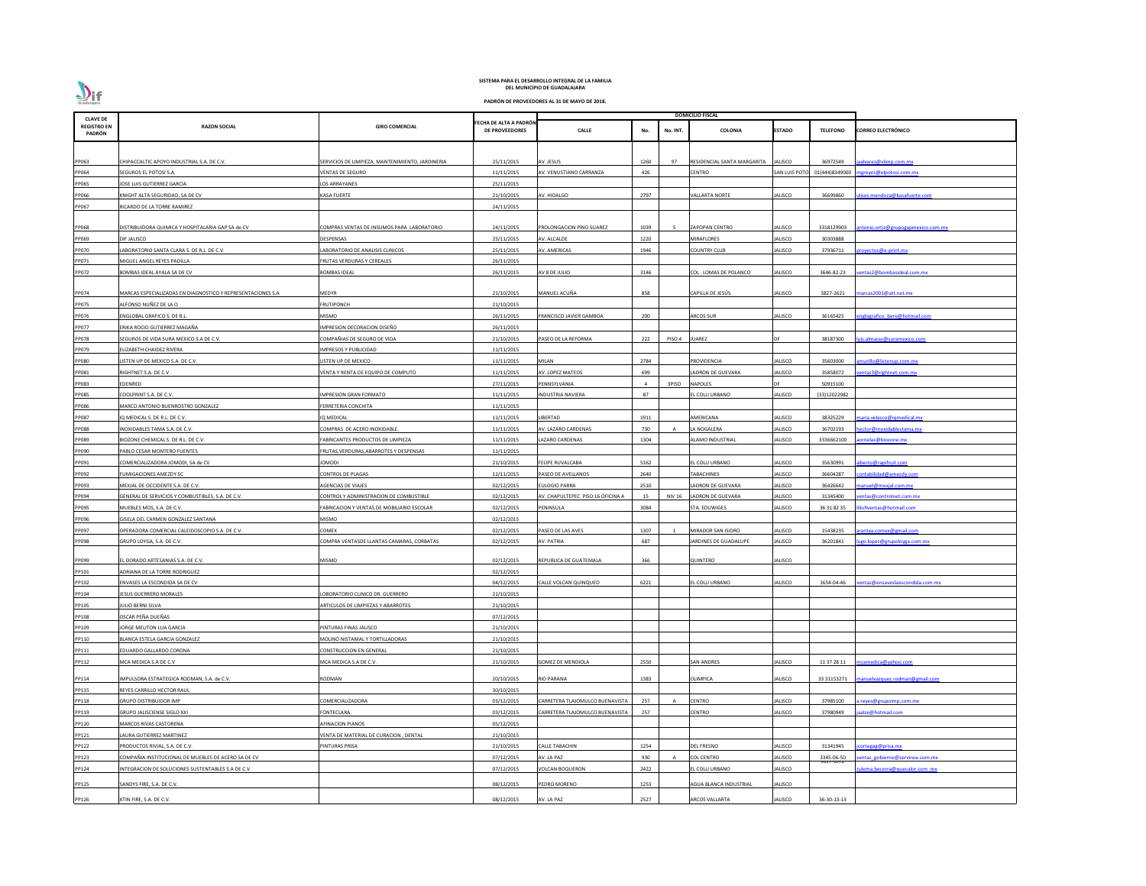

| <b>CLAVE DE</b>              |                                                             |                                                  |                                                 |                                   |      |          | <b>DOMICILIO FISCAL</b>       |                |                         |                                     |
|------------------------------|-------------------------------------------------------------|--------------------------------------------------|-------------------------------------------------|-----------------------------------|------|----------|-------------------------------|----------------|-------------------------|-------------------------------------|
| <b>REGISTRO EN</b><br>PADRÓN | <b>RAZON SOCIAL</b>                                         | <b>GIRO COMERCIAL</b>                            | FECHA DE ALTA A PADRÓN<br><b>DE PROVEEDORES</b> | <b>CALLE</b>                      | No.  | No. INT. | <b>COLONIA</b>                | <b>ESTADO</b>  | <b>TELEFONO</b>         | <b>CORREO ELECTRÓNICO</b>           |
|                              |                                                             |                                                  |                                                 |                                   |      |          |                               |                |                         |                                     |
| PP063                        | CHIPACCALTIC APOYO INDUSTRIAL S.A. DE C.V.                  | SERVICIOS DE LIMPIEZA, MANTENIMIENTO, JARDINERIA | 25/11/2015                                      | AV. JESUS                         | 1260 | 97       | RESIDENCIAL SANTA MARGARITA   | <b>JALISCO</b> | 36972549                | jaalvarez@xlimp.com.mx              |
| PP064                        | SEGUROS EL POTOSI S.A.                                      | VENTAS DE SEGURO                                 | 11/11/2015                                      | AV. VENUSTIANO CARRANZA           | 426  |          | CENTRO                        | SAN LUIS POT   | 01(444)8349000          | mgreyes@elpotosi.com.mx             |
| PP065                        | JOSE LUIS GUTIERREZ GARCIA                                  | LOS ARRAYANES                                    | 25/11/2015                                      |                                   |      |          |                               |                |                         |                                     |
| PP066                        | KNIGHT ALTA SEGURIDAD, SA DE CV                             | <b>KASA FUERTE</b>                               | 21/10/2015                                      | V. HIDALGO                        | 2797 |          | VALLARTA NORTE                | IALISCO        | 36699860                | lises.mendoza@kasafuerte.com        |
| PP067                        | RICARDO DE LA TORRE RAMIREZ                                 |                                                  | 24/11/2015                                      |                                   |      |          |                               |                |                         |                                     |
|                              |                                                             |                                                  |                                                 |                                   |      |          |                               |                |                         |                                     |
| PP068                        | DISTRIBUIDORA QUIMICA Y HOSPITALARIA GAP SA de CV           | COMPRAS VENTAS DE INSUMOS PARA LABORATORIO       | 24/11/2015                                      | PROLONGACION PINO SUAREZ          | 1039 | 5        | <b>ZAPOPAN CENTRO</b>         | <b>JALISCO</b> | 3318129903              | antonio.ortiz@grupogapmexico.com.mx |
| PP069                        | DIF JALISCO                                                 | DESPENSAS                                        | 25/11/2015                                      | AV. ALCALDE                       | 1220 |          | MIRAFLORES                    | JALISCO        | 30303888                |                                     |
| PP070                        | LABORATORIO SANTA CLARA S. DE R.L. DE C.V.                  | LABORATORIO DE ANALISIS CLINICOS                 | 25/11/2015                                      | AV. AMERICAS                      | 1946 |          | COUNTRY CLUB                  | JALISCO        | 37936711                | royectos@e-print.mx                 |
| PP071                        | MIGUEL ANGEL REYES PADILLA                                  | FRUTAS VERDURAS Y CEREALES                       | 26/11/2015                                      |                                   |      |          |                               |                |                         |                                     |
| PP072                        | BOMBAS IDEAL AYALA SA DE CV                                 | <b>BOMBAS IDEAL</b>                              | 26/11/2015                                      | AV 8 DE JULIO                     | 3146 |          | COL. LOMAS DE POLANCO         | IALISCO        | 3646-82-23              | entas2@bombasideal.com.mx           |
|                              |                                                             |                                                  |                                                 |                                   |      |          |                               |                |                         |                                     |
| PP074                        | MARCAS ESPECIALIZADAS EN DIAGNOSTICO Y REPRESENTACIONES S.A | MEDYR                                            | 21/10/2015                                      | MANUEL ACUÑA                      | 858  |          | CAPILLA DE JESÚS              | <b>JALISCO</b> | 3827-2621               | marcas2001@att.net.mx               |
| PP075                        | ALFONSO NUÑEZ DE LA O                                       | FRUTIPONCH                                       | 21/10/2015                                      |                                   |      |          |                               |                |                         |                                     |
| PP076                        | ENGLOBAL GRAFICO S. DE R.L                                  | <b>MISMO</b>                                     | 26/11/2015                                      | RANCISCO JAVIER GAMBOA            | 200  |          | <b>ARCOS SUR</b>              | JALISCO        | 36165425                | englografico bere@hotmail.com       |
| PP077                        | ERIKA ROCIO GUTIERREZ MAGAÑA                                | IMPRESION DECORACION DISEÑO                      | 26/11/2015                                      |                                   |      |          |                               |                |                         |                                     |
| <b>PP078</b>                 | SEGUROS DE VIDA SURA MEXICO S.A DE C.V.                     | COMPAÑIAS DE SEGURO DE VIDA                      | 21/10/2015                                      | ASEO DE LA REFORMA                | 222  | PISO 4   | UAREZ                         |                | 38187300                | luis.almaras@suramexico.com         |
| PP079                        | ELIZABETH CHAIDEZ RIVERA                                    | <b>IMPRESOS Y PUBLICIDAD</b>                     | 11/11/2015                                      |                                   |      |          |                               |                |                         |                                     |
| <b>PP080</b>                 | LISTEN UP DE MEXICO S.A. DE C.V.                            | LISTEN UP DE MEXICO                              | 11/11/2015                                      | <b>MILAN</b>                      | 2784 |          | PROVIDENCIA                   | JALISCO        | 35603000                | amurillo@listenup.com.mx            |
| PP081                        | RIGHTNET S.A. DE C.V.                                       | ENTA Y RENTA DE EQUIPO DE COMPUTO                | 11/11/2015                                      | AV. LOPEZ MATEOS                  | 699  |          | LADRON DE GUEVARA             | <b>IALISCO</b> | 35858072                | entas3@rightnet.com.mx              |
| PP083                        | EDENRED                                                     |                                                  | 27/11/2015                                      | PENNSYLVANIA                      |      | 3PISO    | <b>NAPOLES</b>                |                | 50915100                |                                     |
| PP085                        | COOLPRINT S.A. DE C.V.                                      | IMPRESION GRAN FORMATO                           | 11/11/2015                                      | NDUSTRIA NAVIERA                  | 87   |          | L COLLI URBANO                | IALISCO        | (33)12022982            |                                     |
| PP086                        | MARCO ANTONIO BUENROSTRO GONZALEZ                           | FERRETERIA CONCHITA                              | 11/11/2015                                      |                                   |      |          |                               |                |                         |                                     |
| PP087                        | IQ MEDICAL S. DE R.L. DE C.V.                               | IQ MEDICAL                                       | 11/11/2015                                      | LIBERTAD                          | 1911 |          | AMERICANA                     | JALISCO        | 38325229                | maria.velasco@iqmedical.mx          |
| <b>PP088</b>                 | INOXIDABLES TAMA S.A. DE C.V.                               | COMPRAS DE ACERO INOXIDABLE                      | 11/11/2015                                      | AV. LAZARO CARDENAS               | 730  |          | LA NOGALERA                   | JALISCO        | 36702193                | hector@inoxidablestama.mx           |
| PP089                        | BIOZONE CHEMICAL S. DE R.L. DE C.V.                         | FABRICANTES PRODUCTOS DE LIMPIEZA                | 11/11/2015                                      | AZARO CARDENAS                    | 1304 |          | ALAMO INDUSTRIAI              | JALISCO        | 3336662100              | aornelas@biozone.mx                 |
| PP090                        | PABLO CESAR MONTERO FUENTES                                 | FRUTAS, VERDURAS, ABARROTES Y DESPENSAS          | 11/11/2015                                      |                                   |      |          |                               |                |                         |                                     |
| PP091                        | COMERCIALIZADORA JOMODI, SA de CV                           | <b>JOMODI</b>                                    | 21/10/2015                                      | <b>FELIPE RUVALCABA</b>           | 5162 |          | EL COLLI URBANO               | JALISCO        | 35630991                | alberto@rapifruit.com               |
| PP092                        | <b>FUMIGACIONES AMEZDY SC</b>                               | <b>CONTROL DE PLAGAS</b>                         | 11/11/2015                                      | PASEO DE AVELLANOS                | 2640 |          | <b>ABACHINES</b>              | <b>JALISCO</b> | 36604287                | contabilidad@amezdy.com             |
| PP093                        | MEXJAL DE OCCIDENTE S.A. DE C.V.                            | <b>AGENCIAS DE VIAJES</b>                        | 02/12/2015                                      | <b>ULOGIO PARRA</b>               | 2510 |          | <b>LADRON DE GUEVARA</b>      | <b>JALISCO</b> | 36426642                | manuel@mexjal.com.mx                |
| PP094                        | GENERAL DE SERVICIOS Y COMBUSTIBLES, S.A. DE C.V.           | CONTROL Y ADMINISTRACION DE COMBUSTIBLE          | 02/12/2015                                      | AV. CHAPULTEPEC PISO 16 OFICINA A | 15   | NIV 16   | LADRON DE GUEVARA             | JALISCO        | 31345400                | entas@controlnet.com.mx             |
| PP095                        | MUEBLES MOS, S.A. DE C.V.                                   | FABRICACION Y VENTAS DE MOBILIARIO ESCOLAR       | 02/12/2015                                      | <b>ENINSULA</b>                   | 3084 |          | STA. EDUWIGES                 | JALISCO        | 36 31 82 35             | liofiventas@hotmail.com             |
| PP096                        | GISELA DEL CARMEN GONZALEZ SANTANA                          | <b>MISMO</b>                                     | 02/12/2015                                      |                                   |      |          |                               |                |                         |                                     |
| PP097                        | OPERADORA COMERCIAL CALEIDOSCOPIO S.A. DE C.V.              | COMEX                                            | 02/12/2015                                      | ASEO DE LAS AVES                  | 1307 |          | MIRADOR SAN ISIDRO            | <b>ALISCO</b>  | 15438235                | arantxa.comex@gmail.com             |
| PP098                        | GRUPO LOYGA, S.A. DE C.V.                                   | COMPRA VENTASDE LLANTAS CAMARAS, CORBATAS        | 02/12/2015                                      | AV. PATRIA                        | 687  |          | JARDINES DE GUADALUPE         | <b>JALISCO</b> | 36201841                | ugo.lopez@grupoloyga.com.mx         |
| PP099                        | EL DORADO ARTESANIAS S.A. DE C.V.                           | <b>MISMO</b>                                     | 02/12/2015                                      | REPUBLICA DE GUATEMALA            | 366  |          | QUINTERO                      | <b>JALISCO</b> |                         |                                     |
| PP101                        | ADRIANA DE LA TORRE RODRIGUEZ                               |                                                  | 02/12/2015                                      |                                   |      |          |                               |                |                         |                                     |
| PP102                        | ENVASES LA ESCONDIDA SA DE CV                               |                                                  | 04/12/2015                                      | ALLE VOLCAN QUINQUEO              | 6221 |          | EL COLLI URBANO               | JALISCO        | 1654-04-46              | entas@ensaveslaescondida.com.mx     |
| PP104                        | <b>JESUS GUERRERO MORALES</b>                               | LOBORATORIO CLINICO DR. GUERRERO                 | 21/10/2015                                      |                                   |      |          |                               |                |                         |                                     |
| PP105                        | JULIO BERNI SILVA                                           | ARTICULOS DE LIMPIEZAS Y ABARROTES               | 21/10/2015                                      |                                   |      |          |                               |                |                         |                                     |
| PP108                        | OSCAR PEÑA DUEÑAS                                           |                                                  | 07/12/2015                                      |                                   |      |          |                               |                |                         |                                     |
| PP109                        | JORGE MELITON LUA GARCIA                                    | PINTURAS FINAS JALISCO                           | 21/10/2015                                      |                                   |      |          |                               |                |                         |                                     |
| PP110                        | BLANCA ESTELA GARCIA GONZALEZ                               | MOLINO NISTAMAL Y TORTILLADORAS                  | 21/10/2015                                      |                                   |      |          |                               |                |                         |                                     |
| PP111                        | EDUARDO GALLARDO CORONA                                     | <b>CONSTRUCCION EN GENERAL</b>                   | 21/10/2015                                      |                                   |      |          |                               |                |                         |                                     |
| PP112                        | MCA MEDICA S.A DE C.V                                       | MCA MEDICA S.A DE C.V.                           | 21/10/2015                                      | OMEZ DE MENDIOLA                  | 2550 |          | <b>SAN ANDRES</b>             | <b>ALISCO</b>  | 11 37 28 11             | mcamedica@yahoo.com                 |
|                              |                                                             |                                                  |                                                 |                                   |      |          |                               |                |                         |                                     |
| PP114                        | IMPULSORA ESTRATEGICA RODMAN, S.A. de C.V.                  | RODMAN                                           | 20/10/2015                                      | RIO PARANA                        | 1383 |          | OLIMPICA                      | <b>JALISCO</b> | 33 31153271             | manuelvazquez.rodman@gmail.com      |
| PP115                        | REYES CARRILLO HECTOR RAUL                                  |                                                  | 30/10/2015                                      |                                   |      |          |                               |                |                         |                                     |
| PP118                        | <b>GRUPO DISTRIBUIDOR IMP</b>                               | COMERCIALIZADORA                                 | 03/12/2015                                      | ARRETERA TLAJOMULCO BUENAVISTA    | 257  | A        | <b>CENTRO</b>                 | <b>ALISCO</b>  | 37985100                | a.reyes@grupoimp.com.mx             |
| PP119                        | <b>GRUPO JALISCIENSE SIGLO XXI</b>                          | <b>FONTECLARA</b>                                | 03/12/2015                                      | ARRETERA TLAJOMULCO BUENAVISTA    | 257  |          | CENTRO                        | JALISCO        | 37980949                | aalze@hotmail.com                   |
| PP120                        | <b>MARCOS RIVAS CASTORENA</b>                               | <b>AFINACION PIANOS</b>                          | 05/12/2015                                      |                                   |      |          |                               |                |                         |                                     |
| PP121                        | LAURA GUTIERREZ MARTINEZ                                    | VENTA DE MATERIAL DE CURACION, DENTAL            | 21/10/2015                                      |                                   |      |          |                               |                |                         |                                     |
| PP122                        | PRODUCTOS RIVIAL, S.A. DE C.V.                              | PINTURAS PRISA                                   | 21/10/2015                                      | <b>CALLE TABACHIN</b>             | 1254 |          | DEL FRESNO                    | <b>JALISCO</b> | 31341945                | icortegag@prisa.mx                  |
| PP123                        | COMPAÑIA INSTITUCIONAL DE MUEBLES DE ACERO SA DE CV         |                                                  | 07/12/2015                                      | AV. LA PAZ                        | 930  |          | <b>COL.CENTRO</b>             | IALISCO        | 3345-06-50<br>9027-IU72 | entas gobierno@servinox.com.mx      |
| PP124                        | INTEGRACION DE SOLUCIONES SUSTENTABLES S.A DE C.V           |                                                  | 07/12/2015                                      | VOLCAN BOQUERON                   | 2422 |          | EL COLLI URBANO               | JALISCO        |                         | ulema.becerra@quecalor.com .mx      |
| PP125                        | SANDYS FIRE, S.A. DE C.V.                                   |                                                  | 08/12/2015                                      | <b>EDRO MORENO</b>                | 1253 |          | <b>AGUA BLANCA INDUSTRIAL</b> | JALISCO        |                         |                                     |
|                              |                                                             |                                                  |                                                 |                                   | 2527 |          | ARCOS VALLARTA                | <b>JALISCO</b> | 36-30-13-13             |                                     |
| PP126                        | XTIN FIRE, S.A. DE C.V.                                     |                                                  | 08/12/2015                                      | AV. LA PAZ                        |      |          |                               |                |                         |                                     |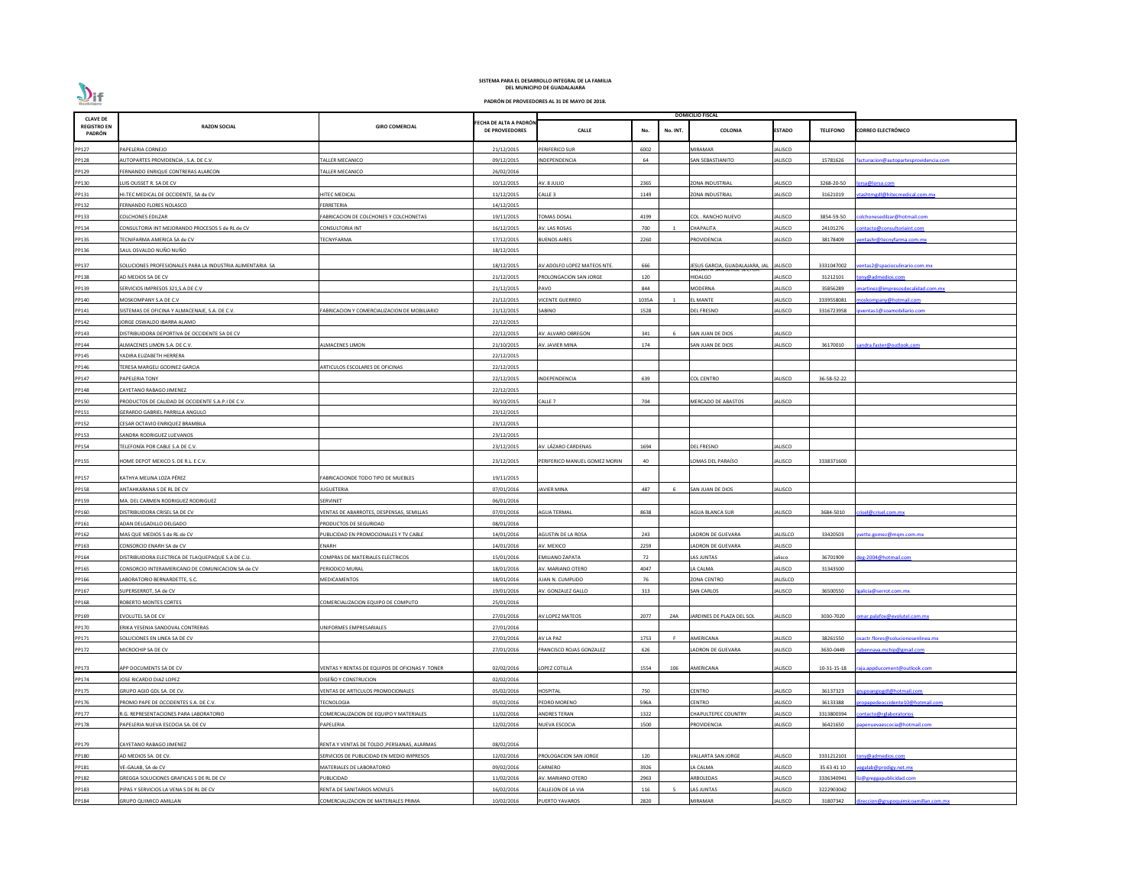| <b>CLAVE DE</b>              |                                                           |                                                |                                                 |                               |                 | <b>DOMICILIO FISCAL</b>         |                |                 |                                      |
|------------------------------|-----------------------------------------------------------|------------------------------------------------|-------------------------------------------------|-------------------------------|-----------------|---------------------------------|----------------|-----------------|--------------------------------------|
| <b>REGISTRO EN</b><br>PADRÓN | <b>RAZON SOCIAL</b>                                       | <b>GIRO COMERCIAL</b>                          | FECHA DE ALTA A PADRÓN<br><b>DE PROVEEDORES</b> | <b>CALLE</b>                  | No.<br>No. INT. | <b>COLONIA</b>                  | <b>ESTADO</b>  | <b>TELEFONO</b> | <b>CORREO ELECTRÓNICO</b>            |
| PP127                        | PAPELERIA CORNEJO                                         |                                                | 21/12/2015                                      | PERIFERICO SUR                | 6002            | <b>MIRAMAR</b>                  | JALISCO        |                 |                                      |
| PP128                        | AUTOPARTES PROVIDENCIA, S.A. DE C.V.                      | ALLER MECANICO                                 | 09/12/2015                                      | <b>INDEPENDENCIA</b>          | 64              | SAN SEBASTIANITO                | JALISCO        | 15781626        | acturacion@autopartesprovidencia.com |
| PP129                        | FERNANDO ENRIQUE CONTRERAS ALARCON                        | ALLER MECANICO                                 | 26/02/2016                                      |                               |                 |                                 |                |                 |                                      |
| PP130                        | LUIS OUSSET R. SA DE CV                                   |                                                | 10/12/2015                                      | AV. 8 JULIO                   | 2365            | ZONA INDUSTRIAL                 | JALISCO        | 3268-20-50      | orsa@lorsa.com                       |
| PP131                        | HI-TEC MEDICAL DE OCCIDENTE, SA de CV                     | <b>IITEC MEDICAL</b>                           | 11/12/2015                                      | CALLE <sub>3</sub>            | 1149            | <b>ZONA INDUSTRIAL</b>          | JALISCO        | 31621019        | tashtmgdl@hitecmedical.com.mx        |
| PP132                        | FERNANDO FLORES NOLASCO                                   | <b>ERRETERIA</b>                               | 14/12/2015                                      |                               |                 |                                 |                |                 |                                      |
| PP133                        | COLCHONES EDILZAR                                         | ABRICACION DE COLCHONES Y COLCHONETAS          | 19/11/2015                                      | <b>OMAS DOSAL</b>             | 4199            | COL. RANCHO NUEVO               | JALISCO        | 3854-59-50      | olchonesedilzar@hotmail.com          |
| PP134                        | CONSULTORIA INT MEJORANDO PROCESOS S de RL de CV          | CONSULTORIA INT                                | 16/12/2015                                      | AV. LAS ROSAS                 | 700             | <b>CHAPALITA</b>                | <b>JALISCO</b> | 24101276        | ontacto@consultoriaint.com           |
| PP135                        | TECNIFARMA AMERICA SA de CV                               | <b>ECNYFARMA</b>                               | 17/12/2015                                      | <b>BUENOS AIRES</b>           | 2260            | <b>ROVIDENCIA</b>               | JALISCO        | 38178409        | entashr@tecnyfarma.com.mx            |
| PP136                        | SAUL OSVALDO NUÑO NUÑO                                    |                                                | 18/12/2015                                      |                               |                 |                                 |                |                 |                                      |
| PP137                        | SOLUCIONES PROFESIONALES PARA LA INDUSTRIA ALIMENTARIA SA |                                                | 18/12/2015                                      | AV.ADOLFO LOPEZ MATEOS NTE.   | 666             | JESUS GARCIA, GUADALAJARA, JAL  | <b>JALISCO</b> | 3331047002      | entas2@spacioculinario.com.mx        |
| PP138                        | AD MEDIOS SA DE CV                                        |                                                | 21/12/2015                                      | PROLONGACION SAN JORGE        | 120             | היו אבאטר אוי<br><b>HIDALGO</b> | ALISCO         | 31212101        | ony@admedios.com                     |
| PP139                        | SERVICIOS IMPRESOS 321, S.A DE C.V                        |                                                | 21/12/2015                                      | PAVO                          | 844             | <b>MODERNA</b>                  | JALISCO        | 35856289        | nartinez@impresosdecalidad.com.mx    |
| PP140                        | MOSKOMPANY S.A DE C.V                                     |                                                | 21/12/2015                                      | VICENTE GUERREO               | 1035A           | <b>LMANTE</b>                   | <b>JALISCO</b> | 3339558081      | oskompany@hotmail.com                |
| PP141                        | SISTEMAS DE OFICINA Y ALMACENAJE, S.A. DE C.V.            | ABRICACION Y COMERCIALIZACION DE MOBILIARIO    | 21/12/2015                                      | SABINO                        | 1528            | <b>DEL FRESNO</b>               | JALISCO        | 3316723958      | ventas1@soamobiliario.com            |
| PP142                        | <b>JORGE OSWALDO IBARRA ALAMO</b>                         |                                                | 22/12/2015                                      |                               |                 |                                 |                |                 |                                      |
| PP143                        | DISTRIBUIDORA DEPORTIVA DE OCCIDENTE SA DE CV             |                                                | 22/12/2015                                      | <b>NV. ALVARO OBREGON</b>     | 341             | SAN JUAN DE DIOS                | JALISCO        |                 |                                      |
| PP144                        | ALMACENES LIMON S.A. DE C.V.                              | LMACENES LIMON                                 | 21/10/2015                                      | AV. JAVIER MINA               | 174             | SAN JUAN DE DIOS                | JALISCO        | 36170010        | andra.faster@outlook.com             |
| PP145                        | YADIRA ELIZABETH HERRERA                                  |                                                | 22/12/2015                                      |                               |                 |                                 |                |                 |                                      |
| PP146                        | <b>ERESA MARGELI GODINEZ GARCIA</b>                       | ARTICULOS ESCOLARES DE OFICINAS                | 22/12/2015                                      |                               |                 |                                 |                |                 |                                      |
| PP147                        | PAPELERIA TONY                                            |                                                | 22/12/2015                                      | <b>NDEPENDENCIA</b>           | 639             | COL CENTRO                      | ALISCO         | 36-58-52-22     |                                      |
| PP148                        | CAYETANO RABAGO JIMENEZ                                   |                                                | 22/12/2015                                      |                               |                 |                                 |                |                 |                                      |
| PP150                        | PRODUCTOS DE CALIDAD DE OCCIDENTE S.A.P.I DE C.V.         |                                                | 30/10/2015                                      | CALLE <sub>7</sub>            | 704             | <b>MERCADO DE ABASTOS</b>       | JALISCO        |                 |                                      |
| PP151                        | GERARDO GABRIEL PARRILLA ANGULO                           |                                                | 23/12/2015                                      |                               |                 |                                 |                |                 |                                      |
| PP152                        | CESAR OCTAVIO ENRIQUEZ BRAMBILA                           |                                                | 23/12/2015                                      |                               |                 |                                 |                |                 |                                      |
| PP153                        | SANDRA RODRIGUEZ LUEVANOS                                 |                                                | 23/12/2015                                      |                               |                 |                                 |                |                 |                                      |
| PP154                        | TELEFONÍA POR CABLE S.A DE C.V.                           |                                                | 23/12/2015                                      | AV. LÁZARO CÁRDENAS           | 1694            | DEL FRESNO                      | JALISCO        |                 |                                      |
|                              |                                                           |                                                |                                                 |                               |                 |                                 |                |                 |                                      |
| PP155                        | HOME DEPOT MEXICO S. DE R.L. E C.V.                       |                                                | 23/12/2015                                      | PERIFERICO MANUEL GOMEZ MORIN | 40              | OMAS DEL PARAÍSO                | JALISCO        | 3338371600      |                                      |
| PP157                        | KATHYA MELINA LOZA PÉREZ                                  | FABRICACIONDE TODO TIPO DE MUEBLES             | 19/11/2015                                      |                               |                 |                                 |                |                 |                                      |
| PP158                        | ANTAHKARANA S DE RL DE CV                                 | <b>IUGUETERIA</b>                              | 07/01/2016                                      | <b>AVIER MINA</b>             | 487             | SAN JUAN DE DIOS                | <b>JALISCO</b> |                 |                                      |
| PP159                        | MA. DEL CARMEN RODRIGUEZ RODRIGUEZ                        | SERVINET                                       | 06/01/2016                                      |                               |                 |                                 |                |                 |                                      |
| PP160                        | DISTRIBUIDORA CRISEL SA DE CV                             | ENTAS DE ABARROTES, DESPENSAS, SEMILLAS        | 07/01/2016                                      | <b>AGUA TERMAL</b>            | 8638            | AGUA BLANCA SUR                 | <b>JALISCO</b> | 3684-5010       | risel@crisel.com.mx                  |
| PP161                        | ADAN DELGADILLO DELGADO                                   | RODUCTOS DE SEGURIDAD                          | 08/01/2016                                      |                               |                 |                                 |                |                 |                                      |
| PP162                        | MAS QUE MEDIOS S de RL de CV                              | UBLICIDAD EN PROMOCIONALES Y TV CABLE          | 14/01/2016                                      | AGUSTIN DE LA ROSA            | 243             | ADRON DE GUEVARA                | ALISLCO        | 33420503        | vette.gomez@mgm.com.mx               |
| PP163                        | CONSORCIO ENARH SA de CV                                  | ENARH                                          | 14/01/2016                                      | AV. MEXICO                    | 2259            | LADRON DE GUEVARA               | <b>JALISCO</b> |                 |                                      |
| PP164                        | DISTRIBUIDORA ELECTRICA DE TLAQUEPAQUE S.A DE C.U.        | COMPRAS DE MATERIALES ELECTRICOS               | 15/01/2016                                      | <b>EMILIANO ZAPATA</b>        | 72              | LAS JUNTAS                      | jalisco        | 36701909        | eg-2004@hotmail.com                  |
| PP165                        | CONSORCIO INTERAMERICANO DE COMUNICACION SA de CV         | PERIODICO MURAL                                | 18/01/2016                                      | AV. MARIANO OTERO             | 4047            | LA CALMA                        | JALISCO        | 31343500        |                                      |
| PP166                        | LABORATORIO BERNARDETTE, S.C.                             | MEDICAMENTOS                                   | 18/01/2016                                      | IUAN N. CUMPLIDO              | 76              | <b>ZONA CENTRO</b>              | JALISLCO       |                 |                                      |
| PP167                        | SUPERSERROT, SA de CV                                     |                                                | 19/01/2016                                      | AV. GONZALEZ GALLO            | 313             | <b>SAN CARLOS</b>               | JALISCO        | 36500550        | alicia@serrot.com.mx                 |
| PP168                        | ROBERTO MONTES CORTES                                     | COMERCIALIZACION EQUIPO DE COMPUTO             | 25/01/2016                                      |                               |                 |                                 |                |                 |                                      |
| PP169                        | EVOLUTEL SA DE CV                                         |                                                | 27/01/2016                                      | <b>AV.LOPEZ MATEOS</b>        | 2077<br>Z4A     | JARDINES DE PLAZA DEL SOL       | ALISCO         | 3030-7020       | mar.palafox@evolutel.com.mx          |
| PP170                        | ERIKA YESENIA SANDOVAL CONTRERAS                          | <b>JNIFORMES EMPRESARIALES</b>                 | 27/01/2016                                      |                               |                 |                                 |                |                 |                                      |
| PP171                        | SOLUCIONES EN LINEA SA DE CV                              |                                                | 27/01/2016                                      | AV LA PAZ                     | 1753            | AMERICANA                       | ALISCO         | 38261550        | sactr.flores@solucionesenlinea.mx    |
| PP172                        | MICROCHIP SA DE CV                                        |                                                | 27/01/2016                                      | FRANCISCO ROJAS GONZALEZ      | 626             | ADRON DE GUEVARA                | <b>JALISCO</b> | 3630-0449       | ubennava.mchip@gmail.com             |
|                              |                                                           |                                                |                                                 |                               |                 |                                 |                |                 |                                      |
| PP173                        | APP DOCUMENTS SA DE CV                                    | /ENTAS Y RENTAS DE EQUIPOS DE OFICINAS Y TONER | 02/02/2016                                      | LOPEZ COTILLA                 | 1554<br>106     | AMERICANA                       | JALISCO        | 10-31-15-18     | aja.appducoment@outlook.com          |
| PP174                        | <b>JOSE RICARDO DIAZ LOPEZ</b>                            | DISEÑO Y CONSTRUCION                           | 02/02/2016                                      |                               |                 |                                 |                |                 |                                      |
| PP175                        | GRUPO AGIO GDL SA. DE CV.                                 | <b>/ENTAS DE ARTICULOS PROMOCIONALES</b>       | 05/02/2016                                      | HOSPITAL                      | 750             | CENTRO                          | ALISCO         | 36137323        | rupoangiogdl@hotmail.com             |
| PP176                        | PROMO PAPE DE OCCIDENTES S.A. DE C.V.                     | <b>ECNOLOGIA</b>                               | 05/02/2016                                      | PEDRO MORENO                  | 596A            | CENTRO                          | JALISCO        | 36133388        | opapedeoccidente10@hotmail.com       |
| PP177                        | R.G. REPRESENTACIONES PARA LABORATORIO                    | COMERCIALIZACION DE EQUIPO Y MATERIALES        | 11/02/2016                                      | ANDRES TERAN                  | 1322            | <b>CHAPULTEPEC COUNTRY</b>      | JALISCO        | 3313800394      | ontacto@rglaboratorios               |
| PP178                        | PAPELERIA NUEVA ESCOCIA SA. DE CV                         | PAPELERIA                                      | 12/02/2016                                      | NUEVA ESCOCIA                 | 1500            | PROVIDENCIA                     | JALISCO        | 36421650        | ipenuevaescocia@hotmail.com          |
| PP179                        | CAYETANO RABAGO JIMENEZ                                   | RENTA Y VENTAS DE TOLDO ,PERSIANAS, ALARMAS    | 08/02/2016                                      |                               |                 |                                 |                |                 |                                      |
| PP180                        | AD MEDIOS SA. DE CV.                                      | SERVICIOS DE PUBLICIDAD EN MEDIO IMPRESOS      | 12/02/2016                                      | PROLOGACION SAN JORGE         | 120             | ALLARTA SAN JORGE               | ALISCO         | 3331212101      | ony@admedios.com                     |
| PP181                        | VE-GALAB, SA de CV                                        | MATERIALES DE LABORATORIO                      | 09/02/2016                                      | CARNERO                       | 3926            | LA CALMA                        | <b>JALISCO</b> | 35 63 41 10     | egalab@prodigy.net.mx                |
| PP182                        | GREGGA SOLUCIONES GRAFICAS S DE RL DE CV                  | PUBLICIDAD                                     | 11/02/2016                                      | AV. MARIANO OTERO             | 2963            | ARBOLEDAS                       | <b>ALISCO</b>  | 3336340941      | z@greggapublicidad.com               |
| PP183                        | PIPAS Y SERVICIOS LA VENA S DE RL DE CV                   | RENTA DE SANITARIOS MOVILES                    | 16/02/2016                                      | CALLEJON DE LA VIA            | 116             | AS JUNTAS                       | ALISCO         | 3222903042      |                                      |
| PP184                        | GRUPO QUIMICO AMILLAN                                     | COMERCIALIZACION DE MATERIALES PRIMA           | 10/02/2016                                      | PUERTO YAVAROS                | 2820            | <b>MIRAMAR</b>                  | <b>JALISCO</b> | 31807342        | ireccion@grupoquimicoamillan.com.mx  |

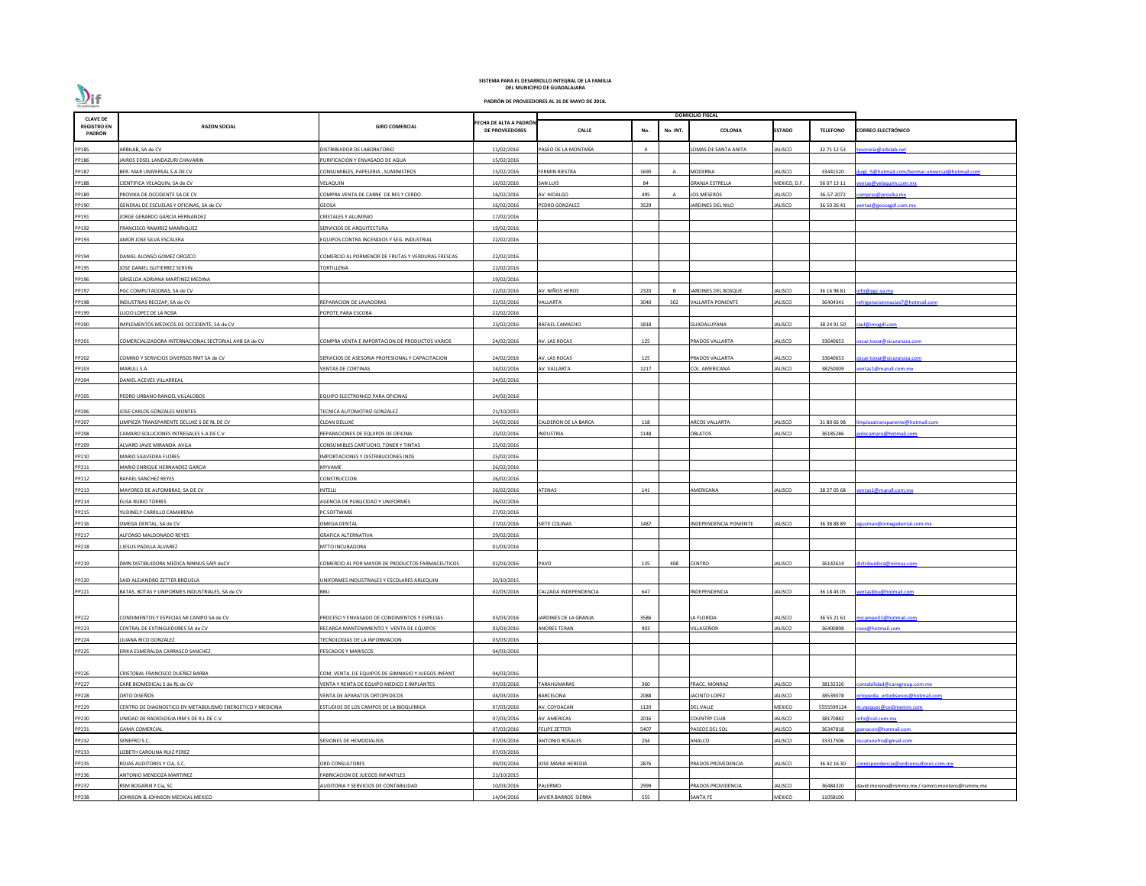| <b>CLAVE DE</b>              |                                                            |                                                    |                                                 |                           |      |                | <b>DOMICILIO FISCAL</b>  |                |                 |                                                 |
|------------------------------|------------------------------------------------------------|----------------------------------------------------|-------------------------------------------------|---------------------------|------|----------------|--------------------------|----------------|-----------------|-------------------------------------------------|
| <b>REGISTRO EN</b><br>PADRÓN | <b>RAZON SOCIAL</b>                                        | <b>GIRO COMERCIAL</b>                              | FECHA DE ALTA A PADRÓN<br><b>DE PROVEEDORES</b> | <b>CALLE</b>              | No.  | No. INT.       | <b>COLONIA</b>           | <b>ESTADO</b>  | <b>TELEFONO</b> | <b>CORREO ELECTRÓNICO</b>                       |
| PP185                        | ARBILAB, SA de CV                                          | DISTRIBUIDOR DE LABORATORIO                        | 11/02/2016                                      | PASEO DE LA MONTAÑA       |      |                | LOMAS DE SANTA ANITA     | ALISCO         | 32 71 12 53     | esoreria@arbilab.net                            |
| PP186                        | JAIROS EDSEL LANDAZURI CHAVARIN                            | URIFICACION Y ENVASADO DE AGUA                     | 15/02/2016                                      |                           |      |                |                          |                |                 |                                                 |
| PP187                        | BER- MAR UNIVERSAL S.A DE CV                               | CONSUMIBLES, PAPELERIA, SUMINISTROS                | 15/02/2016                                      | FERMIN RIESTRA            | 1690 | $\overline{A}$ | <b>MODERNA</b>           | ALISCO         | 33441520        | uigi 5@hotmail.com/bermar.universal@hotmail.com |
| PP188                        | CIENTIFICA VELAQUIN, SA de CV                              | VELAQUIN                                           | 16/02/2016                                      | SAN LUIS                  | 84   |                | <b>GRANJA ESTRELLA</b>   | MEXICO, D.F    | 56 07 13 11     | entas@velaquim.com.mx                           |
|                              |                                                            |                                                    |                                                 |                           |      |                |                          |                |                 |                                                 |
| PP189                        | PROVIKA DE OCCIDENTE SA DE CV                              | COMPRA VENTA DE CARNE DE RES Y CERDO               | 16/02/2016                                      | AV. HIDALGO               | 495  |                | LOS MESEROS              | ALISCO         | 36-57-2072      | ompras@provika.mx                               |
| PP190                        | GENERAL DE ESCUELAS Y OFICINAS, SA de CV                   | GEOSA                                              | 16/02/2016                                      | PEDRO GONZALEZ            | 3529 |                | JARDINES DEL NILO        | ALISCO         | 36 50 26 41     | entas@geosagdl.com.mx                           |
| PP191                        | JORGE GERARDO GARCIA HERNANDEZ                             | CRISTALES Y ALUMINIO                               | 17/02/2016                                      |                           |      |                |                          |                |                 |                                                 |
| PP192                        | FRANCISCO RAMIREZ MANRIQUEZ                                | SERVICIOS DE ARQUITECTURA                          | 19/02/2016                                      |                           |      |                |                          |                |                 |                                                 |
| PP193                        | AMOR JOSE SILVA ESCALERA                                   | QUIPOS CONTRA INCENDIOS Y SEG. INDUSTRIAL          | 22/02/2016                                      |                           |      |                |                          |                |                 |                                                 |
| PP194                        | DANIEL ALONSO GOMEZ OROZCO                                 | COMERCIO AL PORMENOR DE FRUTAS Y VERDURAS FRESCAS  | 22/02/2016                                      |                           |      |                |                          |                |                 |                                                 |
| PP195                        | JOSE DANIEL GUTIERREZ SERVIN                               | <b>TORTILLERIA</b>                                 | 22/02/2016                                      |                           |      |                |                          |                |                 |                                                 |
| PP196                        | GRISELDA ADRIANA MARTINEZ MEDINA                           |                                                    | 19/02/2016                                      |                           |      |                |                          |                |                 |                                                 |
| PP197                        | PGC COMPUTADORAS, SA de CV                                 |                                                    | 22/02/2016                                      | AV. NIÑOS HEROS           | 2320 |                | JARDINES DEL BOSQUE      | ALISCO         | 36 16 98 81     | nfo@pgc-sa.mx                                   |
|                              |                                                            | REPARACION DE LAVADORAS                            |                                                 |                           | 3040 | 302            | <b>VALLARTA PONIENTE</b> | ALISCO         | 36404341        |                                                 |
| PP198                        | INDUSTRIAS RECIZAP, SA de CV                               |                                                    | 22/02/2016                                      | <b>VALLARTA</b>           |      |                |                          |                |                 | efrigeracionmacias7@hotmail.com                 |
| PP199                        | LUCIO LOPEZ DE LA ROSA                                     | OPOTE PARA ESCOBA                                  | 22/02/2016                                      |                           |      |                |                          |                |                 |                                                 |
| PP200                        | IMPLEMENTOS MEDICOS DE OCCIDENTE, SA de CV                 |                                                    | 23/02/2016                                      | RAFAEL CAMACHO            | 1818 |                | GUADALUPANA              | ALISCO         | 38 24 91 50     | raul@imogdl.com                                 |
| PP201                        | COMERCIALIZADORA INTERNACIONAL SECTORIAL AHB SA de CV      | COMPRA VENTA E IMPORTACION DE PRODUCTOS VARIOS     | 24/02/2016                                      | AV. LAS ROCAS             | 125  |                | PRADOS VALLARTA          | JALISCO        | 33640653        | scar.tovar@sicuranzza.com                       |
| PP202                        | COMIND Y SERVICIOS DIVERSOS RMT SA de CV                   | SERVICIOS DE ASESORIA PROFESIONAL Y CAPACITACION   | 24/02/2016                                      | AV. LAS ROCAS             | 125  |                | PRADOS VALLARTA          | ALISCO         | 33640653        | scar.tovar@sicuranzza.com                       |
| PP203                        | MARULL S.A                                                 | VENTAS DE CORTINAS                                 | 24/02/2016                                      | AV. VALLARTA              | 1217 |                | COL. AMERICANA           | ALISCO         | 38250009        | entas1@marull.com.mx                            |
| PP204                        | DANIEL ACEVES VILLARREAL                                   |                                                    | 24/02/2016                                      |                           |      |                |                          |                |                 |                                                 |
|                              |                                                            |                                                    |                                                 |                           |      |                |                          |                |                 |                                                 |
| PP205                        | PEDRO URBANO RANGEL VILLALOBOS                             | EQUIPO ELECTRONICO PARA OFICINAS                   | 24/02/2016                                      |                           |      |                |                          |                |                 |                                                 |
| PP206                        | JOSE CARLOS GONZALES MONTES                                | ECNICA AUTOMOTRIZ GONZALEZ                         | 21/10/2015                                      |                           |      |                |                          |                |                 |                                                 |
| PP207                        | LIMPIEZA TRANSPARENTE DELUXE S DE RL DE CV                 | CLEAN DELUXE                                       | 24/02/2016                                      | ALDERON DE LA BARCA       | 118  |                | ARCOS VALLARTA           | ALISCO         | 31 80 66 98     | npiezatransparente@hotmail.com                  |
| PP208                        | CAMARO SOLUCIONES INTREGALES S.A DE C.V.                   | REPARACIONES DE EQUIPOS DE OFICINA                 | 25/02/2016                                      | INDUSTRIA                 | 1148 |                | OBLATOS                  | ALISCO         | 36185286        | olocamaro@hotmail.com                           |
| PP209                        | ALVARO JAVIE MIRANDA AVILA                                 | CONSUMIBLES CARTUCHO, TONER Y TINTAS               | 25/02/2016                                      |                           |      |                |                          |                |                 |                                                 |
| PP210                        | MARIO SAAVEDRA FLORES                                      | <b>IMPORTACIONES Y DISTRIBUCIONES INDS</b>         | 25/02/2016                                      |                           |      |                |                          |                |                 |                                                 |
| PP211                        | MARIO ENRIQUE HERNANDEZ GARCIA                             | MYVAME                                             | 26/02/2016                                      |                           |      |                |                          |                |                 |                                                 |
| PP212                        | RAFAEL SANCHEZ REYES                                       | CONSTRUCCION                                       | 26/02/2016                                      |                           |      |                |                          |                |                 |                                                 |
| PP213                        | MAYOREO DE ALFOMBRAS, SA DE CV                             | NTELLI                                             | 26/02/2016                                      | ATENAS                    | 141  |                | AMERICANA                | ALISCO         | 38 27 05 68     | entas1@marull.com.mx                            |
| PP214                        | <b>ELISA RUBIO TORRES</b>                                  | <b>AGENCIA DE PUBLICIDAD Y UNIFORMES</b>           | 26/02/2016                                      |                           |      |                |                          |                |                 |                                                 |
| PP215                        | YUDINELY CARRILLO CAMARENA                                 | PC SOFTWARE                                        | 27/02/2016                                      |                           |      |                |                          |                |                 |                                                 |
| PP216                        | OMEGA DENTAL, SA de CV                                     | OMEGA DENTAL                                       | 27/02/2016                                      | <b>IETE COLINAS</b>       | 1487 |                | INDEPENDENCIA PONIENTE   | ALISCO         | 36 38 88 89     | guzman@omegadental.com.mx                       |
| PP217                        | ALFONSO MALDONADO REYES                                    | <b>GRAFICA ALTERNATIVA</b>                         | 29/02/2016                                      |                           |      |                |                          |                |                 |                                                 |
| PP218                        | J JESUS PADILLA ALVAREZ                                    | MTTO INCUBADORA                                    | 01/03/2016                                      |                           |      |                |                          |                |                 |                                                 |
|                              |                                                            |                                                    |                                                 |                           |      |                |                          |                |                 |                                                 |
| PP219                        | DMN DISTIBUIDORA MEDICA NINNUS SAPI deCV                   | COMERCIO AL POR MAYOR DE PRODUCTOS FARMACEUTICOS   | 01/03/2016                                      | PAVO                      | 135  | 408            | <b>CENTRO</b>            | <b>JALISCO</b> | 36142614        | distribuidora@ninnus.com                        |
| PP220                        | SAID ALEJANDRO ZETTER BRIZUELA                             | UNIFORMES INDUSTRIALES Y ESCOLARES ARLEQUIN        | 20/10/2015                                      |                           |      |                |                          |                |                 |                                                 |
| PP221                        | BATAS, BOTAS Y UNIFORMES INDUSTRIALES, SA de CV            | BBU                                                | 02/03/2016                                      | CALZADA INDEPENDENCIA     | 647  |                | INDEPENDENCIA            | ALISCO         | 36 18 43 05     | ventasbbu@hotmail.com                           |
|                              |                                                            |                                                    |                                                 |                           |      |                |                          |                |                 |                                                 |
|                              |                                                            |                                                    |                                                 |                           |      |                |                          |                |                 |                                                 |
| PP222                        | CONDIMENTOS Y ESPECIAS MI CAMPO SA de CV                   | PROCESO Y ENVASADO DE CONDIMENTOS Y ESPECIAS       | 03/03/2016                                      | JARDINES DE LA GRANJA     | 3586 |                | LA FLORIDA               | ALISCO         | 36 55 21 61     | micampo01@hotmail.com                           |
| PP223                        | CENTRAL DE EXTINGUIDORES SA de CV                          | RECARGA MANTENIMIENTO Y VENTA DE EQUIPOS           | 03/03/2016                                      | ANDRES TERAN              | 903  |                | VILLASEÑOR               | ALISCO         | 36400898        | exa@hotmail.com                                 |
| PP224                        | LILIANA RICO GONZALEZ                                      | TECNOLOGIAS DE LA INFORMACION                      | 03/03/2016                                      |                           |      |                |                          |                |                 |                                                 |
| PP225                        | ERIKA ESMERALDA CARRASCO SANCHEZ                           | PESCADOS Y MARISCOS                                | 04/03/2016                                      |                           |      |                |                          |                |                 |                                                 |
| PP226                        | CRISTOBAL FRANCISCO DUEÑEZ BARBA                           | COM. VENTA. DE EQUIPOS DE GIMNASIO Y JUEGOS INFANT | 04/03/2016                                      |                           |      |                |                          |                |                 |                                                 |
| PP227                        | CARE BIOMEDICAL S de RL de CV                              | ENTA Y RENTA DE EQUIPO MEDICO E IMPLANTES          | 07/03/2016                                      | <b>ARAHUMARAS</b>         | 360  |                | FRACC. MONRAZ            | ALISCO         | 38132326        | contabilidad@caregroup.com.mx                   |
| PP228                        | ORTO DISEÑOS                                               | VENTA DE APARATOS ORTOPEDICOS                      | 04/03/2016                                      | BARCELONA                 | 2088 |                | JACINTO LOPEZ            | ALISCO         | 38539078        | rtopedia ortodisenos@hotmail.com                |
| PP229                        | CENTRO DE DIAGNOSTICO EN METABOLISMO ENERGETICO Y MEDICINA | ESTUDIOS DE LOS CAMPOS DE LA BIOQUIMICA            | 07/03/2016                                      | AV. COYOACAN              | 1120 |                | <b>DEL VALLE</b>         | MEXICO         | 5555599124      | n.vazquez@cedimemm.com                          |
| PP230                        | UNIDAD DE RADIOLOGIA IRM S DE R.L DE C.V.                  |                                                    | 07/03/2016                                      | AV. AMERICAS              | 2016 |                | <b>COUNTRY CLUB</b>      | ALISCO         | 38170882        | nfo@cid.com.mx                                  |
| PP231                        | <b>GAMA COMERCIAL</b>                                      |                                                    | 07/03/2016                                      | FELIPE ZETTER             | 5407 |                | PASEOS DEL SOL           | ALISCO         | 36347818        | amacon@hotmail.com                              |
|                              | SENEFRO S.C.                                               | ESIONES DE HEMODIALISIS                            | 07/03/2016                                      | <b>ANTONIO ROSALES</b>    | 204  |                | ANALCO                   | ALISCO         | 33317506        |                                                 |
| PP232                        |                                                            |                                                    |                                                 |                           |      |                |                          |                |                 | oscarunefro@gmail.com                           |
| PP233                        | LIZBETH CAROLINA RUIZ PEREZ                                |                                                    | 07/03/2016                                      |                           |      |                |                          |                |                 |                                                 |
| PP235                        | ROJAS AUDITORES Y CIA, S.C.                                | ORD CONSULTORES                                    | 09/03/2016                                      | <b>JOSE MARIA HEREDIA</b> | 2876 |                | PRADOS PROVEDENCIA       | ALISCO         | 36 42 16 30     | correspondencia@ordconsultores.com.mx           |
| PP236                        | ANTONIO MENDOZA MARTINEZ                                   | FABRICACION DE JUEGOS INFANTILES                   | 21/10/2015                                      |                           |      |                |                          |                |                 |                                                 |
| PP237                        | RSM BOGARIN Y Cia, SC                                      | <b>IUDITORIA Y SERVICIOS DE CONTABILIDAD</b>       | 10/03/2016                                      | <b>ALERMO</b>             | 2999 |                | PRADOS PROVIDENCIA       | ALISCO         | 36484320        | david.moreno@rsmmx.mx / ramiro.montero@rsmmx.mx |
| PP238                        | JOHNSON & JOHNSON MEDICAL MEXICO                           |                                                    | 14/04/2016                                      | JAVIER BARROS SIERRA      | 555  |                | <b>SANTA FE</b>          | MEXICO         | 11058100        |                                                 |

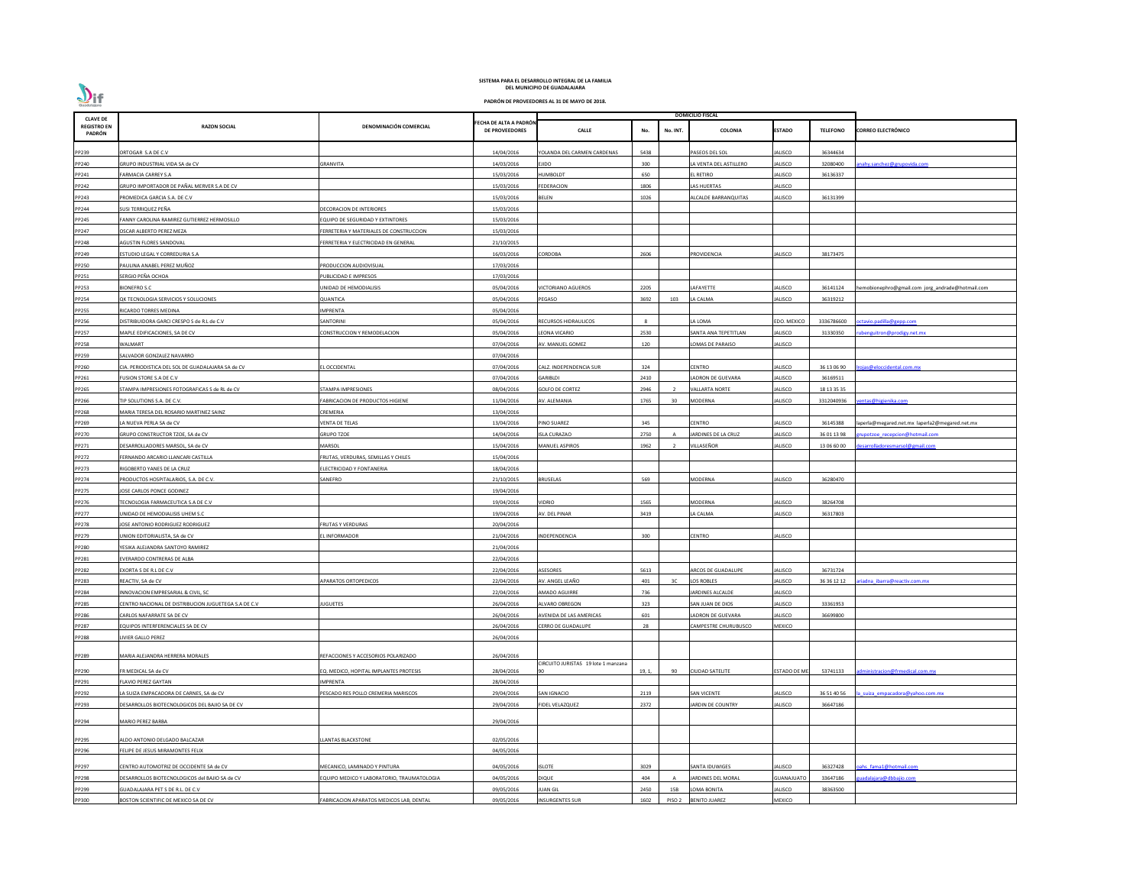| <b>CLAVE DE</b>              |                                                      |                                           |                                                 |                                    |        |                   | <b>DOMICILIO FISCAL</b> |                     |                 |                                                  |
|------------------------------|------------------------------------------------------|-------------------------------------------|-------------------------------------------------|------------------------------------|--------|-------------------|-------------------------|---------------------|-----------------|--------------------------------------------------|
| <b>REGISTRO EN</b><br>PADRÓN | <b>RAZON SOCIAL</b>                                  | DENOMINACIÓN COMERCIAL                    | FECHA DE ALTA A PADRÓN<br><b>DE PROVEEDORES</b> | <b>CALLE</b>                       | No.    | No. INT.          | <b>COLONIA</b>          | <b>ESTADO</b>       | <b>TELEFONO</b> | <b>CORREO ELECTRÓNICO</b>                        |
| PP239                        | ORTOGAR S.A DE C.V                                   |                                           | 14/04/2016                                      | YOLANDA DEL CARMEN CARDENAS        | 5438   |                   | PASEOS DEL SOL          | ALISCO              | 36344634        |                                                  |
| PP240                        | GRUPO INDUSTRIAL VIDA SA de CV                       | GRANVITA                                  | 14/03/2016                                      | EJIDO                              | 300    |                   | LA VENTA DEL ASTILLERO  | ALISCO              | 32080400        | nahy.sanchez@grupovida.com                       |
| PP241                        | <b>FARMACIA CARREY S.A</b>                           |                                           | 15/03/2016                                      | HUMBOLDT                           | 650    |                   | <b>L RETIRO</b>         | ALISCO              | 36136337        |                                                  |
| PP242                        | GRUPO IMPORTADOR DE PAÑAL MERVER S.A DE CV           |                                           | 15/03/2016                                      | <b>FEDERACION</b>                  | 1806   |                   | LAS HUERTAS             | ALISCO              |                 |                                                  |
| PP243                        | PROMEDICA GARCIA S.A. DE C.V                         |                                           | 15/03/2016                                      | BELEN                              | 1026   |                   | ALCALDE BARRANQUITAS    | ALISCO              | 36131399        |                                                  |
| PP244                        | SUSI TERRIQUEZ PEÑA                                  | DECORACION DE INTERIORES                  | 15/03/2016                                      |                                    |        |                   |                         |                     |                 |                                                  |
| PP245                        | FANNY CAROLINA RAMIREZ GUTIERREZ HERMOSILLO          | EQUIPO DE SEGURIDAD Y EXTINTORES          | 15/03/2016                                      |                                    |        |                   |                         |                     |                 |                                                  |
| PP247                        | OSCAR ALBERTO PEREZ MEZA                             | FERRETERIA Y MATERIALES DE CONSTRUCCION   | 15/03/2016                                      |                                    |        |                   |                         |                     |                 |                                                  |
| PP248                        | AGUSTIN FLORES SANDOVAL                              | FERRETERIA Y ELECTRICIDAD EN GENERAL      | 21/10/2015                                      |                                    |        |                   |                         |                     |                 |                                                  |
| PP249                        | ESTUDIO LEGAL Y CORREDURIA S.A                       |                                           | 16/03/2016                                      | CORDOBA                            | 2606   |                   | PROVIDENCIA             | ALISCO              | 38173475        |                                                  |
| PP250                        | PAULINA ANABEL PEREZ MUÑOZ                           | PRODUCCION AUDIOVISUAL                    | 17/03/2016                                      |                                    |        |                   |                         |                     |                 |                                                  |
| PP251                        | SERGIO PEÑA OCHOA                                    | UBLICIDAD E IMPRESOS                      | 17/03/2016                                      |                                    |        |                   |                         |                     |                 |                                                  |
| PP253                        | <b>BIONEFRO S.C</b>                                  | UNIDAD DE HEMODIALISIS                    | 05/04/2016                                      | <b>ICTORIANO AGUEROS</b>           | 2205   |                   | LAFAYETTE               | ALISCO              | 36141124        | hemobionephro@gmail.com jorg_andrade@hotmail.com |
| PP254                        | QK TECNOLOGIA SERVICIOS Y SOLUCIONES                 | QUANTICA                                  | 05/04/2016                                      | PEGASO                             | 3692   | 103               | LA CALMA                | ALISCO              | 36319212        |                                                  |
| PP255                        | RICARDO TORRES MEDINA                                | <b>MPRENTA</b>                            | 05/04/2016                                      |                                    |        |                   |                         |                     |                 |                                                  |
| PP256                        | DISTRIBUIDORA GARCI CRESPO S de R.L de C.V           | ANTORINI                                  | 05/04/2016                                      | RECURSOS HIDRAULICOS               | -8     |                   | A LOMA                  | <b>EDO. MEXICO</b>  | 3336786600      | octavio.padilla@gepp.com                         |
| PP257                        | MAPLE EDIFICACIONES, SA DE CV                        | CONSTRUCCION Y REMODELACION               | 05/04/2016                                      | EONA VICARIO                       | 2530   |                   | SANTA ANA TEPETITLAN    | ALISCO              | 31330350        | ubenguitron@prodigy.net.mx                       |
| PP258                        | WALMART                                              |                                           | 07/04/2016                                      | AV. MANUEL GOMEZ                   | 120    |                   | LOMAS DE PARAISO        | ALISCO              |                 |                                                  |
| PP259                        | SALVADOR GONZALEZ NAVARRO                            |                                           | 07/04/2016                                      |                                    |        |                   |                         |                     |                 |                                                  |
| PP260                        | CIA. PERIODISTICA DEL SOL DE GUADALAJARA SA de CV    | L OCCIDENTAL                              | 07/04/2016                                      | ALZ. INDEPENDENCIA SUR             | 324    |                   | CENTRO                  | ALISCO              | 36 13 06 90     | rojas@eloccidental.com.mx                        |
| PP261                        | FUSION STORE S.A DE C.V                              |                                           | 07/04/2016                                      | GARIBLDI                           | 2410   |                   | ADRON DE GUEVARA        | ALISCO              | 36169511        |                                                  |
| PP265                        | STAMPA IMPRESIONES FOTOGRAFICAS S de RL de CV        | STAMPA IMPRESIONES                        | 08/04/2016                                      | <b>GOLFO DE CORTEZ</b>             | 2946   |                   | <b>VALLARTA NORTE</b>   | ALISCO              | 18 13 35 35     |                                                  |
| PP266                        | TIP SOLUTIONS S.A. DE C.V.                           | ABRICACION DE PRODUCTOS HIGIENE           | 11/04/2016                                      | AV. ALEMANIA                       | 1765   | 30                | <b>MODERNA</b>          | ALISCO              | 3312040936      | entas@higienika.com                              |
| PP268                        | MARIA TERESA DEL ROSARIO MARTINEZ SAINZ              | CREMERIA                                  | 13/04/2016                                      |                                    |        |                   |                         |                     |                 |                                                  |
| PP269                        | LA NUEVA PERLA SA de CV                              | VENTA DE TELAS                            | 13/04/2016                                      | PINO SUAREZ                        | 345    |                   | <b>CENTRO</b>           | ALISCO              | 36145388        | laperla@megared.net.mx laperla2@megared.net.mx   |
| PP270                        | GRUPO CONSTRUCTOR TZOE, SA de CV                     | <b>GRUPO TZOE</b>                         | 14/04/2016                                      | <b>ISLA CURAZAO</b>                | 2750   |                   | JARDINES DE LA CRUZ     | ALISCO              | 36 01 13 98     | upotzoe recepcion@hotmail.com                    |
| PP271                        | DESARROLLADORES MARSOL, SA de CV                     | MARSOL                                    | 15/04/2016                                      | MANUEL ASPIROS                     | 1962   |                   | VILLASEÑOR              | ALISCO              | 13 06 60 00     | esarrolladoresmarsol@gmail.com                   |
| PP272                        | FERNANDO ARCARIO LLANCARI CASTILLA                   | FRUTAS, VERDURAS, SEMILLAS Y CHILES       | 15/04/2016                                      |                                    |        |                   |                         |                     |                 |                                                  |
| PP273                        | RIGOBERTO YANES DE LA CRUZ                           | ELECTRICIDAD Y FONTANERIA                 | 18/04/2016                                      |                                    |        |                   |                         |                     |                 |                                                  |
| PP274                        | PRODUCTOS HOSPITALARIOS, S.A. DE C.V.                | SANEFRO                                   | 21/10/2015                                      | <b>BRUSELAS</b>                    | 569    |                   | MODERNA                 | ALISCO              | 36280470        |                                                  |
| PP275                        | JOSE CARLOS PONCE GODINEZ                            |                                           | 19/04/2016                                      |                                    |        |                   |                         |                     |                 |                                                  |
| PP276                        | TECNOLOGIA FARMACEUTICA S.A DE C.V                   |                                           | 19/04/2016                                      | <b>IDRIO</b>                       | 1565   |                   | MODERNA                 | ALISCO              | 38264708        |                                                  |
| PP277                        | UNIDAD DE HEMODIALISIS UHEM S.C                      |                                           | 19/04/2016                                      | AV. DEL PINAR                      | 3419   |                   | A CALMA                 | ALISCO              | 36317803        |                                                  |
| PP278                        | JOSE ANTONIO RODRIGUEZ RODRIGUEZ                     | FRUTAS Y VERDURAS                         | 20/04/2016                                      |                                    |        |                   |                         |                     |                 |                                                  |
| PP279                        | UNION EDITORIALISTA, SA de CV                        | EL INFORMADOR                             | 21/04/2016                                      | NDEPENDENCIA                       | 300    |                   | <b>CENTRO</b>           | ALISCO              |                 |                                                  |
| PP280                        | YESIKA ALEJANDRA SANTOYO RAMIREZ                     |                                           | 21/04/2016                                      |                                    |        |                   |                         |                     |                 |                                                  |
| PP281                        | EVERARDO CONTRERAS DE ALBA                           |                                           | 22/04/2016                                      |                                    |        |                   |                         |                     |                 |                                                  |
| PP282                        | EXORTA S DE R.L DE C.V                               |                                           | 22/04/2016                                      | <b>ASESORES</b>                    | 5613   |                   | ARCOS DE GUADALUPE      | ALISCO              | 36731724        |                                                  |
| PP283                        | REACTIV, SA de CV                                    | <b>APARATOS ORTOPEDICOS</b>               | 22/04/2016                                      | AV. ANGEL LEAÑO                    | 401    | 3C                | LOS ROBLES              | ALISCO              | 36 36 12 12     | riadna ibarra@reactiv.com.mx                     |
|                              | INNOVACION EMPRESARIAL & CIVIL, SC                   |                                           | 22/04/2016                                      | <b>MADO AGUIRRE</b>                | 736    |                   | JARDINES ALCALDE        | ALISCO              |                 |                                                  |
| PP284<br>PP285               | CENTRO NACIONAL DE DISTRIBUCION JUGUETEGA S.A DE C.V | UGUETES                                   | 26/04/2016                                      | ALVARO OBREGON                     | 323    |                   | SAN JUAN DE DIOS        | ALISCO              | 33361953        |                                                  |
| PP286                        | CARLOS NAFARRATE SA DE CV                            |                                           | 26/04/2016                                      | AVENIDA DE LAS AMERICAS            | 601    |                   | LADRON DE GUEVARA       | ALISCO              | 36699800        |                                                  |
| PP287                        | EQUIPOS INTERFERENCIALES SA DE CV                    |                                           | 26/04/2016                                      | CERRO DE GUADALUPE                 | 28     |                   | CAMPESTRE CHURUBUSCO    | MEXICO              |                 |                                                  |
| PP288                        | LIVIER GALLO PEREZ                                   |                                           | 26/04/2016                                      |                                    |        |                   |                         |                     |                 |                                                  |
|                              |                                                      |                                           |                                                 |                                    |        |                   |                         |                     |                 |                                                  |
| PP289                        | MARIA ALEJANDRA HERRERA MORALES                      | REFACCIONES Y ACCESORIOS POLARIZADO       | 26/04/2016                                      |                                    |        |                   |                         |                     |                 |                                                  |
| PP290                        | FR MEDICAL SA de CV                                  | EQ. MEDICO, HOPITAL IMPLANTES PROTESIS    | 28/04/2016                                      | IRCUITO JURISTAS 19 lote 1 manzana | 19, 1, | 90                | <b>CIUDAD SATELITE</b>  | <b>ESTADO DE ME</b> | 53741133        | dministracion@frmedical.com.mx                   |
| PP291                        | <b>FLAVIO PEREZ GAYTAN</b>                           | <b>MPRENTA</b>                            | 28/04/2016                                      |                                    |        |                   |                         |                     |                 |                                                  |
| PP292                        | LA SUIZA EMPACADORA DE CARNES, SA de CV              | PESCADO RES POLLO CREMERIA MARISCOS       | 29/04/2016                                      | SAN IGNACIO                        | 2119   |                   | <b>SAN VICENTE</b>      | ALISCO              | 36 51 40 56     | a suiza empacadora@yahoo.com.mx                  |
| PP293                        | DESARROLLOS BIOTECNOLOGICOS DEL BAJIO SA DE CV       |                                           | 29/04/2016                                      | <b>FIDEL VELAZQUEZ</b>             | 2372   |                   | JARDIN DE COUNTRY       | ALISCO              | 36647186        |                                                  |
| PP294                        | <b>MARIO PEREZ BARBA</b>                             |                                           | 29/04/2016                                      |                                    |        |                   |                         |                     |                 |                                                  |
|                              |                                                      |                                           |                                                 |                                    |        |                   |                         |                     |                 |                                                  |
| PP295                        | ALDO ANTONIO DELGADO BALCAZAR                        | <b>LANTAS BLACKSTONE</b>                  | 02/05/2016                                      |                                    |        |                   |                         |                     |                 |                                                  |
| PP296                        | FELIPE DE JESUS MIRAMONTES FELIX                     |                                           | 04/05/2016                                      |                                    |        |                   |                         |                     |                 |                                                  |
| PP297                        | CENTRO AUTOMOTRIZ DE OCCIDENTE SA de CV              | MECANICO, LAMINADO Y PINTURA              | 04/05/2016                                      | <b>ISLOTE</b>                      | 3029   |                   | SANTA IDUWIGES          | ALISCO              | 36327428        | pahs fama1@hotmail.com                           |
| PP298                        | DESARROLLOS BIOTECNOLOGICOS del BAJIO SA de CV       | QUIPO MEDICO Y LABORATORIO, TRAUMATOLOGIA | 04/05/2016                                      | DIQUE                              | 404    |                   | JARDINES DEL MORAL      | <b>GUANAJUATO</b>   | 33647186        | uadalajara@dbbajio.com                           |
| PP299                        | GUADALAJARA PET S DE R.L. DE C.V                     |                                           | 09/05/2016                                      | <b>UAN GIL</b>                     | 2450   | 15B               | OMA BONITA              | ALISCO              | 38363500        |                                                  |
| PP300                        | BOSTON SCIENTIFIC DE MEXICO SA DE CV                 | ABRICACION APARATOS MEDICOS LAB, DENTAL   | 09/05/2016                                      | <b>INSURGENTES SUR</b>             | 1602   | PISO <sub>2</sub> | <b>BENITO JUAREZ</b>    | MEXICO              |                 |                                                  |
|                              |                                                      |                                           |                                                 |                                    |        |                   |                         |                     |                 |                                                  |

**PADRÓN DE PROVEEDORES AL 31 DE MAYO DE 2018.**

 $\sum_{\text{Guadalajara}}$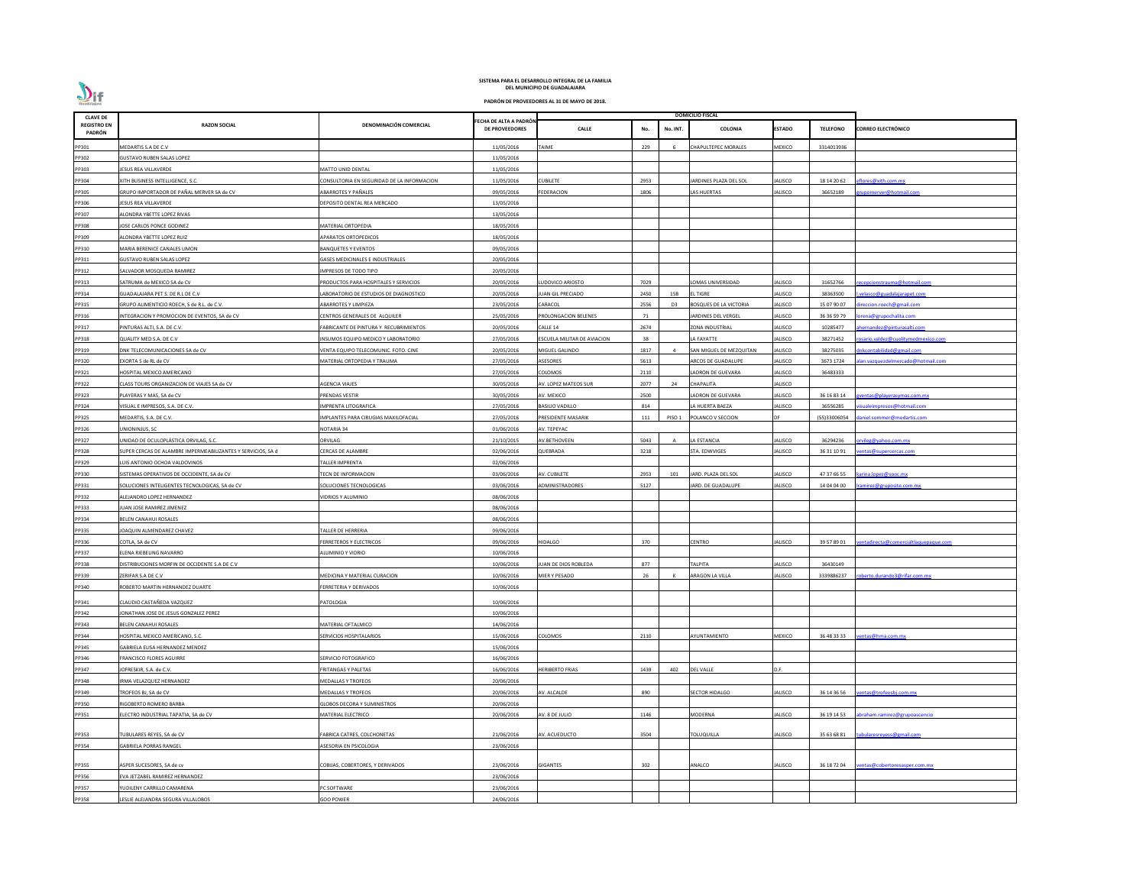

| <b>CLAVE DE</b>              |                                                              |                                            |                                                 |                             |      |                | <b>DOMICILIO FISCAL</b>       |                |                 |                                      |
|------------------------------|--------------------------------------------------------------|--------------------------------------------|-------------------------------------------------|-----------------------------|------|----------------|-------------------------------|----------------|-----------------|--------------------------------------|
| <b>REGISTRO EN</b><br>PADRÓN | <b>RAZON SOCIAL</b>                                          | <b>DENOMINACIÓN COMERCIAL</b>              | FECHA DE ALTA A PADRÓN<br><b>DE PROVEEDORES</b> | <b>CALLE</b>                | No.  | No. INT.       | COLONIA                       | E <b>STADO</b> | <b>TELEFONO</b> | <b>CORREO ELECTRÓNICO</b>            |
| PP301                        | MEDARTIS S.A DE C.V                                          |                                            | 11/05/2016                                      | TAIME                       | 229  |                | CHAPULTEPEC MORALES           | MEXICO         | 3314013936      |                                      |
| PP302                        | <b>GUSTAVO RUBEN SALAS LOPEZ</b>                             |                                            | 11/05/2016                                      |                             |      |                |                               |                |                 |                                      |
| PP303                        | JESUS REA VILLAVERDE                                         | MATTO UNID DENTAL                          | 11/05/2016                                      |                             |      |                |                               |                |                 |                                      |
| PP304                        | KITH BUSINESS INTELLIGENCE, S.C.                             | CONSULTORIA EN SEGURIDAD DE LA INFORMACION | 11/05/2016                                      | CUBILETE                    | 2953 |                | ARDINES PLAZA DEL SOL         | ALISCO         | 18 14 20 62     | flores@xith.com.mx                   |
| PP305                        | GRUPO IMPORTADOR DE PAÑAL MERVER SA de CV                    | ABARROTES Y PAÑALES                        | 09/05/2016                                      | <b>FEDERACION</b>           | 1806 |                | AS HUERTAS                    | JALISCO        | 36652189        | rupomerver@hotmail.com               |
| PP306                        | JESUS REA VILLAVERDE                                         | DEPOSITO DENTAL REA MERCADO                | 13/05/2016                                      |                             |      |                |                               |                |                 |                                      |
| PP307                        | ALONDRA YBETTE LOPEZ RIVAS                                   |                                            | 13/05/2016                                      |                             |      |                |                               |                |                 |                                      |
| PP308                        | JOSE CARLOS PONCE GODINEZ                                    | MATERIAL ORTOPEDIA                         | 18/05/2016                                      |                             |      |                |                               |                |                 |                                      |
| PP309                        | ALONDRA YBETTE LOPEZ RUIZ                                    | APARATOS ORTOPEDICOS                       | 18/05/2016                                      |                             |      |                |                               |                |                 |                                      |
| PP310                        | MARIA BERENICE CANALES LIMON                                 | <b>BANQUETES Y EVENTOS</b>                 | 09/05/2016                                      |                             |      |                |                               |                |                 |                                      |
| PP311                        | <b>GUSTAVO RUBEN SALAS LOPEZ</b>                             | <b>GASES MEDICINALES E INDUSTRIALES</b>    | 20/05/2016                                      |                             |      |                |                               |                |                 |                                      |
| PP312                        | SALVADOR MOSQUEDA RAMIREZ                                    | IMPRESOS DE TODO TIPO                      | 20/05/2016                                      |                             |      |                |                               |                |                 |                                      |
| PP313                        | SATRUMA de MEXICO SA de CV                                   | PRODUCTOS PARA HOSPITALES Y SERVICIOS      | 20/05/2016                                      | UDOVICO ARIOSTO             | 7029 |                | OMAS UNIVERSIDAD              | JALISCO        | 31652766        | <u>ecepcionstrauma@hotmail.com</u>   |
| PP314                        | GUADALAJARA PET S. DE R.L DE C.V                             | ABORATORIO DE ESTUDIOS DE DIAGNOSTICO      | 20/05/2016                                      | JUAN GIL PRECIADO           | 2450 | 15B            | L TIGRE                       | JALISCO        | 38363500        | velasco@guadalajarapet.com           |
| PP315                        | GRUPO ALIMENTICIO ROECH, S de R.L. de C.V.                   | <b>ABARROTES Y LIMPIEZA</b>                | 23/05/2016                                      | CARACOL                     | 2556 | D <sub>3</sub> | <b>BOSQUES DE LA VICTORIA</b> | ALISCO         | 15 07 90 07     | ireccion.roech@gmail.com             |
| PP316                        | INTEGRACION Y PROMOCION DE EVENTOS, SA de CV                 | CENTROS GENERALES DE ALQUILER              | 25/05/2016                                      | PROLONGACION BELENES        | 71   |                | ARDINES DEL VERGEL            | JALISCO        | 36 36 59 79     | orena@grupochalita.com               |
| PP317                        | PINTURAS ALTI, S.A. DE C.V.                                  | FABRICANTE DE PINTURA Y RECUBRIMIENTOS     | 20/05/2016                                      | CALLE 14                    | 2674 |                | ZONA INDUSTRIAL               | JALISCO        | 10285477        | hernandez@pinturasalti.com           |
| PP318                        | QUALITY MED S.A. DE C.V                                      | NSUMOS EQUIPO MEDICO Y LABORATORIO         | 27/05/2016                                      | ESCUELA MILITAR DE AVIACION | 38   |                | A FAYATTE                     | JALISCO        | 38271452        | osario.valdez@cuolitymedmexico.com   |
| PP319                        | DNK TELECOMUNICACIONES SA de CV                              | VENTA EQUIPO TELECOMUNIC. FOTO. CINE       | 20/05/2016                                      | MIGUEL GALINDO              | 1817 |                | SAN MIGUEL DE MEZQUITAN       | JALISCO        | 38275035        | nkcontabilidad@gmail.com             |
| PP320                        | EXORTA S de RL de CV                                         | MATERIAL ORTOPEDIA Y TRAUMA                | 27/05/2016                                      | ASESORES                    | 5613 |                | <b>ARCOS DE GUADALUPE</b>     | JALISCO        | 3673 1724       | an.vazquezdelmercado@hotmail.com     |
| PP321                        | HOSPITAL MEXICO AMERICANO                                    |                                            | 27/05/2016                                      | COLOMOS                     | 2110 |                | ADRON DE GUEVARA              | JALISCO        | 36483333        |                                      |
| PP322                        |                                                              | AGENCIA VIAJES                             | 30/05/2016                                      | AV. LOPEZ MATEOS SUR        | 2077 | 24             |                               | JALISCO        |                 |                                      |
|                              | CLASS TOURS ORGANIZACION DE VIAJES SA de CV                  |                                            |                                                 |                             |      |                | CHAPALITA                     |                |                 |                                      |
| PP323                        | PLAYERAS Y MAS, SA de CV                                     | PRENDAS VESTIR                             | 30/05/2016                                      | AV. MEXICO                  | 2500 |                | ADRON DE GUEVARA              | JALISCO        | 36 16 83 14     | <u>ventas@playerasymas.com.mx</u>    |
| PP324                        | VISUAL E IMPRESOS, S.A. DE C.V.                              | IMPRENTA LITOGRAFICA                       | 27/05/2016                                      | <b>BASILIO VADILLO</b>      | 814  |                | A HUERTA BAEZA                | JALISCO        | 36556285        | sualeimpresos@hotmail.com            |
| PP325                        | MEDARTIS, S.A. DE C.V.                                       | IMPLANTES PARA CIRUGIAS MAXILOFACIAL       | 27/05/2016                                      | PRESIDENTE MASARIK          | 111  | PISO 1         | POLANCO V SECCION             |                | (55)33006054    | daniel.sommer@medartis.com           |
| PP326                        | JNIONINJUS, SC                                               | NOTARIA 34                                 | 01/06/2016                                      | AV. TEPEYAC                 |      |                |                               |                |                 |                                      |
| PP327                        | JNIDAD DE OCULOPLÁSTICA ORVILAG, S.C.                        | ORVILAG                                    | 21/10/2015                                      | AV.BETHOVEEN                | 5043 |                | A ESTANCIA                    | ALISCO         | 36294236        | rvileg@yahoo.com.mx                  |
| PP328                        | SUPER CERCAS DE ALAMBRE IMPERMEABILIZANTES Y SERVICIOS, SA d | <b>CERCAS DE ALAMBRE</b>                   | 02/06/2016                                      | QUEBRADA                    | 3218 |                | TA. EDWVIGES                  | JALISCO        | 36 31 10 91     | entas@supercercas.com                |
| PP329                        | LUIS ANTONIO OCHOA VALDOVINOS                                | TALLER IMPRENTA                            | 02/06/2016                                      |                             |      |                |                               |                |                 |                                      |
| PP330                        | SISTEMAS OPERATIVOS DE OCCIDENTE, SA de CV                   | TECN DE INFORMACION                        | 03/06/2016                                      | AV. CUBILETE                | 2953 | 101            | JARD. PLAZA DEL SOL           | JALISCO        | 47 37 66 55     | karina.lopez@sooc.mx                 |
| PP331                        | SOLUCIONES INTELIGENTES TECNOLOGICAS, SA de CV               | SOLUCIONES TECNOLOGICAS                    | 03/06/2016                                      | ADMINISTRADORES             | 5127 |                | JARD. DE GUADALUPE            | <b>JALISCO</b> | 14 04 04 00     | amirez@gruposite.com.mx              |
| PP332                        | ALEJANDRO LOPEZ HERNANDEZ                                    | VIDRIOS Y ALUMINIO                         | 08/06/2016                                      |                             |      |                |                               |                |                 |                                      |
| PP333                        | JUAN JOSE RAMIREZ JIMENEZ                                    |                                            | 08/06/2016                                      |                             |      |                |                               |                |                 |                                      |
| PP334                        | BELEN CANAHUI ROSALES                                        |                                            | 08/06/2016                                      |                             |      |                |                               |                |                 |                                      |
| PP335                        | JOAQUIN ALMENDAREZ CHAVEZ                                    | <b>TALLER DE HERRERIA</b>                  | 09/06/2016                                      |                             |      |                |                               |                |                 |                                      |
| PP336                        | COTLA, SA de CV                                              | <b>ERRETEROS Y ELECTRICOS</b>              | 09/06/2016                                      | HIDALGO                     | 370  |                | <b>ENTRO</b>                  | <b>JALISCO</b> | 39 57 89 01     | entadirecta@comercialtlaquepaque.com |
| PP337                        | ELENA RIEBELING NAVARRO                                      | <b>ALUMINIO Y VIDRIO</b>                   | 10/06/2016                                      |                             |      |                |                               |                |                 |                                      |
| PP338                        | DISTRIBUCIONES MORFIN DE OCCIDENTE S.A DE C.V                |                                            | 10/06/2016                                      | JUAN DE DIOS ROBLEDA        | 877  |                | ΆΙΡΙΤΑ                        | JALISCO        | 36430149        |                                      |
| PP339                        | ZERIFAR S.A DE C.V                                           | MEDICINA Y MATERIAL CURACION               | 10/06/2016                                      | MIER Y PESADO               | 26   |                | ARAGON LA VILLA               | JALISCO        | 3339886237      | oberto.durando3@rifar.com.mx         |
| PP340                        | ROBERTO MARTIN HERNANDEZ DUARTE                              | ERRETERIA Y DERIVADOS                      | 10/06/2016                                      |                             |      |                |                               |                |                 |                                      |
| PP341                        | CLAUDIO CASTAÑEDA VAZQUEZ                                    | PATOLOGIA                                  | 10/06/2016                                      |                             |      |                |                               |                |                 |                                      |
| PP342                        | JONATHAN JOSE DE JESUS GONZALEZ PEREZ                        |                                            | 10/06/2016                                      |                             |      |                |                               |                |                 |                                      |
| PP343                        | BELEN CANAHUI ROSALES                                        | MATERIAL OFTALMICO                         | 14/06/2016                                      |                             |      |                |                               |                |                 |                                      |
| PP344                        | HOSPITAL MEXICO AMERICANO, S.C.                              | <b>SERVICIOS HOSPITALARIOS</b>             | 15/06/2016                                      | COLOMOS                     | 2110 |                | <b>YUNTAMIENTO</b>            | MEXICO         | 36 48 33 33     | entas@hma.com.mx                     |
| PP345                        | GABRIELA ELISA HERNANDEZ MENDEZ                              |                                            | 15/06/2016                                      |                             |      |                |                               |                |                 |                                      |
| PP346                        | FRANCISCO FLORES AGUIRRE                                     | SERVICIO FOTOGRAFICO                       | 16/06/2016                                      |                             |      |                |                               |                |                 |                                      |
| PP347                        | JOFRESKIR, S.A. de C.V.                                      | FRITANGAS Y PALETAS                        | 16/06/2016                                      | <b>HERIBERTO FRIAS</b>      | 1439 | 402            | <b>DEL VALLE</b>              | D.F.           |                 |                                      |
| PP348                        | IRMA VELAZQUEZ HERNANDEZ                                     | <b>MEDALLAS Y TROFEOS</b>                  | 20/06/2016                                      |                             |      |                |                               |                |                 |                                      |
| PP349                        | TROFEOS BJ, SA de CV                                         | <b>MEDALLAS Y TROFEOS</b>                  | 20/06/2016                                      | AV. ALCALDE                 | 890  |                | <b>SECTOR HIDALGO</b>         | JALISCO        | 36 14 36 56     | entas@trofeosbj.com.mx               |
| PP350                        | RIGOBERTO ROMERO BARBA                                       | GLOBOS DECORA Y SUMINISTROS                | 20/06/2016                                      |                             |      |                |                               |                |                 |                                      |
| PP351                        | ELECTRO INDUSTRIAL TAPATIA, SA de CV                         | MATERIAL ELECTRICO                         | 20/06/2016                                      | AV. 8 DE JULIO              | 1146 |                | MODERNA                       | JALISCO        | 36 19 14 53     | abraham.ramirez@grupoascencio        |
|                              |                                                              |                                            |                                                 |                             |      |                |                               |                |                 |                                      |
| PP353                        | TUBULARES REYES, SA de CV                                    | FABRICA CATRES, COLCHONETAS                | 21/06/2016                                      | AV. ACUEDUCTO               | 3504 |                | TOLUQUILLA                    | JALISCO        | 35 63 68 81     | :ubularesreyess@gmail.com            |
| PP354                        | GABRIELA PORRAS RANGEL                                       | ASESORIA EN PSICOLOGIA                     | 23/06/2016                                      |                             |      |                |                               |                |                 |                                      |
|                              |                                                              |                                            |                                                 |                             |      |                |                               |                |                 |                                      |
| PP355                        | ASPER SUCESORES, SA de cv                                    | COBIJAS, COBERTORES, Y DERIVADOS           | 23/06/2016                                      | GIGANTES                    | 302  |                | NALCO                         | JALISCO        | 36 18 72 04     | entas@cobertoresasper.com.mx         |
| PP356                        | EVA JETZABEL RAMIREZ HERNANDEZ                               |                                            | 23/06/2016                                      |                             |      |                |                               |                |                 |                                      |
| PP357                        | UDILENY CARRILLO CAMARENA                                    | <b>C SOFTWARE</b>                          | 23/06/2016                                      |                             |      |                |                               |                |                 |                                      |
| PP358                        | LESLIE ALEJANDRA SEGURA VILLALOBOS                           | <b>GOO POWER</b>                           | 24/06/2016                                      |                             |      |                |                               |                |                 |                                      |
|                              |                                                              |                                            |                                                 |                             |      |                |                               |                |                 |                                      |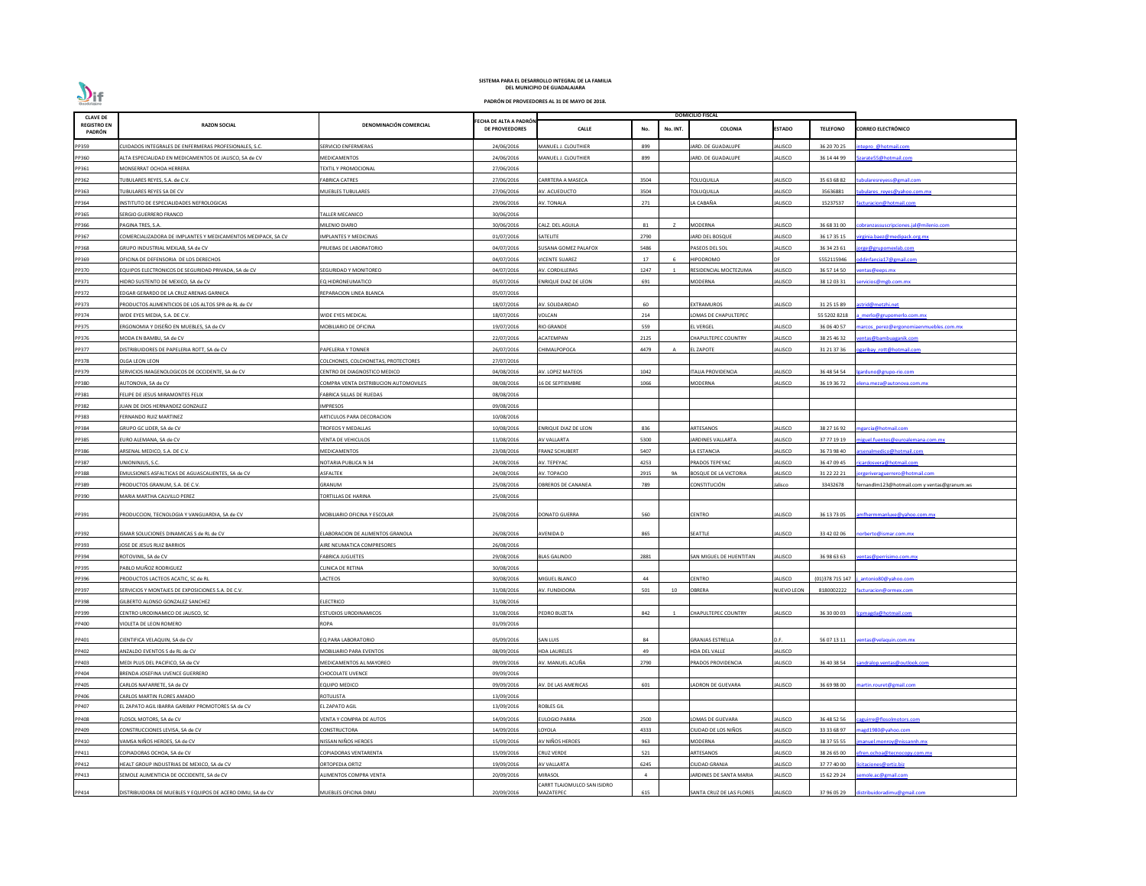| <b>CLAVE DE</b>              |                                                              |                                       |                                                 |                                          |                |          | <b>DOMICILIO FISCAL</b>      |                   |                 |                                             |
|------------------------------|--------------------------------------------------------------|---------------------------------------|-------------------------------------------------|------------------------------------------|----------------|----------|------------------------------|-------------------|-----------------|---------------------------------------------|
| <b>REGISTRO EN</b><br>PADRÓN | <b>RAZON SOCIAL</b>                                          | DENOMINACIÓN COMERCIAL                | FECHA DE ALTA A PADRÓN<br><b>DE PROVEEDORES</b> | <b>CALLE</b>                             | No.            | No. INT. | <b>COLONIA</b>               | <b>ESTADO</b>     | <b>TELEFONO</b> | <b>CORREO ELECTRÓNICO</b>                   |
| PP359                        | UIDADOS INTEGRALES DE ENFERMERAS PROFESIONALES, S.C.         | SERVICIO ENFERMERAS                   | 24/06/2016                                      | MANUEL J. CLOUTHIER                      | 899            |          | JARD. DE GUADALUPE           | <b>IALISCO</b>    | 36 20 70 25     | tepro @hotmail.com                          |
| PP360                        | ALTA ESPECIALIDAD EN MEDICAMENTOS DE JALISCO, SA de CV       | MEDICAMENTOS                          | 24/06/2016                                      | MANUEL J. CLOUTHIER                      | 899            |          | <b>IARD. DE GUADALUPE</b>    | <b>IALISCO</b>    | 36 14 44 99     | arate55@hotmail.com                         |
| PP361                        | MONSERRAT OCHOA HERRERA                                      | <b>EXTIL Y PROMOCIONAL</b>            | 27/06/2016                                      |                                          |                |          |                              |                   |                 |                                             |
| PP362                        | TUBULARES REYES, S.A. de C.V.                                | FABRICA CATRES                        | 27/06/2016                                      | CARRTERA A MASECA                        | 3504           |          | <b>TOLUQUILLA</b>            | IALISCO           | 35 63 68 82     | doularesreyess@gmail.com                    |
| PP363                        | TUBULARES REYES SA DE CV                                     | MUEBLES TUBULARES                     | 27/06/2016                                      | AV. ACUEDUCTO                            | 3504           |          | <b>TOLUQUILLA</b>            | <b>IALISCO</b>    | 35636881        | ibulares reyes@yahoo.com.mx                 |
| PP364                        | INSTITUTO DE ESPECIALIDADES NEFROLOGICAS                     |                                       | 29/06/2016                                      | AV. TONALA                               | 271            |          | LA CABAÑA                    | JALISCO           | 15237537        | cturacion@hotmail.com                       |
| PP365                        | SERGIO GUERRERO FRANCO                                       | ALLER MECANICO                        | 30/06/2016                                      |                                          |                |          |                              |                   |                 |                                             |
| PP366                        | PAGINA TRES, S.A.                                            | MILENIO DIARIO                        | 30/06/2016                                      | CALZ. DEL AGUILA                         | 81             |          | <b>MODERNA</b>               | IALISCO           | 36 68 31 00     | bbranzassus cripciones.jal@milenio.com      |
| PP367                        | COMERCIALIZADORA DE IMPLANTES Y MEDICAMENTOS MEDIPACK, SA CV | <b>IMPLANTES Y MEDICINAS</b>          | 01/07/2016                                      | SATELITE                                 | 2790           |          | JARD DEL BOSQUE              | JALISCO           | 36 17 35 15     | irginia.baez@medipack.org.mx                |
| PP368                        | GRUPO INDUSTRIAL MEXLAB, SA de CV                            | RUEBAS DE LABORATORIO                 | 04/07/2016                                      | SUSANA GOMEZ PALAFOX                     | 5486           |          | PASEOS DEL SOL               | <b>IALISCO</b>    | 36 34 23 61     | rge@grupomexlab.com                         |
| PP369                        | OFICINA DE DEFENSORIA DE LOS DERECHOS                        |                                       | 04/07/2016                                      | VICENTE SUAREZ                           | 17             | -6       | <b>HIPODROMO</b>             | <b>DF</b>         | 5552115946      | ddinfancia17@gmail.com                      |
| PP370                        | EQUIPOS ELECTRONICOS DE SEGURIDAD PRIVADA, SA de CV          | SEGURIDAD Y MONITOREO                 | 04/07/2016                                      | AV. CORDILLERAS                          | 1247           |          | RESIDENCIAL MOCTEZUMA        | <b>IALISCO</b>    | 36 57 14 50     | entas@eeps.mx                               |
| PP371                        | HIDRO SUSTENTO DE MEXICO, SA de CV                           | Q HIDRONEUMATICO                      | 05/07/2016                                      | ENRIQUE DIAZ DE LEON                     | 691            |          | MODERNA                      | <b>IALISCO</b>    | 38 12 03 31     | ervicios@mgb.com.mx                         |
| PP372                        | EDGAR GERARDO DE LA CRUZ ARENAS GARNICA                      | REPARACION LINEA BLANCA               | 05/07/2016                                      |                                          |                |          |                              |                   |                 |                                             |
| PP373                        | PRODUCTOS ALIMENTICIOS DE LOS ALTOS SPR de RL de CV          |                                       | 18/07/2016                                      | AV. SOLIDARIDAD                          | 60             |          | EXTRAMUROS                   | IALISCO           | 31 25 15 89     | strid@metzhi.net                            |
| PP374                        | WIDE EYES MEDIA, S.A. DE C.V.                                | <b>NIDE EYES MEDICAL</b>              | 18/07/2016                                      | VOLCAN                                   | 214            |          | OMAS DE CHAPULTEPEC          |                   | 55 5202 8218    | merlo@grupomerlo.com.mx                     |
| PP375                        | ERGONOMIA Y DISEÑO EN MUEBLES, SA de CV                      | MOBILIARIO DE OFICINA                 | 19/07/2016                                      | RIO GRANDE                               | 559            |          | EL VERGEL                    | IALISCO           | 36 06 40 57     | arcos perez@ergonomiaenmuebles.com.mx       |
| PP376                        | MODA EN BAMBU, SA de CV                                      |                                       | 22/07/2016                                      | <b>ACATEMPAN</b>                         | 2125           |          | CHAPULTEPEC COUNTRY          | <b>IALISCO</b>    | 38 25 46 32     | entas@bambuaganik.com                       |
| PP377                        | DISTRIBUIDORES DE PAPELERIA ROTT, SA de CV                   | PAPELERIA Y TONNER                    | 26/07/2016                                      | CHIMALPOPOCA                             | 4479           | A        | <b>EL ZAPOTE</b>             | <b>IALISCO</b>    | 31 21 37 36     | garibay rott@hotmail.com                    |
| PP378                        | OLGA LEON LEON                                               | COLCHONES, COLCHONETAS, PROTECTORES   | 27/07/2016                                      |                                          |                |          |                              |                   |                 |                                             |
| PP379                        | SERVICIOS IMAGENOLOGICOS DE OCCIDENTE, SA de CV              | CENTRO DE DIAGNOSTICO MEDICO          | 04/08/2016                                      | AV. LOPEZ MATEOS                         | 1042           |          | TALIA PROVIDENCIA            | IALISCO           | 36 48 54 54     | arduno@grupo-rio.com                        |
| PP380                        | AUTONOVA, SA de CV                                           | COMPRA VENTA DISTRIBUCION AUTOMOVILES | 08/08/2016                                      | <b>16 DE SEPTIEMBRE</b>                  | 1066           |          | MODERNA                      | <b>IALISCO</b>    | 36 19 36 72     | ena.meza@autonova.com.mx                    |
| PP381                        | FELIPE DE JESUS MIRAMONTES FELIX                             | FABRICA SILLAS DE RUEDAS              | 08/08/2016                                      |                                          |                |          |                              |                   |                 |                                             |
| PP382                        | JUAN DE DIOS HERNANDEZ GONZALEZ                              | IMPRESOS                              | 09/08/2016                                      |                                          |                |          |                              |                   |                 |                                             |
| PP383                        | <b>ERNANDO RUIZ MARTINEZ</b>                                 | ARTICULOS PARA DECORACION             | 10/08/2016                                      |                                          |                |          |                              |                   |                 |                                             |
| PP384                        | GRUPO GC LIDER, SA de CV                                     | ROFEOS Y MEDALLAS                     | 10/08/2016                                      | ENRIQUE DIAZ DE LEON                     | 836            |          | ARTESANOS                    | IALISCO           | 38 27 16 92     | garcia@hotmail.com                          |
| PP385                        | URO ALEMANA, SA de CV                                        | <b>/ENTA DE VEHICULOS</b>             | 11/08/2016                                      | AV VALLARTA                              | 5300           |          | IARDINES VALLARTA            | <b>IALISCO</b>    | 37 77 19 19     | iguel.fuentes@euroalemana.com.mx            |
| PP386                        | ARSENAL MEDICO, S.A. DE C.V.                                 | MEDICAMENTOS                          | 23/08/2016                                      | <b>FRANZ SCHUBERT</b>                    | 5407           |          | LA ESTANCIA                  | IALISCO           | 36 73 98 40     | senalmedico@hotmail.com                     |
| PP387                        | UNIONINJUS, S.C.                                             | NOTARIA PUBLICA N 34                  | 24/08/2016                                      | AV. TEPEYAC                              | 4253           |          | PRADOS TEPEYAC               | <b>ALISCO</b>     | 36 47 09 45     | ricardosvera@hotmail.com                    |
| PP388                        | EMULSIONES ASFALTICAS DE AGUASCALIENTES, SA de CV            | ASFALTEK                              | 24/08/2016                                      | AV. TOPACIO                              | 2915           | 9A       | <b>BOSQUE DE LA VICTORIA</b> | <b>IALISCO</b>    | 31 22 22 21     | jorgeriveraguerrero@hotmail.com             |
| PP389                        | PRODUCTOS GRANUM, S.A. DE C.V.                               | GRANUM                                | 25/08/2016                                      | OBREROS DE CANANEA                       | 789            |          | CONSTITUCIÓN                 | lalisco           | 33432678        | fernandlm123@hotmail.com y ventas@granum.ws |
| PP390                        | MARIA MARTHA CALVILLO PEREZ                                  | TORTILLAS DE HARINA                   | 25/08/2016                                      |                                          |                |          |                              |                   |                 |                                             |
|                              |                                                              |                                       |                                                 |                                          |                |          |                              |                   |                 |                                             |
| PP391                        | PRODUCCION, TECNOLOGIA Y VANGUARDIA, SA de CV                | MOBILIARIO OFICINA Y ESCOLAR          | 25/08/2016                                      | <b>DONATO GUERRA</b>                     | 560            |          | <b>CENTRO</b>                | JALISCO           | 36 13 73 05     | mfhermmanluxe@yahoo.com.mx                  |
| PP392                        | ISMAR SOLUCIONES DINAMICAS S de RL de CV                     | ELABORACION DE ALIMENTOS GRANOLA      | 26/08/2016                                      | AVENIDA D                                | 865            |          | SEATTLE                      | JALISCO           | 33 42 02 06     | orberto@ismar.com.mx                        |
| PP393                        | JOSE DE JESUS RUIZ BARRIOS                                   | <b>IRE NEUMATICA COMPRESORES</b>      | 26/08/2016                                      |                                          |                |          |                              |                   |                 |                                             |
| PP394                        | ROTOVINIL, SA de CV                                          | FABRICA JUGUETES                      | 29/08/2016                                      | <b>BLAS GALINDO</b>                      | 2881           |          | SAN MIGUEL DE HUENTITAN      | <b>IALISCO</b>    | 36 98 63 63     | entas@perrisimo.com.mx                      |
| PP395                        | PABLO MUÑOZ RODRIGUEZ                                        | CLINICA DE RETINA                     | 30/08/2016                                      |                                          |                |          |                              |                   |                 |                                             |
| PP396                        | PRODUCTOS LACTEOS ACATIC, SC de RL                           | LACTEOS                               | 30/08/2016                                      | MIGUEL BLANCO                            | 44             |          | CENTRO                       | <b>ALISCO</b>     | (01)378 715 147 | antonio80@yahoo.com                         |
| PP397                        | SERVICIOS Y MONTAJES DE EXPOSICIONES S.A. DE C.V.            |                                       | 31/08/2016                                      | AV. FUNDIDORA                            | 501            | 10       | <b>OBRERA</b>                | <b>NUEVO LEON</b> | 8180002222      | cturacion@ormex.com                         |
| PP398                        | GILBERTO ALONSO GONZALEZ SANCHEZ                             | ELECTRICO                             | 31/08/2016                                      |                                          |                |          |                              |                   |                 |                                             |
| PP399                        | CENTRO URODINAMICO DE JALISCO, SC                            | <b>STUDIOS URODINAMICOS</b>           | 31/08/2016                                      | PEDRO BUZETA                             | 842            |          | <b>CHAPULTEPEC COUNTRY</b>   | IALISCO           | 36 30 00 03     | omagda@hotmail.com                          |
| PP400                        | VIOLETA DE LEON ROMERO                                       | ROPA                                  | 01/09/2016                                      |                                          |                |          |                              |                   |                 |                                             |
|                              |                                                              |                                       |                                                 |                                          |                |          |                              |                   |                 |                                             |
| PP401                        | CIENTIFICA VELAQUIN, SA de CV                                | EQ PARA LABORATORIO                   | 05/09/2016                                      | SAN LUIS                                 | 84             |          | <b>GRANJAS ESTRELLA</b>      | D.F.              | 56 07 13 11     | entas@velaquin.com.mx                       |
| PP402                        | ANZALDO EVENTOS S de RL de CV                                | MOBILIARIO PARA EVENTOS               | 08/09/2016                                      | <b>HDA LAURELES</b>                      | 49             |          | HDA DEL VALLE                | JALISCO           |                 |                                             |
| PP403                        | MEDI PLUS DEL PACIFICO, SA de CV                             | MEDICAMENTOS AL MAYOREO               | 09/09/2016                                      | AV. MANUEL ACUÑA                         | 2790           |          | PRADOS PROVIDENCIA           | <b>ALISCO</b>     | 36 40 38 54     | andralop.ventas@outlook.com                 |
| PP404                        | BRENDA JOSEFINA UVENCE GUERRERO                              | <b>HOCOLATE UVENCE</b>                | 09/09/2016                                      |                                          |                |          |                              |                   |                 |                                             |
| PP405                        | CARLOS NAFARRETE, SA de CV                                   | EQUIPO MEDICO                         | 09/09/2016                                      | AV. DE LAS AMERICAS                      | 601            |          | LADRON DE GUEVARA            | JALISCO           | 36 69 98 00     | artin.rouret@gmail.com                      |
| PP406                        | CARLOS MARTIN FLORES AMADO                                   | ROTULISTA                             | 13/09/2016                                      |                                          |                |          |                              |                   |                 |                                             |
| PP407                        | L ZAPATO AGIL IBARRA GARIBAY PROMOTORES SA de CV             | EL ZAPATO AGIL                        | 13/09/2016                                      | ROBLES GIL                               |                |          |                              |                   |                 |                                             |
| PP408                        | FLOSOL MOTORS, SA de CV                                      | <b>/ENTA Y COMPRA DE AUTOS</b>        | 14/09/2016                                      | <b>EULOGIO PARRA</b>                     | 2500           |          | LOMAS DE GUEVARA             | <b>IALISCO</b>    | 36 48 52 56     | aguirre@flosolmotors.com                    |
| PP409                        | CONSTRUCCIONES LEVISA, SA de CV                              | CONSTRUCTORA                          | 14/09/2016                                      | <b>OYOLA</b>                             | 4333           |          | CIUDAD DE LOS NIÑOS          | JALISCO           | 33 33 68 97     | agd1980@yahoo.com                           |
| PP410                        | VAMSA NIÑOS HEROES, SA de CV                                 | NISSAN NIÑOS HEROES                   | 15/09/2016                                      | AV NIÑOS HEROES                          | 963            |          | MODERNA                      | <b>IALISCO</b>    | 38 37 55 55     | anuel.monroy@nissannh.mx                    |
| PP411                        | COPIADORAS OCHOA, SA de CV                                   | COPIADORAS VENTARENTA                 | 15/09/2016                                      | CRUZ VERDE                               | 521            |          | ARTESANOS                    | <b>IALISCO</b>    | 38 26 65 00     | fren.ochoa@tecnocopy.com.mx                 |
| PP412                        | HEALT GROUP INDUSTRIAS DE MEXICO, SA de CV                   | ORTOPEDIA ORTIZ                       | 19/09/2016                                      | AV VALLARTA                              | 6245           |          | CIUDAD GRANJA                | <b>IALISCO</b>    | 37 77 40 00     | citaciones@ortiz.biz                        |
| PP413                        | SEMOLE ALIMENTICIA DE OCCIDENTE, SA de CV                    | <b>LIMENTOS COMPRA VENTA</b>          | 20/09/2016                                      | MIRASOL                                  | $\overline{4}$ |          | JARDINES DE SANTA MARIA      | IALISCO           | 15 62 29 24     | mole.ac@gmail.com                           |
| PP414                        | DISTRIBUIDORA DE MUEBLES Y EQUIPOS DE ACERO DIMU, SA de CV   | MUEBLES OFICINA DIMU                  | 20/09/2016                                      | CARRT TLAJOMULCO SAN ISIDRO<br>MAZATEPEC | 615            |          | SANTA CRUZ DE LAS FLORES     | <b>JALISCO</b>    | 37 96 05 29     | distribuidoradimu@gmail.com                 |

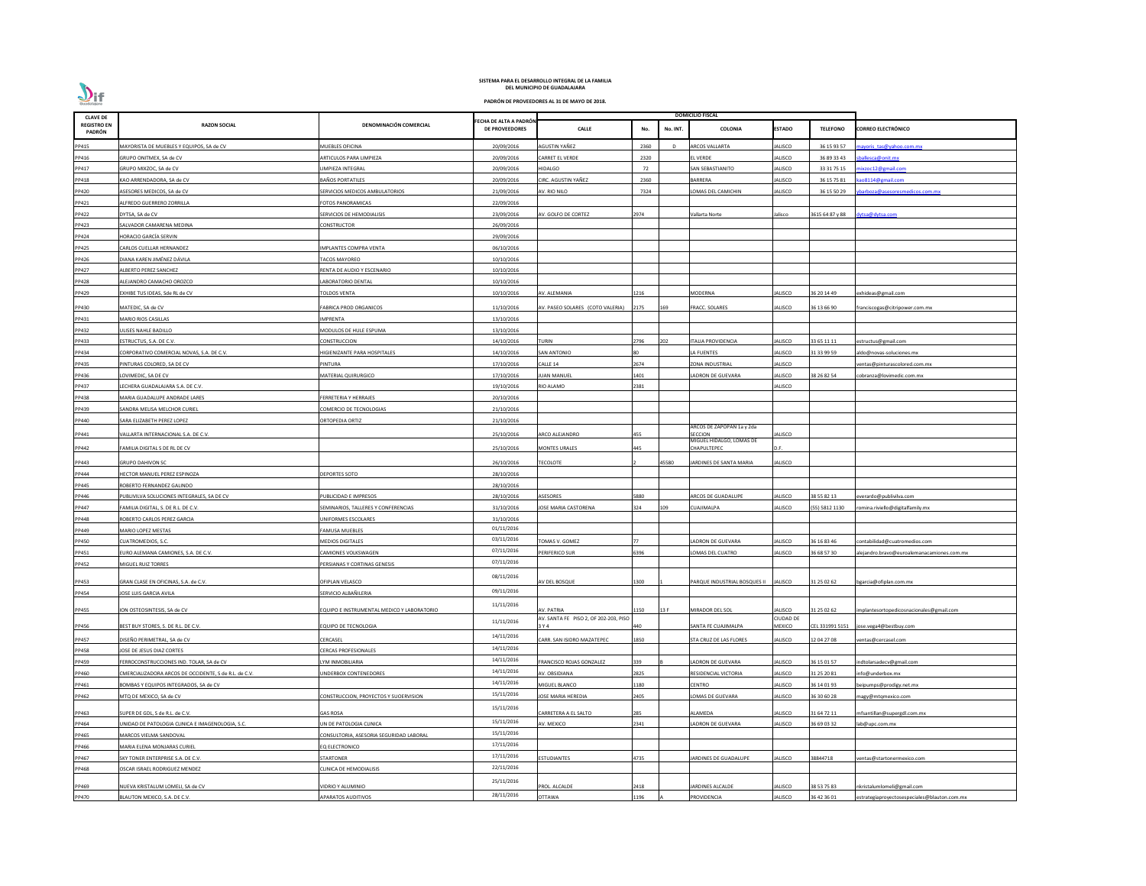| <b>CLAVE DE</b>              |                                                       |                                            |                                                 |                                       |            |          | <b>DOMICILIO FISCAL</b>             |                  |                 |                                              |
|------------------------------|-------------------------------------------------------|--------------------------------------------|-------------------------------------------------|---------------------------------------|------------|----------|-------------------------------------|------------------|-----------------|----------------------------------------------|
| <b>REGISTRO EN</b><br>PADRÓN | <b>RAZON SOCIAL</b>                                   | DENOMINACIÓN COMERCIAL                     | FECHA DE ALTA A PADRÓN<br><b>DE PROVEEDORES</b> | <b>CALLE</b>                          | No.        | No. INT. | COLONIA                             | <b>ESTADO</b>    | <b>TELEFONO</b> | <b>CORREO ELECTRÓNICO</b>                    |
| PP415                        | MAYORISTA DE MUEBLES Y EQUIPOS, SA de CV              | MUEBLES OFICINA                            | 20/09/2016                                      | AGUSTIN YAÑEZ                         | 2360       | -n       | <b>RCOS VALLARTA</b>                | JALISCO          | 36 15 93 57     | nayoris tas@yahoo.com.mx                     |
| PP416                        | GRUPO ONITMEX, SA de CV                               | ARTICULOS PARA LIMPIEZA                    | 20/09/2016                                      | CARRET EL VERDE                       | 2320       |          | EL VERDE                            | <b>JALISCO</b>   | 36 89 33 43     | ballesca@onit.mx                             |
| PP417                        | GRUPO MIXZOC, SA de CV                                | LIMPIEZA INTEGRAL                          | 20/09/2016                                      | HIDALGO                               | 72         |          | SAN SEBASTIANITO                    | <b>JALISCO</b>   | 33 31 75 15     | ixzoc12@gmail.com                            |
| PP418                        | KAO ARRENDADORA, SA de CV                             | <b>BAÑOS PORTATILES</b>                    | 20/09/2016                                      | CIRC. AGUSTIN YAÑEZ                   | 2360       |          | <b>BARRERA</b>                      | <b>JALISCO</b>   | 36 15 75 81     | ao8114@gmail.com                             |
| PP420                        | ASESORES MEDICOS, SA de CV                            | SERVICIOS MEDICOS AMBULATORIOS             | 21/09/2016                                      | AV. RIO NILO                          | 7324       |          | LOMAS DEL CAMICHIN                  | <b>JALISCO</b>   | 36 15 50 29     | barboza@asesoresmedicos.com.mx               |
| PP421                        | ALFREDO GUERRERO ZORRILLA                             | FOTOS PANORAMICAS                          | 22/09/2016                                      |                                       |            |          |                                     |                  |                 |                                              |
| PP422                        | DYTSA, SA de CV                                       | SERVICIOS DE HEMODIALISIS                  | 23/09/2016                                      | AV. GOLFO DE CORTEZ                   | 2974       |          | Vallarta Norte                      | Jalisco          | 3615 64 87 y 88 | dytsa@dytsa.com                              |
| PP423                        | SALVADOR CAMARENA MEDINA                              | CONSTRUCTOR                                | 26/09/2016                                      |                                       |            |          |                                     |                  |                 |                                              |
| PP424                        | HORACIO GARCÍA SERVIN                                 |                                            | 29/09/2016                                      |                                       |            |          |                                     |                  |                 |                                              |
| PP425                        | CARLOS CUELLAR HERNANDEZ                              | <b>IMPLANTES COMPRA VENTA</b>              | 06/10/2016                                      |                                       |            |          |                                     |                  |                 |                                              |
| PP426                        | DIANA KAREN JIMÉNEZ DÁVILA                            | <b>TACOS MAYOREO</b>                       | 10/10/2016                                      |                                       |            |          |                                     |                  |                 |                                              |
| PP427                        | ALBERTO PEREZ SANCHEZ                                 | RENTA DE AUDIO Y ESCENARIO                 | 10/10/2016                                      |                                       |            |          |                                     |                  |                 |                                              |
| PP428                        | ALEJANDRO CAMACHO OROZCO                              | ABORATORIO DENTAL                          | 10/10/2016                                      |                                       |            |          |                                     |                  |                 |                                              |
| PP429                        | EXHIBE TUS IDEAS, Sde RL de CV                        | <b>TOLDOS VENTA</b>                        | 10/10/2016                                      | AV. ALEMANIA                          | 1216       |          | <b>MODERNA</b>                      | <b>JALISCO</b>   | 36 20 14 49     | exhideas@gmail.com                           |
|                              |                                                       | <b>FABRICA PROD ORGANICOS</b>              |                                                 | AV. PASEO SOLARES (COTO VALERIA)      | 2175       | 169      |                                     | <b>JALISCO</b>   | 36 13 66 90     |                                              |
| PP430                        | MATEDIC, SA de CV                                     |                                            | 11/10/2016                                      |                                       |            |          | <b>FRACC. SOLARES</b>               |                  |                 | franciscogas@citripower.com.mx               |
| PP431                        | MARIO RIOS CASILLAS                                   | <b>IMPRENTA</b>                            | 13/10/2016                                      |                                       |            |          |                                     |                  |                 |                                              |
| PP432                        | JLISES NAHLE BADILLO                                  | MODULOS DE HULE ESPUMA                     | 13/10/2016                                      |                                       |            |          |                                     |                  |                 |                                              |
| PP433                        | ESTRUCTUS, S.A. DE C.V.                               | CONSTRUCCION                               | 14/10/2016                                      | TURIN                                 | 2796       | 202      | TALIA PROVIDENCIA                   | JALISCO          | 33 65 11 11     | estructus@gmail.com                          |
| PP434                        | CORPORATIVO COMERCIAL NOVAS, S.A. DE C.V.             | HIGIENIZANTE PARA HOSPITALES               | 14/10/2016                                      | SAN ANTONIO                           |            |          | LA FUENTES                          | <b>JALISCO</b>   | 31 33 99 59     | ddo@novas-soluciones.mx                      |
| PP435                        | PINTURAS COLORED, SA DE CV                            | PINTURA                                    | 17/10/2016                                      | CALLE 14                              | 2674       |          | ZONA INDUSTRIAL                     | JALISCO          |                 | entas@pinturascolored.com.mx                 |
| PP436                        | LOVIMEDIC, SA DE CV                                   | MATERIAL QUIRURGICO                        | 17/10/2016                                      | <b>IUAN MANUEL</b>                    | 1401       |          | LADRON DE GUEVARA                   | JALISCO          | 38 26 82 54     | :obranza@lovimedic.com.mx                    |
| PP437                        | LECHERA GUADALAJARA S.A. DE C.V.                      |                                            | 19/10/2016                                      | RIO ALAMO                             | 2381       |          |                                     | <b>JALISCO</b>   |                 |                                              |
| PP438                        | MARIA GUADALUPE ANDRADE LARES                         | FERRETERIA Y HERRAJES                      | 20/10/2016                                      |                                       |            |          |                                     |                  |                 |                                              |
| PP439                        | SANDRA MELISA MELCHOR CURIEL                          | COMERCIO DE TECNOLOGIAS                    | 21/10/2016                                      |                                       |            |          |                                     |                  |                 |                                              |
| PP440                        | SARA ELIZABETH PEREZ LOPEZ                            | ORTOPEDIA ORTIZ                            | 21/10/2016                                      |                                       |            |          | ARCOS DE ZAPOPAN 1a y 2da           |                  |                 |                                              |
| PP441                        | VALLARTA INTERNACIONAL S.A. DE C.V.                   |                                            | 25/10/2016                                      | ARCO ALEJANDRO                        | 455        |          | SECCION<br>MIGUEL HIDALGO, LOMAS DE | <b>JALISCO</b>   |                 |                                              |
| PP442                        | FAMILIA DIGITAL S DE RL DE CV                         |                                            | 25/10/2016                                      | <b>MONTES URALES</b>                  | 445        |          | CHAPULTEPEC                         | D.F.             |                 |                                              |
| PP443                        | <b>GRUPO DAHIVON SC</b>                               |                                            | 26/10/2016                                      | <b>TECOLOTE</b>                       |            | 45580    | JARDINES DE SANTA MARIA             | <b>JALISCO</b>   |                 |                                              |
| PP444                        | HECTOR MANUEL PEREZ ESPINOZA                          | <b>DEPORTES SOTO</b>                       | 28/10/2016                                      |                                       |            |          |                                     |                  |                 |                                              |
| PP445                        | ROBERTO FERNANDEZ GALINDO                             |                                            | 28/10/2016                                      |                                       |            |          |                                     |                  |                 |                                              |
| PP446                        | PUBLIVILVA SOLUCIONES INTEGRALES, SA DE CV            | PUBLICIDAD E IMPRESOS                      | 28/10/2016                                      | <b>ASESORES</b>                       | 5880       |          | <b>ARCOS DE GUADALUPE</b>           | JALISCO          | 38 55 82 13     | verardo@publivilva.com                       |
| PP447                        | FAMILIA DIGITAL, S. DE R.L. DE C.V.                   | SEMINARIOS, TALLERES Y CONFERENCIAS        | 31/10/2016                                      | <b>JOSE MARIA CASTORENA</b>           | 324        | 109      | CUAJIMALPA                          | <b>JALISCO</b>   | (55) 5812 1130  | omina.riviello@digitalfamily.mx              |
| PP448                        | ROBERTO CARLOS PEREZ GARCIA                           | UNIFORMES ESCOLARES                        | 31/10/2016                                      |                                       |            |          |                                     |                  |                 |                                              |
| PP449                        | MARIO LOPEZ MESTAS                                    | <b>FAMUSA MUEBLES</b>                      | 01/11/2016                                      |                                       |            |          |                                     |                  |                 |                                              |
| PP450                        | CUATROMEDIOS, S.C.                                    | <b>MEDIOS DIGITALES</b>                    | 03/11/2016                                      | TOMAS V. GOMEZ                        |            |          | ADRON DE GUEVARA                    | <b>JALISCO</b>   | 36 16 83 46     | :ontabilidad@cuatromedios.com                |
| PP451                        | URO ALEMANA CAMIONES, S.A. DE C.V.                    | CAMIONES VOLKSWAGEN                        | 07/11/2016                                      | PERIFERICO SUR                        | 5396       |          | LOMAS DEL CUATRO                    | <b>JALISCO</b>   | 36 68 57 30     | lejandro.bravo@euroalemanacamiones.com.mx    |
| PP452                        | MIGUEL RUIZ TORRES                                    | PERSIANAS Y CORTINAS GENESIS               | 07/11/2016                                      |                                       |            |          |                                     |                  |                 |                                              |
|                              |                                                       |                                            | 08/11/2016                                      |                                       |            |          |                                     |                  |                 |                                              |
| PP453                        | GRAN CLASE EN OFICINAS, S.A. de C.V.                  | OFIPLAN VELASCO                            |                                                 | AV DEL BOSQUE                         | L300       |          | PARQUE INDUSTRIAL BOSQUES II        | <b>JALISCO</b>   | 31 25 02 62     | ogarcia@ofiplan.com.mx                       |
| PP454                        | JOSE LUIS GARCIA AVILA                                | SERVICIO ALBAÑILERIA                       | 09/11/2016                                      |                                       |            |          |                                     |                  |                 |                                              |
| PP455                        | ION OSTEOSINTESIS, SA de CV                           | EQUIPO E INSTRUMENTAL MEDICO Y LABORATORIO | 11/11/2016                                      | AV. PATRIA                            | 150        | 13 F     | MIRADOR DEL SOL                     | <b>JALISCO</b>   | 31 25 02 62     | mplantesortopedicosnacionales@gmail.com      |
|                              |                                                       |                                            | 11/11/2016                                      | AV. SANTA FE PISO 2, OF 202-203, PISO |            |          |                                     | <b>CIUDAD DE</b> |                 |                                              |
| PP456                        | BEST BUY STORES, S. DE R.L. DE C.V.                   | EQUIPO DE TECNOLOGIA                       |                                                 | 3 Y 4                                 | 440        |          | SANTA FE CUAJIMALPA                 | <b>MEXICO</b>    | CEL 331991 5151 | ose.vega4@bestbuy.com                        |
| PP457                        | DISEÑO PERIMETRAL, SA de CV                           | CERCASEL                                   | 14/11/2016                                      | CARR. SAN ISIDRO MAZATEPEC            | 1850       |          | STA CRUZ DE LAS FLORES              | <b>JALISCO</b>   | 12 04 27 08     | entas@cercasel.com                           |
| PP458                        | JOSE DE JESUS DIAZ CORTES                             | <b>CERCAS PROFESIONALES</b>                | 14/11/2016                                      |                                       |            |          |                                     |                  |                 |                                              |
| PP459                        | FERROCONSTRUCCIONES IND. TOLAR, SA de CV              | LYM INMOBILIARIA                           | 14/11/2016                                      | FRANCISCO ROJAS GONZALEZ              | 339        |          | LADRON DE GUEVARA                   | <b>JALISCO</b>   | 36 15 01 57     | ndtolarsadecv@gmail.com                      |
| PP460                        | CMERCIALIZADORA ARCOS DE OCCIDENTE, S de R.L. de C.V. | JNDERBOX CONTENEDORES                      | 14/11/2016                                      | AV. OBSIDIANA                         | 2825       |          | RESIDENCIAL VICTORIA                | <b>JALISCO</b>   | 31 25 20 81     | nfo@underbox.mx                              |
| PP461                        | BOMBAS Y EQUIPOS INTEGRADOS, SA de CV                 |                                            | 14/11/2016                                      | MIGUEL BLANCO                         | 180        |          | CENTRO                              | <b>JALISCO</b>   | 36 14 01 93     | eipumps@prodigy.net.mx                       |
| PP462                        | MTQ DE MEXICO, SA de CV                               | CONSTRUCCION, PROYECTOS Y SUOERVISION      | 15/11/2016                                      | JOSE MARIA HEREDIA                    | 2405       |          | OMAS DE GUEVARA                     | <b>JALISCO</b>   | 36 30 60 28     | nagy@mtqmexico.com                           |
| PP463                        | SUPER DE GDL, S de R.L. de C.V.                       | <b>GAS ROSA</b>                            | 15/11/2016                                      | CARRETERA A EL SALTO                  | 285        |          | ALAMEDA                             | JALISCO          | 31 64 72 11     | mfsantillan@supergdl.com.mx                  |
| PP464                        | UNIDAD DE PATOLOGIA CLINICA E IMAGENOLOGIA, S.C.      | UN DE PATOLOGIA CLINICA                    | 15/11/2016                                      | AV. MEXICO                            | 2341       |          | LADRON DE GUEVARA                   | <b>JALISCO</b>   | 36 69 03 32     | ab@upc.com.mx                                |
| PP465                        | <b>MARCOS VIELMA SANDOVAL</b>                         | CONSULTORIA, ASESORIA SEGURIDAD LABORAI    | 15/11/2016                                      |                                       |            |          |                                     |                  |                 |                                              |
| PP466                        | MARIA ELENA MONJARAS CURIEL                           | EQ ELECTRONICO                             | 17/11/2016                                      |                                       |            |          |                                     |                  |                 |                                              |
| PP467                        | SKY TONER ENTERPRISE S.A. DE C.V.                     | STARTONER                                  | 17/11/2016                                      | ESTUDIANTES                           | 4735       |          | <b>ARDINES DE GUADALUPE</b>         | JALISCO          | 38844718        | entas@startonermexico.com                    |
| PP468                        | OSCAR ISRAEL RODRIGUEZ MENDEZ                         | CLINICA DE HEMODIALISIS                    | 22/11/2016                                      |                                       |            |          |                                     |                  |                 |                                              |
|                              |                                                       |                                            | 25/11/2016                                      |                                       |            |          |                                     |                  |                 |                                              |
| PP469                        | NUEVA KRISTALUM LOMELI, SA de CV                      | VIDRIO Y ALUMINIO                          | 28/11/2016                                      | PROL. ALCALDE                         | 2418       |          | JARDINES ALCALDE                    | JALISCO          | 38 53 75 83     | nkristalumlomeli@gmail.com                   |
| PP470                        | BLAUTON MEXICO, S.A. DE C.V.                          | <b>APARATOS AUDITIVOS</b>                  |                                                 | <b>OTTAWA</b>                         | <b>196</b> |          | PROVIDENCIA                         | <b>JALISCO</b>   | 36 42 36 01     | estrategiaproyectosespeciales@blauton.com.mx |

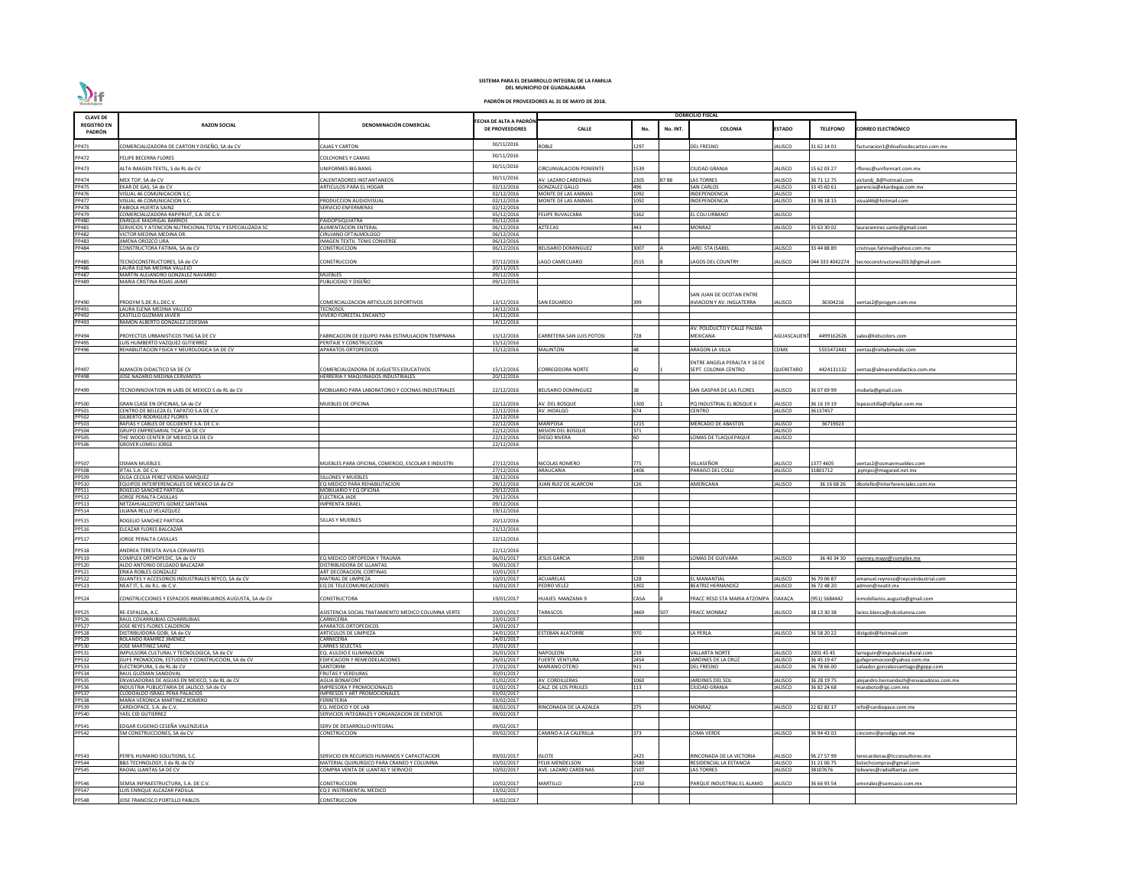| <b>CLAVE DE</b>              |                                                                                              |                                                                                 |                                                |                                              |              |             | <b>DOMICILIO FISCAL</b>                      |                                  |                            |                                                        |
|------------------------------|----------------------------------------------------------------------------------------------|---------------------------------------------------------------------------------|------------------------------------------------|----------------------------------------------|--------------|-------------|----------------------------------------------|----------------------------------|----------------------------|--------------------------------------------------------|
| <b>REGISTRO EN</b><br>PADRÓN | <b>RAZON SOCIAL</b>                                                                          | DENOMINACIÓN COMERCIAL                                                          | ECHA DE ALTA A PADRÓN<br><b>DE PROVEEDORES</b> | <b>CALLE</b>                                 | No.          | No. INT.    | <b>COLONIA</b>                               | <b>ESTADO</b>                    | <b>TELEFONO</b>            | <b>CORREO ELECTRÓNICO</b>                              |
| PP471                        | COMERCIALIZADORA DE CARTON Y DISEÑO, SA de CV                                                | <b>CAJAS Y CARTON</b>                                                           | 30/11/2016                                     | <b>ROBLE</b>                                 | 1297         |             | <b>DEL FRESNO</b>                            | <b>JALISCO</b>                   | 31 62 14 01                | facturacion1@diseñosdecarton.com.mx                    |
| PP472                        | FELIPE BECERRA FLORES                                                                        | OLCHONES Y CAMAS:                                                               | 30/11/2016                                     |                                              |              |             |                                              |                                  |                            |                                                        |
| PP473                        | ALTA IMAGEN TEXTIL, S de RL de CV                                                            | <b>INIFORMES BIG BANG</b>                                                       | 30/11/2016                                     | IRCUNVALACION PONIENTE                       | L539         |             | CIUDAD GRANJA                                | JALISCO                          | 15 62 03 27                | rflores@uniformart.com.mx                              |
|                              |                                                                                              |                                                                                 | 30/11/2016                                     |                                              |              |             |                                              |                                  |                            |                                                        |
| PP474<br>PP475               | MEX TOP, SA de CV<br>EKAR DE GAS, SA de CV                                                   | <b>CALENTADORES INSTANTANEOS</b><br><b>ARTICULOS PARA EL HOGAR</b>              | 02/12/2016                                     | AV. LAZARO CARDENAS<br><b>GONZALEZ GALLO</b> | 2305<br>496  | <b>B7B8</b> | <b>LAS TORRES</b><br><b>SAN CARLOS</b>       | <b>JALISCO</b><br><b>JALISCO</b> | 36 71 12 75<br>33 45 60 61 | victordi 8@hotmail.com<br>gerencia@ekardegas.com.mx    |
| PP476                        | VISUAL 46 COMUNICACION S.C.                                                                  |                                                                                 | 02/12/2016                                     | MONTE DE LAS ANIMAS                          | 1092         |             | NDEPENDENCIA                                 | <b>JALISCO</b>                   |                            |                                                        |
| PP477<br><b>PP478</b>        | VISUAL 46 COMUNICACION S.C.<br><b>FABIOLA HUERTA SAINZ</b>                                   | RODUCCION AUDIOVISUAL<br>SERVICIO ENFERMERAS                                    | 02/12/2016<br>02/12/2016                       | MONTE DE LAS ANIMAS                          | 1092         |             | NDEPENDENCIA                                 | <b>JALISCO</b>                   | 33 36 18 15                | visual46@hotmail.com                                   |
| PP479                        | COMERCIALIZADORA RAPIFRUIT, S.A. DE C.V.                                                     |                                                                                 | 05/12/2016                                     | <b>FELIPE RUVALCABA</b>                      | 5162         |             | EL COLI URBANO                               | <b>JALISCO</b>                   |                            |                                                        |
| <b>PP480</b><br>PP481        | <b>ENRIQUE MADRIGAL BARRIOS</b><br>SERVICIOS Y ATENCION NUTRICIONAL TOTAL Y ESPECIALIZADA SC | PAIDOPSIQUIATRA<br><b>ILIMENTACION ENTERAL</b>                                  | 05/12/2016<br>06/12/2016                       | <b>AZTECAS</b>                               | 443          |             | MONRAZ                                       | JALISCO                          | 35 63 30 02                | lauraramirez.sante@gmail.com                           |
| PP482                        | VICTOR MEDINA MEDINA DR.                                                                     | IRUJANO OFTALMOLOGO                                                             | 06/12/2016                                     |                                              |              |             |                                              |                                  |                            |                                                        |
| PP483<br>PP484               | JIMENA OROZCO LIRA<br>CONSTRUCTORA FATIMA, SA de CV                                          | IMAGEN TEXTIL TENIS CONVERSE<br>CONSTRUCCION                                    | 06/12/2016<br>06/12/2016                       | <b>BELISARIO DOMINGUEZ</b>                   | 3007         |             | <b>ARD. STA ISABEL</b>                       | <b>JALISCO</b>                   | 33 44 88 89                | cnstruye.fatima@yahoo.com.mx                           |
|                              |                                                                                              |                                                                                 |                                                |                                              |              |             |                                              |                                  |                            |                                                        |
| PP485<br>PP486               | TECNOCONSTRUCTORES, SA de CV<br>LAURA ELENA MEDINA VALLEJO                                   | CONSTRUCCION                                                                    | 07/12/2016                                     | LAGO CAMECUARO                               | 2515         |             | LAGOS DEL COUNTRY                            | <b>JALISCO</b>                   |                            | 044 333 4042274 tecnoconstructores2013@gmail.com       |
| PP487                        | MARTIN ALEJANDRO GONZALEZ NAVARRO                                                            | <b>MUEBLES</b>                                                                  | 20/11/2015<br>09/12/2016                       |                                              |              |             |                                              |                                  |                            |                                                        |
| PP489                        | MARIA CRISTINA ROJAS JAIME                                                                   | PUBLICIDAD Y DISEÑO                                                             | 09/12/2016                                     |                                              |              |             |                                              |                                  |                            |                                                        |
|                              |                                                                                              |                                                                                 |                                                |                                              |              |             | SAN JUAN DE OCOTAN ENTRE                     |                                  |                            |                                                        |
| PP490                        | PROGYM S.DE.R.L.DEC.V.                                                                       | COMERCIALIZACION ARTICULOS DEPORTIVOS                                           | 13/12/2016                                     | SAN EDUARDO                                  |              |             | <b>AVIACION Y AV. INGLATERRA</b>             | JALISCO                          | 36304216                   | entas2@progym.com.mx                                   |
| PP491<br>PP492               | LAURA ELENA MEDINA VALLEJO<br>CASTILLO GUZMAN JAVIER                                         | <b>ECNOSOL</b><br>VIVERO FORESTAL ENCANTO                                       | 14/12/2016<br>14/12/2016                       |                                              |              |             |                                              |                                  |                            |                                                        |
| PP493                        | RAMON ALBERTO GONZALEZ LEDESMA                                                               |                                                                                 | 14/12/2016                                     |                                              |              |             |                                              |                                  |                            |                                                        |
|                              | PROYECTOS URBANISTICOS TMG SA DE CV                                                          | ABRICACION DE EQUIPO PARA ESTIMULACION TEMPRANA                                 |                                                | <b>CARRETERA SAN LUIS POTOSI</b>             | 728          |             | AV. POLIDUCTO Y CALLE PALMA<br>MEXICANA      | AGUASCALIEN                      | 4499162626                 |                                                        |
| PP494<br>PP495               | LUIS HUMBERTO VAZQUEZ GUTIERREZ                                                              | PERITAJE Y CONSTRUCCION                                                         | 15/12/2016<br>15/12/2016                       |                                              |              |             |                                              |                                  |                            | sales@kidscolors.com                                   |
| PP496                        | REHABILITACION FISICA Y NEUROLOGICA SA DE CV                                                 | <b>APARATOS ORTOPEDICOS</b>                                                     | 15/12/2016                                     | <b>MALINTZIN</b>                             | 48           |             | ARAGON LA VILLA                              | CDMX                             | 5555472441                 | entas@rehabimedic.com/                                 |
|                              |                                                                                              |                                                                                 |                                                |                                              |              |             | ENTRE ANGELA PERALTA Y 16 DE                 |                                  |                            |                                                        |
| PP497                        | ALMACEN DIDACTICO SA DE CV                                                                   | COMERCIALIZADORA DE JUGUETES EDUCATIVOS                                         | 15/12/2016                                     | <b>CORREGIDORA NORTE</b>                     | 42           |             | SEPT. COLONIA CENTRO                         | QUERETARO                        | 4424131132                 | ventas@almacendidactico.com.mx                         |
| PP498                        | JOSE NAZARIO MEDINA CERVANTES                                                                | <b>IERRERIA Y MAQUINADOS INDUSTRIALES</b>                                       | 20/12/2016                                     |                                              |              |             |                                              |                                  |                            |                                                        |
| PP499                        | TECNOINNOVATION IN LABS DE MEXICO S de RL de CV                                              | MOBILIARIO PARA LABORATORIO Y COCINAS INDUSTRIALES                              | 22/12/2016                                     | <b>BELISARIO DOMINGUEZ</b>                   | 38           |             | SAN GASPAR DE LAS FLORES                     | <b>JALISCO</b>                   | 36 07 69 99                | nobela@gmail.com                                       |
|                              |                                                                                              |                                                                                 |                                                |                                              | 1300         |             |                                              |                                  |                            |                                                        |
| PP500<br>PP501               | GRAN CLASE EN OFICINAS, SA de CV<br>CENTRO DE BELLEZA EL TAPATIO S.A DE C.V                  | <b>MUEBLES DE OFICINA</b>                                                       | 22/12/2016<br>22/12/2016                       | AV. DEL BOSQUE<br>AV. HIDALGO                | 674          |             | PQ INDUSTRIAL EL BOSQUE I<br>CENTRO          | <b>JALISCO</b><br><b>JALISCO</b> | 36 16 19 19<br>36137457    | opezcotilla@ofiplan.com.mx                             |
| PP502                        | <b>GILBERTO RODRIGUEZ FLORES</b>                                                             |                                                                                 | 22/12/2016                                     |                                              |              |             |                                              |                                  |                            |                                                        |
| <b>PP503</b><br><b>PP504</b> | RAFIAS Y CABLES DE OCCIDENTE S.A. DE C.V.<br>GRUPO EMPRESARIAL TICAF SA DE CV                |                                                                                 | 22/12/2016<br>22/12/2016                       | <b>MARIPOSA</b><br><b>MISION DEL BOSQUE</b>  | 1215<br>371  |             | <b>MERCADO DE ABASTOS</b>                    | <b>JALISCO</b><br><b>JALISCO</b> | 36719023                   |                                                        |
| PP505                        | THE WOOD CENTER OF MEXICO SA DE CV                                                           |                                                                                 | 22/12/2016                                     | <b>DIEGO RIVERA</b>                          | 60           |             | LOMAS DE TLAQUEPAQUE                         | <b>JALISCO</b>                   |                            |                                                        |
| PP506                        | <b>GROVER LOMELI JORGE</b>                                                                   |                                                                                 | 22/12/2016                                     |                                              |              |             |                                              |                                  |                            |                                                        |
|                              |                                                                                              |                                                                                 |                                                |                                              |              |             |                                              |                                  |                            |                                                        |
| PP507                        | <b>OSMAN MUEBLES</b><br>IFTAL S.A. DE C.V.                                                   | MUEBLES PARA OFICINA, COMERCIO, ESCOLAR E INDUSTRI                              | 27/12/2016<br>27/12/2016                       | NICOLAS ROMERO<br>ARAUCARIA                  | 775<br>1406  |             | VILLASEÑOR<br>PARAISO DEL COLLI              | JALISCO<br><b>JALISCO</b>        | 1377 4605<br>31801712      | ventas2@osmanmuebles.com<br>pympsi@megared.net.mx      |
| PP508<br>PP509               | OLGA CECILIA PEREZ VERDIA MARQUEZ                                                            | <b>ILLONES Y MUEBLES</b>                                                        | 28/12/2016                                     |                                              |              |             |                                              |                                  |                            |                                                        |
| PP510                        | EQUIPOS INTERFERENCIALES DE MEXICO SA de CV<br>ROGELIO SANCHEZ PARTIDA                       | Q MEDICO PARA REHABILITACION<br>MOBILIARIO Y EQ OFICINA                         | 29/12/2016                                     | <b>JUAN RUIZ DE ALARCON</b>                  | 126          |             | AMERICANA                                    | <b>JALISCO</b>                   | 36 16 68 26                | dbotello@interferenciales.com.mx                       |
| PP511<br>PP512               | JORGE PERALTA CASILLAS                                                                       | ELECTRICA JADE                                                                  | 29/12/2016<br>29/12/2016                       |                                              |              |             |                                              |                                  |                            |                                                        |
| PP513                        | NETZAHUALCOYOTL GOMEZ SANTANA                                                                | <b>IMPRENTA ISRAEL</b>                                                          | 09/12/2016                                     |                                              |              |             |                                              |                                  |                            |                                                        |
| PP514                        | LILIANA RELLO VELAZQUEZ                                                                      |                                                                                 | 19/12/2016                                     |                                              |              |             |                                              |                                  |                            |                                                        |
| PP515<br><b>PP516</b>        | ROGELIO SANCHEZ PARTIDA<br>ELEAZAR FLORES BALCAZAR                                           | ILLAS Y MUEBLES                                                                 | 20/12/2016<br>21/12/2016                       |                                              |              |             |                                              |                                  |                            |                                                        |
|                              |                                                                                              |                                                                                 |                                                |                                              |              |             |                                              |                                  |                            |                                                        |
| PP517                        | JORGE PERALTA CASILLAS                                                                       |                                                                                 | 22/12/2016                                     |                                              |              |             |                                              |                                  |                            |                                                        |
| PP518<br>PP519               | ANDREA TERESITA AVILA CERVANTES<br>COMPLEX ORTHOPEDIC, SA de CV                              | Q MEDICO ORTOPEDIA Y TRAUMA                                                     | 22/12/2016<br>06/01/2017                       | <b>JESUS GARCIA</b>                          | 2590         |             | LOMAS DE GUEVARA                             | <b>JALISCO</b>                   | 36 40 34 30                | vianney.mayo@complex.mx                                |
| <b>PP520</b>                 | ALDO ANTONIO DELGADO BALCAZAR                                                                | DISTRIBUIDORA DE LLLANTAS                                                       | 06/01/2017                                     |                                              |              |             |                                              |                                  |                            |                                                        |
| PP521                        | ERIKA ROBLES GONZALEZ                                                                        | ART DECORACION, CORTINAS                                                        | 10/01/2017                                     |                                              |              |             |                                              |                                  |                            |                                                        |
| <b>PP522</b><br><b>PP523</b> | GUANTES Y ACCESORIOS INDUSTRIALES REYCO, SA de CV<br>NEAT IT, S. de R.L. de C.V.             | MATRIAL DE LIMPIEZA<br>EQ DE TELECOMUNICACIONES                                 | 10/01/2017<br>16/01/2017                       | <b>ACUARELAS</b><br>PEDRO VELEZ              | 128<br>1302  |             | <b>L MANANTIAL</b><br>BEATRIZ HERNANDEZ      | JALISCO<br><b>JALISCO</b>        | 36 70 06 87<br>36 72 48 20 | emanuel.reynoso@reycoindustrial.com<br>admon@neatit.mx |
|                              |                                                                                              |                                                                                 |                                                |                                              |              |             |                                              |                                  |                            |                                                        |
| PP524                        | CONSTRUCCIONES Y ESPACIOS INMOBILIARIOS AUGUSTA, SA de CV                                    | CONSTRUCTORA                                                                    | 19/01/2017                                     | HUAJES MANZANA 9                             | CASA         |             | FRACC RESD STA MARIA ATZOMPA OAXACA          |                                  | 951) 5684442               | nmobiliarios.augusta@gmail.com                         |
| PP525                        | RE-ESPALDA, A.C.                                                                             | ASISTENCIA SOCIAL TRATAMIENTO MEDICO COLUMNA VERTE                              | 20/01/2017                                     | TARASCOS                                     | 3469         | 507         | <b>FRACC MONRAZ</b>                          | <b>JALISCO</b>                   | 38 13 30 38                | larios.blanca@cdcolumna.com                            |
| PP526<br><b>PP527</b>        | RAUL COVARRUBIAS COVARRUBIAS<br>JOSE REYES FLORES CALDERON                                   | CARNICERIA<br><b>APARATOS ORTOPEDICOS</b>                                       | 23/01/2017<br>24/01/2017                       |                                              |              |             |                                              |                                  |                            |                                                        |
| <b>PP528</b>                 | DISTRIBUIDORA GOBI, SA de CV                                                                 | ARTICULOS DE LIMPIEZA                                                           | 24/01/2017                                     | <b>ESTEBAN ALATORRE</b>                      | 970          |             | LA PERLA                                     | JALISCO                          | 36 58 20 22                | distgobi@hotmail.com                                   |
| PP529<br>PP530               | ROLANDO RAMIREZ JIMENEZ                                                                      | CARNICERIA<br><b>CARNES SELECTAS</b>                                            | 24/01/2017                                     |                                              |              |             |                                              |                                  |                            |                                                        |
| PP531                        | JOSE MARTINEZ SAINZ<br>IMPULSORA CULTURAL Y TECNOLOGICA, SA de CV                            | EQ. AULDIO E ILUMINACION                                                        | 25/01/2017<br>26/01/2017                       | <b>NAPOLEON</b>                              | 239          |             | <b>VALLARTA NORTE</b>                        | <b>JALISCO</b>                   | 2001 45 45                 | larreguin@impulsoracultural.com                        |
| PP532                        | GUFE PROMOCION, ESTUDIOS Y CONSTRUCCION, SA de CV                                            | EDIFICACION Y REMEODELACIONES                                                   | 26/01/2017                                     | <b>FUERTE VENTURA</b>                        | 2454         |             | <b>ARDINES DE LA CRUZ</b>                    | <b>JALISCO</b>                   | 36 45 19 47                | gufepromocion@yahoo.com.mx                             |
| PP533<br>PP534               | ELECTROPURA, S de RL de CV<br>RAUL GUZMAN SANDOVAL                                           | SANTORINI<br>FRUTAS Y VERDURAS                                                  | 27/01/2017<br>30/01/2017                       | <b>MARIANO OTERO</b>                         | 911          |             | <b>DEL FRESNO</b>                            | <b>JALISCO</b>                   | 36 78 66 00                | salvador.gonzalezsantiago@gepp.com                     |
| PP535                        | ENVASADORAS DE AGUAS EN MEXICO, S de RL de CV                                                | <b>AGUA BONAFONT</b>                                                            | 01/02/2017                                     | AV. CORDILLERAS                              | 1060         |             | <b>ARDINES DEL SOL</b>                       | <b>JALISCO</b>                   | 36 28 19 75                | alejandro.hernandezh@envasadoras.com.mx                |
| <b>PP536</b><br><b>PP537</b> | INDUSTRIA PUBLICITARIA DE JALISCO, SA de CV<br>CLODOALDO ISRAEL PEÑA PALACIOS                | <b>MPRESORA Y PROMOCIONALES</b><br><b>IMPRESOS Y ART PROMOCIONALES</b>          | 01/02/2017<br>03/02/2017                       | CALZ. DE LOS PIRULES                         | 113          |             | CIUDAD GRANJA                                | <b>JALISCO</b>                   | 36 82 24 68                | maraboto@ipj.com.mx                                    |
| <b>PP538</b>                 | MARIA VERONICA MARTINEZ ROMERO                                                               | FERRETERIA                                                                      | 03/02/2017                                     |                                              |              |             |                                              |                                  |                            |                                                        |
| <b>PP539</b><br><b>PP540</b> | CARDIOPACE, S.A. de C.V<br>YAEL CID GUTIERREZ                                                | Q. MEDICO Y DE LAB<br>SERVICIOS INTEGRALES Y ORGANZACION DE EVENTOS             | 08/02/2017<br>09/02/2017                       | RINCONADA DE LA AZALEA                       | 275          |             | MONRAZ                                       | JALISCO                          | 22 82 82 17                | info@cardiopace.com.mx                                 |
|                              |                                                                                              |                                                                                 |                                                |                                              |              |             |                                              |                                  |                            |                                                        |
| PP541<br>PP542               | EDGAR EUGENIO CESEÑA VALENZUELA<br>5M CONSTRUCCIONES, SA de CV                               | SERV DE DESARROLLO INTEGRAL<br>CONSTRUCCION                                     | 09/02/2017<br>09/02/2017                       | CAMINO A LA CALERILLA                        | 373          |             | LOMA VERDE                                   | <b>JALISCO</b>                   | 36 94 43 03                |                                                        |
|                              |                                                                                              |                                                                                 |                                                |                                              |              |             |                                              |                                  |                            | cincomc@prodigy.net.mx                                 |
|                              |                                                                                              |                                                                                 |                                                |                                              |              |             |                                              |                                  |                            |                                                        |
| PP543                        | PERFIL HUMANO SOLUTIONS, S.C.                                                                | SERVICIO EN RECURSOS HUMANOS Y CAPACITACION                                     | 09/02/2017                                     | <b>ISLOTE</b>                                | 2425         |             | RINCONADA DE LA VICTORIA                     | <b>JALISCO</b>                   | 96 27 57 99                | terecardenas@tcconsultores.mx                          |
| PP544<br>PP545               | B&S TECHNOLOGY, S de RL de CV<br>RADIAL LLANTAS SA DE CV                                     | MATERIAL QUIRURGICO PARA CRANEO Y COLUMNA<br>COMPRA VENTA DE LLANTAS Y SERVICIO | 10/02/2017<br>10/02/2017                       | FELIX MENDELSON<br>AVE. LAZARO CARDENAS      | 5580<br>2107 |             | RESIDENCIAL LA ESTANCIA<br><b>LAS TORRES</b> | <b>JALISCO</b><br><b>JALISCO</b> | 31 21 06 75<br>38107676    | bstechcompras@gmail.com<br>lolivares@radialllantas.com |
|                              |                                                                                              |                                                                                 |                                                |                                              |              |             |                                              |                                  |                            |                                                        |
| PP546<br><b>PP547</b>        | SEMSA INFRAESTRUCTURA, S.A. DE C.V.<br>LUIS ENRIQUE ALCAZAR PADILLA                          | CONSTRUCCION<br>EQ E INSTRIMENTAL MEDICO                                        | 10/02/2017<br>13/02/2017                       | MARTILLO                                     | 2150         |             | PARQUE INDUSTRIAL EL ALAMO                   | JALISCO                          | 86 66 93 54                | morales@semsaco.com.mx                                 |
| PP548                        | JOSE FRANCISCO PORTILLO PABLOS                                                               | CONSTRUCCION                                                                    | 14/02/2017                                     |                                              |              |             |                                              |                                  |                            |                                                        |
|                              |                                                                                              |                                                                                 |                                                |                                              |              |             |                                              |                                  |                            |                                                        |

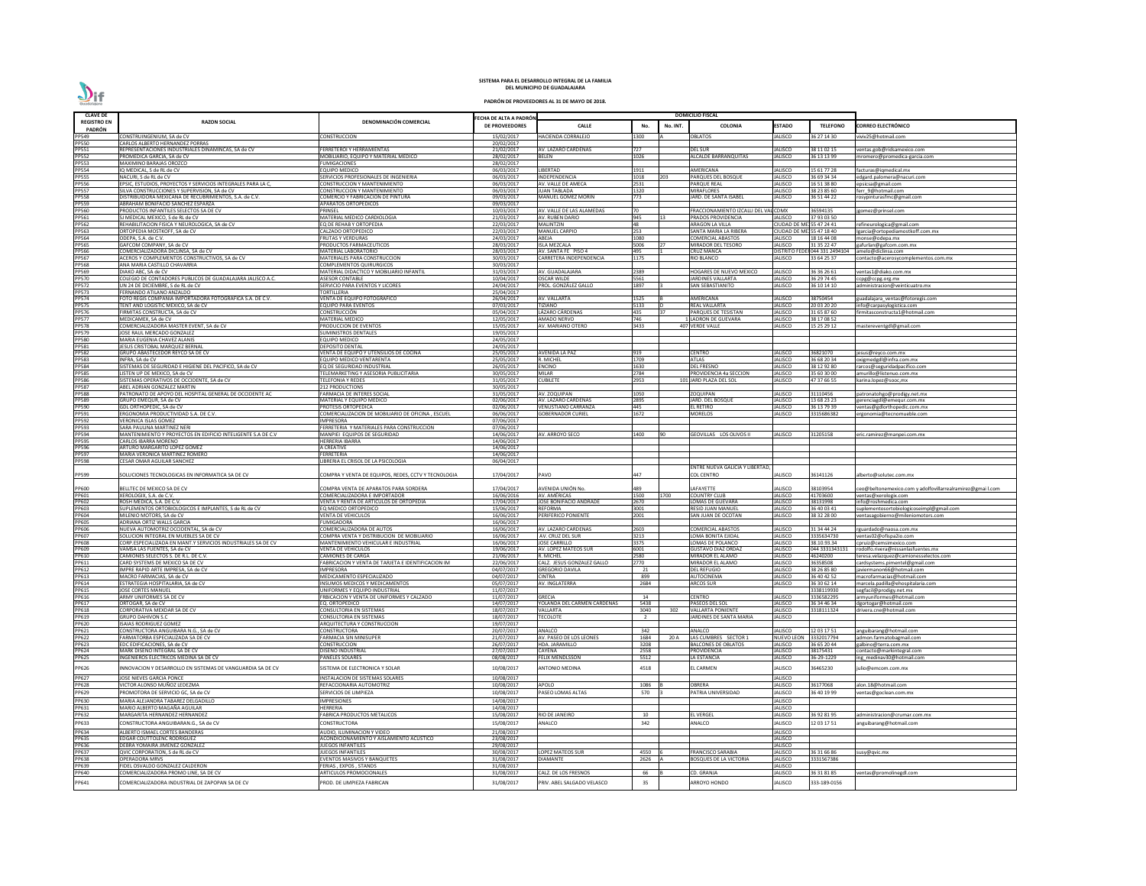| <b>CLAVE DE</b>              |                                                                                                |                                                                              |                                         |                                                |                |          | <b>DOMICILIO FISCAL</b>                                   |                                                  |                                |                                                                             |
|------------------------------|------------------------------------------------------------------------------------------------|------------------------------------------------------------------------------|-----------------------------------------|------------------------------------------------|----------------|----------|-----------------------------------------------------------|--------------------------------------------------|--------------------------------|-----------------------------------------------------------------------------|
| <b>REGISTRO EN</b>           | <b>RAZON SOCIAL</b>                                                                            | DENOMINACIÓN COMERCIAL                                                       | ECHA DE ALTA A PADRÓN<br>DE PROVEEDORES | <b>CALLE</b>                                   | No.            | No. INT. | <b>COLONIA</b>                                            | <b>ESTADO</b>                                    | <b>TELEFONO</b>                | CORREO ELECTRÓNICO                                                          |
| PADRÓN<br>PP549              | CONSTRUINGENIUM, SA de CV                                                                      | <b>CONSTRUCCION</b>                                                          | 15/02/2017                              | <b>HACIENDA CORRALEJO</b>                      | 1300           |          | OBLATOS                                                   | <b>JALISCO</b>                                   | 36 27 14 30                    | viviv25@hotmail.com                                                         |
| <b>PP550</b>                 | CARLOS ALBERTO HERNANDEZ PORRAS                                                                |                                                                              | 20/02/2017                              |                                                |                |          |                                                           |                                                  |                                |                                                                             |
| PP551<br>PP552               | REPRESENTACIONES INDUSTRIALES DINAMINCAS, SA de CV<br>PROMEDICA GARCIA, SA de CV               | FERRETEROI Y HERRAMIENTAS<br>MOBILIARIO. EQUIPO Y MATERIAL MEDICO            | 21/02/2017<br>28/02/2017                | AV. LAZARO CARDENAS<br><b>BELEN</b>            | 727<br>1026    |          | DEL SUR<br><b>ALCALDE BARRANQUITAS</b>                    | <b>JALISCO</b><br>JALISCO                        | 38 11 02 15<br>36 13 13 99     | ventas.gob@ridsamexico.com                                                  |
| PP553                        | <b>MAXIMINO BARAJAS OROZCO</b>                                                                 | <b>FUMIGACIONES</b>                                                          | 28/02/2017                              |                                                |                |          |                                                           |                                                  |                                | mromero@promedica-garcia.com                                                |
| PP554                        | IQ MEDICAL, S de RL de CV                                                                      | <b>EQUIPO MEDICO</b>                                                         | 06/03/2017                              | LIBERTAD                                       | 1911           |          | AMERICANA                                                 | <b>JALISCO</b>                                   | 15 61 77 28                    | facturas@iqmedical.mx                                                       |
| <b>PP555</b><br>PP556        | NACURI, S de RL de CV<br>EPSIC, ESTUDIOS, PROYECTOS Y SERVICIOS INTEGRALES PARA LA C,          | SERVICIOS PROFESIONALES DE INGENIERIA<br><b>CONSTRUCCION Y MANTENIMIENTO</b> | 06/03/2017<br>06/03/2017                | INDEPENDENCIA<br>AV. VALLE DE AMECA            | 1018<br>2531   | 203      | PARQUES DEL BOSQUE<br>PARQUE REAL                         | <b>JALISCO</b><br><b>JALISCO</b>                 | 36 69 34 34<br>6 51 38 80      | edgard.palomera@nacuri.com<br>epsicsa@gmail.com                             |
| <b>PP557</b>                 | SILVA CONSTRUCCIONES Y SUPERVISION, SA de CV                                                   | <b>CONSTRUCCION Y MANTENIMIENTO</b>                                          | 06/03/2017                              | <b>JUAN TABLADA</b>                            | 1320           |          | MIRAFLORES                                                | <b>JALISCO</b>                                   | 38 23 85 60                    | ferr 9@hotmail.com                                                          |
| <b>PP558</b><br>PP559        | DISTRIBUIDORA MEXICANA DE RECUBRIMIENTOS, S.A. de C.V.                                         | COMERCIO Y FABRICACION DE PINTURA                                            | 09/03/2017                              | <b>MANUEL GOMEZ MORIN</b>                      | 773            |          | IARD. DE SANTA ISABEL                                     | <b>JALISCO</b>                                   | 36 51 44 22                    | rosypinturasfmc@gmail.com                                                   |
| <b>PP560</b>                 | ABRAHAM BONIFACIO SANCHEZ ESPARZA<br>PRODUCTOS INFANTILES SELECTOS SA DE CV                    | <b>APARATOS ORTOPEDICOS</b><br>PRINSEL                                       | 09/03/2017<br>10/03/2017                | AV. VALLE DE LAS ALAMEDAS                      | <b>1</b> 70    |          | FRACCIONAMIENTO IZCALLI DEL VAL CDMX                      |                                                  | 36594135                       | jgomez@prinsel.com                                                          |
| PP561                        | SJ MEDICAL MEXICO, S de RL de CV                                                               | MATERIAL MEDICO CARDIOLOGIA                                                  | 21/03/2017                              | AV. RUBEN DARIO                                | 945            |          | PRADOS PROVIDENCIA                                        | JALISCO                                          | 37 93 03 50                    |                                                                             |
| PP562<br>PP563               | REHABILITACION FISICA Y NEUROLOGICA, SA de CV<br>ORTOPEDIA MOSTKOFF, SA de CV                  | EQ DE REHAB Y ORTOPEDIA<br>CALZADO ORTOPEDICO                                | 22/03/2017<br>22/03/2017                | <b>MALINTZIN</b><br><b>MANUEL CARPIO</b>       | 48<br>253      |          | ARAGON LA VILLA<br>SANTA MARIA LA RIBERA                  | CIUDAD DE MEJ 55 47 24 41<br><b>CIUDAD DE MI</b> | 155 47 18 40                   | refineurologica@gmail.com<br>Igarcia@ortopediamostkoff.com.mx               |
| PP564                        | ODEPA, S.A. de C.V.                                                                            | <b>FRUTAS Y VERDURAS</b>                                                     | 24/03/2017                              | ABEJA                                          | 1080           |          | COMERCIAL ABASTOS                                         | <b>JALISCO</b>                                   | 18 16 44 08                    | monse@odepa.mx                                                              |
| PP565<br>PP566               | GAFCOM COMPANY, SA de CV                                                                       | PRODUCTOS FARMACEUTICOS                                                      | 28/03/2017                              | <b>ISLA MEZCALA</b>                            | 5006           |          | MIRADOR DEL TESORO                                        | JALISCO                                          | 31 35 22 47                    | gafurlan@gafcom.com.mx                                                      |
|                              | COMERCIALIZADORA DICLINSA, SA de CV<br>ACEROS Y COMPLEMENTOS CONSTRUCTIVOS, SA de CV           | <b>MATERIAL LABORATORIO</b><br>MATERIALES PARA CONSTRUCCION                  | 28/03/2017<br>30/03/2017                | AV. SANTA FE PISO 4<br>CARRETERA INDEPENDENCIA | 495<br>1175    |          | CRUZ MANCA<br>RIO BLANCO                                  | <b>DISTRITO FE</b><br>JALISCO                    | 044 331 2494104<br>33 64 25 37 | amelo@diclinsa.com<br>contacto@acerosycomplementos.com.mx                   |
| PP567<br>PP568               | ANA MARIA CASTILLO CHAVARRIA                                                                   | COMPLEMENTOS QUIRURGICOS                                                     | 30/03/2017                              |                                                |                |          |                                                           |                                                  |                                |                                                                             |
| PP569<br>PP570               | DIAKO ABC, SA de CV<br>COLEGIO DE CONTADORES PUBLICOS DE GUADALAJARA JALISCO A.C.              | MATERIAL DIDACTICO Y MOBILIARIO INFANTIL<br><b>ASESOR CONTABLE</b>           | 31/03/2017<br>10/04/2017                | AV. GUADALAJARA<br><b>OSCAR WILDE</b>          | 2389<br>5561   |          | <b>IOGARES DE NUEVO MEXICO</b><br><b>ARDINES VALLARTA</b> | <b>JALISCO</b><br>JALISCO                        | 36 36 26 61<br>36 29 74 45     | entas1@diako.com.mx<br>ccpg@ccpg.org.mx                                     |
| <b>PP572</b>                 | UN 24 DE DICIEMBRE, S de RL de CV                                                              | SERVICIO PARA EVENTOS Y LICORES                                              | 24/04/2017                              | PROL. GONZÁLEZ GALLO                           | 1897           |          | SAN SEBASTIANITO                                          | <b>JALISCO</b>                                   | 36 10 14 10                    | administracion@veinticuatro.mx                                              |
| PP573                        | FERNANDO ATILANO ANZALDO                                                                       | <b>TORTILLERIA</b>                                                           | 25/04/2017                              |                                                |                |          |                                                           |                                                  |                                |                                                                             |
| <b>PP574</b><br><b>PP575</b> | FOTO REGIS COMPAÑIA IMPORTADORA FOTOGRAFICA S.A. DE C.V.<br>TENT AND LOGISTIC MEXICO, SA de CV | VENTA DE EQUIPO FOTOGRAFICO<br><b>EQUIPO PARA EVENTOS</b>                    | 26/04/2017<br>07/03/2017                | AV. VALLARTA<br>TIZIANO                        | 1525<br>5133   |          | <b><i>NERICANA</i></b><br>REAL VALLARTA                   | <b>JALISCO</b><br><b>JALISCO</b>                 | 38750454<br>20 03 20 20        | guadalajara_ventas@fotoregis.com<br>info@carpasylogistica.com               |
| <b>PP576</b>                 | FIRMITAS CONSTRUCTA, SA de CV                                                                  | CONSTRUCCIÓN                                                                 | 05/04/2017                              | LÁZARO CÁRDENAS                                | 435            |          | PARQUES DE TESISTAN                                       | <b>JALISCO</b>                                   | 1 65 87 60                     | firmitasconstructa1@hotmail.com                                             |
| <b>PP577</b><br><b>PP578</b> | MEDICAMEX, SA de CV<br>COMERCIALIZADORA MASTER EVENT, SA de CV                                 | MATERIAL MEDICO<br>PRODUCCION DE EVENTOS                                     | 12/05/2017<br>15/05/2017                | AMADO NERVO<br>AV. MARIANO OTERO               | 746<br>3433    |          | <b>LADRON DE GUEVARA</b><br>407 VERDE VALLE               | <b>JALISCO</b><br><b>JALISCO</b>                 | 38 17 08 52<br>5 25 29 12      | mastereventgdl@gmail.com                                                    |
| PP579                        | JOSE RAUL MERCADO GONZALEZ                                                                     | <b>SUMINISTROS DENTALES</b>                                                  | 19/05/2017                              |                                                |                |          |                                                           |                                                  |                                |                                                                             |
| <b>PP580</b>                 | MARIA EUGENIA CHAVEZ ALANIS                                                                    | <b>EQUIPO MEDICO</b>                                                         | 24/05/2017                              |                                                |                |          |                                                           |                                                  |                                |                                                                             |
| PP581<br><b>PP582</b>        | JESUS CRISTOBAL MARQUEZ BERNAL<br>GRUPO ABASTECEDOR REYCO SA DE CV                             | DEPOSITO DENTAL<br>VENTA DE EQUIPO Y UTENSILIOS DE COCINA                    | 24/05/2017<br>25/05/2017                | <b>AVENIDA LA PAZ</b>                          | 919            |          | CENTRO                                                    | <b>JALISCO</b>                                   | 16821070                       | jesus@reyco.com.mx                                                          |
| PP583                        | INFRA, SA de CV                                                                                | EQUIPO MEDICO VENTARENTA                                                     | 25/05/2017                              | R. MICHEL                                      | 1709           |          | ATLAS                                                     | JALISCO                                          | 36 68 20 34                    | oxigmedgdl@infra.com.mx                                                     |
| <b>PP584</b><br><b>PP585</b> | SISTEMAS DE SEGURIDAD E HIGIENE DEL PACIFICO, SA de CV<br>LISTEN UP DE MEXICO, SA de CV        | EQ DE SEGURIDAD INDUSTRIAI<br>TELEMARKETING Y ASESORIA PUBLICITARIA          | 26/05/2017<br>30/05/2017                | <b>ENCINO</b><br><b>MILAR</b>                  | 1630<br>2784   |          | DEL FRESNO<br>PROVIDENCIA 4a SECCION                      | <b>JALISCO</b><br><b>JALISCO</b>                 | 38 12 92 80<br>35 60 30 00     | rarcos@seguridadpacifico.com                                                |
| <b>PP586</b>                 | SISTEMAS OPERATIVOS DE OCCIDENTE, SA de CV                                                     | <b>TELEFONIA Y REDES</b>                                                     | 31/05/2017                              | <b>CUBILETE</b>                                | 2953           |          | 101 JARD PLAZA DEL SOL                                    | <b>JALISCO</b>                                   | 47 37 66 55                    | amurillo@listenuo.com.mx<br>karina.lopez@sooc,mx                            |
| <b>PP587</b>                 | ABEL ADRIAN GONZALEZ MARTIN                                                                    | <b>212 PRODUCTIONS</b>                                                       | 30/05/2017                              |                                                |                |          |                                                           |                                                  |                                |                                                                             |
| <b>PP588</b><br>PP589        | PATRONATO DE APOYO DEL HOSPITAL GENERAL DE OCCIDENTE AC<br>GRUPO EMEQUR, SA de CV              | <b>FARMACIA DE INTERES SOCIAL</b><br>MATERIAL Y EQUIPO MEDICO                | 31/05/2017<br>02/06/2017                | AV. ZOQUIPAN<br>AV. LAZARO CARDENAS            | 1050<br>2895   |          | OQUIPAN!<br>ARD. DEL BOSQUE                               | <b>JALISCO</b><br><b>JALISCO</b>                 | 1110456<br>13 68 23 23         | patronatohgo@prodigy.net.mx<br>gerenciagdl@emequr.com.mx                    |
| PP590                        | GDL ORTHOPEDIC, SA de CV                                                                       | PROTESIS ORTOPEDICA                                                          | 02/06/2017                              | <b>VENUSTIANO CARRANZA</b>                     | 445            |          | el retiro                                                 | <b>JALISCO</b>                                   | 36 13 79 39                    | entas@gdlorthopedic.com.mx                                                  |
| PP591<br><b>PP592</b>        | ERGONOMIA PRODUCTIVIDAD S.A. DE C.V.<br><b>VERONICA ISLAS GOMEZ</b>                            | COMERCIALIZACION DE MOBILIARIO DE OFICINA, ESCUEL                            | 06/06/2017                              | <b>GOBERNADOR CURIEL</b>                       | 1672           |          | MORELOS                                                   | JALISCO                                          | 315686382                      | ergonomia@tecnomueble.com                                                   |
| PP593                        | SARA PAULINA MARTINEZ NERI                                                                     | IMPRESORA<br>FERRETERIA Y MATERIALES PARA CONSTRUCCION                       | 07/06/2017<br>07/06/2017                |                                                |                |          |                                                           |                                                  |                                |                                                                             |
| PP594                        | MANTENIMIENTO Y PROYECTOS EN EDIFICIO INTELIGENTE S.A DE C.V                                   | MANPIEI EQUIPOS DE SEGURIDAD                                                 | 14/06/2017                              | AV. ARROYO SECO                                | L400           |          | GEOVILLAS LOS OLIVOS II                                   | JALISCO                                          | 1205158                        | eric.ramirez@manpei.com.mx                                                  |
| PP595<br>PP596               | CARLOS IBARRA MORENO<br>ARTURO MARGARITO LOPEZ GOMEZ                                           | <b>HERRERIA IBARRA</b><br>A CREATIVE                                         | 14/06/2017<br>14/06/2017                |                                                |                |          |                                                           |                                                  |                                |                                                                             |
| PP597                        | MARIA VERONICA MARTINEZ ROMERO                                                                 | FERRETERIA                                                                   | 14/06/2017                              |                                                |                |          |                                                           |                                                  |                                |                                                                             |
| PP598                        | <b>CESAR OMAR AGUILAR SANCHEZ</b>                                                              | LIBRERIA EL CRISOL DE LA PSICOLOGIA                                          | 06/04/2017                              |                                                |                |          | ENTRE NUEVA GALICIA Y LIBERTAD,                           |                                                  |                                |                                                                             |
| PP599                        | SOLUCIONES TECNOLOGICAS EN INFORMATICA SA DE CV                                                | COMPRA Y VENTA DE EQUIPOS. REDES. CCTV Y TECNOLOGIA                          | 17/04/2017                              | PAVO                                           | 447            |          | COL CENTRO                                                | <b>JALISCO</b>                                   | 36141126                       | alberto@solutec.com.mx                                                      |
| PP600                        | BELLTEC DE MEXICO SA DE CV                                                                     | COMPRA VENTA DE APARATOS PARA SORDERA                                        | 17/04/2017                              | AVENIDA UNIÓN No.                              | 489            |          | <b>AFAYETTE</b>                                           | <b>JALISCO</b>                                   | 38103954                       | ceo@beltonemexico.com y adolfovillarrealramirez@gmai l.com                  |
| PP601                        | XEROLOGIX, S.A. de C.V                                                                         | COMERCIALIZADORA E IMPORTADOR                                                | 16/06/2016                              | AV. AMÉRICAS                                   | 1500           | 1700     | COUNTRY CLUB                                              | <b>JALISCO</b>                                   | 41703600                       | ventas@xerologix.com                                                        |
| PP602<br>PP603               | ROSH MEDICA, S.A. DE C.V.<br>SUPLEMENTOS ORTOBIOLOGICOS E IMPLANTES, S de RL de CV             | VENTA Y RENTA DE ARTICULOS DE ORTOPEDIA<br>EQ MEDICO ORTOPEDICO              | 17/04/2017<br>15/06/2017                | JOSÉ BONIFACIO ANDRADE<br>REFORMA              | 2670<br>3001   |          | LOMAS DE GUEVARA<br>RESID JUAN MANUEL                     | <b>JALISCO</b><br><b>JALISCO</b>                 | 38131998<br>36 40 03 41        | info@roshmedica.com<br>suplementosortobiologicoseimpl@gmail.com             |
| PP604                        | MILENIO MOTORS, SA de CV                                                                       | <b>VENTA DE VEHICULOS</b>                                                    | 16/06/2017                              | PERIFERICO PONIENTE                            | 2001           |          | SAN JUAN DE OCOTAN                                        | <b>JALISCO</b>                                   | 38 32 28 00                    | ventasagobierno@mileniomotors.com                                           |
| PP605                        | ADRIANA ORTIZ WALLS GARCIA                                                                     | <b>FUMIGADORA</b>                                                            | 16/06/2017                              |                                                |                |          |                                                           |                                                  |                                |                                                                             |
| PP606<br><b>PP607</b>        | NUEVA AUTOMOTRIZ OCCIDENTAL, SA de CV<br>SOLUCION INTEGRAL EN MUEBLES SA DE CV                 | COMERCIALIZADORA DE AUTOS<br>COMPRA VENTA Y DISTRIBUCION DE MOBILIARIO       | 16/06/2017<br>16/06/2017                | <b>AV. LAZARO CARDENAS</b><br>AV. CRUZ DEL SUF | 2603<br>3213   |          | COMERCIAL ABASTOS<br>LOMA BONITA EJIDAL                   | <b>JALISCO</b><br><b>JALISCO</b>                 | 31 34 44 24<br>3335634730      | rguardado@naosa.com.mx<br>ventas02@ofispa2io.com                            |
| PP608                        | CORP.ESPECIALIZADA EN MANT.Y SERVICIOS INDUSTRIALES SA DE CV                                   | MANTENIMIENTO VEHICULAR E INDUSTRIAL                                         | 16/06/2017                              | <b>JOSE CARRILLO</b>                           | 3375           |          | OMAS DE POLANCO                                           | <b>JALISCO</b>                                   | 38.10.93.34                    | cpruiz@cemsimexico.com                                                      |
| PP609<br>PP610               | VAMSA LAS FUENTES, SA de CV<br>CAMIONES SELECTOS S. DE R.L. DE C.V.                            | <b>VENTA DE VEHICULOS</b><br><b>CAMIONES DE CARGA</b>                        | 19/06/2017<br>21/06/2017                | AV. LOPEZ MATEOS SUR<br>R. MICHEL              | 6001<br>2580   |          | <b>GUSTAVO DIAZ ORDAZ</b><br><b>MIRADOR EL ALAMO</b>      | <b>JALISCO</b><br><b>JALISCO</b>                 | 044 3331343131<br>16240200     | rodolfo.rivera@nissanlasfuentes.mx<br>teresa.velazquez@camionesselectos.com |
| PP611                        | CARD SYSTEMS DE MEXICO SA DE CV                                                                | FABRICACION Y VENTA DE TARJETA E IDENTIFICACION IM                           | 22/06/2017                              | CALZ. JESUS GONZALEZ GALLO                     | 2770           |          | <b>MIRADOR EL ALAMO</b>                                   | <b>JALISCO</b>                                   | 6358508                        | cardsystems.pimentel@gmail.com                                              |
| PP612                        | IMPRE RAPID ARTE IMPRESA, SA de CV                                                             | <b>IMPRESORA</b>                                                             | 04/07/2017                              | <b>GREGORIO DAVILA</b>                         | 21             |          | <b>DEL REFUGIO</b>                                        | <b>JALISCO</b>                                   | 38 26 85 80                    | javiermanon66@hotmail.com                                                   |
| PP613<br>PP614               | MACRO FARMACIAS, SA de CV<br>ESTRATEGIA HOSPITALARIA, SA de CV                                 | MEDICAMENTO ESPECIALIZADO<br>INSUMOS MEDICOS Y MEDICAMENTOS                  | 04/07/2017<br>05/07/2017                | <b>CINTRA</b><br>AV. INGLATERRA                | 899<br>2684    |          | AUTOCINEMA<br><b>ARCOS SUR</b>                            | <b>JALISCO</b><br><b>JALISCO</b>                 | 36 40 42 52<br>36 30 62 14     | macrofarmacias@hotmail.com<br>marcela.padilla@ehospitalaria.com             |
| PP615                        | <b>JOSE CORTES MANUEL</b>                                                                      | UNIFORMES Y EQUIPO INDUSTRIAL                                                | 11/07/2017                              |                                                |                |          |                                                           |                                                  | 3338119930                     | segfacil@prodigy.net.mx                                                     |
| PP616<br>PP617               | ARMY UNIFORMES SA DE CV<br>ORTOGAR. SA de CV                                                   | FRBICACION Y VENTA DE UNIFORMES Y CALZADO                                    | 11/07/2017                              | <b>GRECIA</b><br>YOLANDA DEL CARMEN CARDENAS   | 14             |          | CENTRO<br>PASEOS DEL SOL                                  | <b>JALISCO</b><br><b>JALISCO</b>                 | 3336582295<br>6 34 46 34       | armyuniformes@hotmail.com                                                   |
| <b>PP618</b>                 | CORPORATIVA MEXDAR SA DE CV                                                                    | EQ. ORTOPEDICO<br>CONSULTORIA EN SISTEMAS                                    | 14/07/2017<br>18/07/2017                | VALLARTA                                       | 5438<br>3040   | 302      | VALLARTA PONIENTE                                         | <b>JALISCO</b>                                   | 318111324                      | dgortogar@hotmail.com<br>drivera.cne@hotmail.com                            |
| PP619                        | <b>GRUPO DAHIVON S.C</b>                                                                       | CONSULTORIA EN SISTEMAS                                                      | 18/07/2017                              | <b><i>TECOLOTE</i></b>                         | $\overline{2}$ |          | <b>ARDINES DE SANTA MARIA</b>                             | <b>JALISCO</b>                                   |                                |                                                                             |
| PP620<br>PP621               | <b>ISAIAS RODRIGUEZ GOMEZ</b><br>CONSTRUCTORA ANGUIBARA N.G., SA de CV                         | ARQUITECTURA Y CONSTRUCCION<br>CONSTRUCTORA                                  | 19/07/2017<br>20/07/2017                | ANALCO                                         | 342            |          | ANALCO                                                    | <b>JALISCO</b>                                   | 12 03 17 51                    | anguibarang@hotmail.com                                                     |
| PP622                        | ARMATORBA ESPECIALIZADA SA DE CV                                                               | FARMACIA SIN MINISUPER                                                       | 21/07/2017                              | AV. PASEO DE LOS LEONES                        | 1684           | 20 A     | LAS CUMBRES SECTOR 1                                      | <b>NUEVO LEON</b>                                | 332017794                      | admon.farmatobagmail.com                                                    |
| PP623                        | EDC EDIFICACIONES, SA de CV                                                                    | CONSTRUCCION                                                                 | 26/07/2017                              | <b>HDA. JARAMILLC</b>                          | 3208           |          | <b>BALCONES DE OBLATOS</b>                                | <b>JALISCO</b>                                   | 36 65 20 44                    | galbino@terra.com.mx                                                        |
| PP624<br>PP625               | MARK DISEÑO INTEGRAL SA DE CV<br>INGENIEROS ELECTRICOS MEDINA SA DE CV                         | DISEÑO INDUSTRIAL<br><b>PANELES SOLARES</b>                                  | 27/07/2017<br>08/08/2017                | <b>CAYENA</b><br><b>FELIX MENDLSSON</b>        | 2558<br>5512   |          | PROVIDENCIA<br>LA ESTANCIA                                | <b>JALISCO</b><br><b>JALISCO</b>                 | 38175431<br>6-29-1229          | contacto@markintegral.com<br>ing medinav30@hotmail.com                      |
| PP626                        | INNOVACION Y DESARROLLO EN SISTEMAS DE VANGUARDIA SA DE CV                                     | SISTEMA DE ELECTRONICA Y SOLAR                                               | 10/08/2017                              | <b>ANTONIO MEDINA</b>                          | 4518           |          | EL CARMEN                                                 | <b>JALISCO</b>                                   | 6465230                        | julio@emcom.com.mx                                                          |
| <b>PP627</b>                 | JOSE NIEVES GARCIA PONCE                                                                       | INSTALACION DE SISTEMAS SOLARES                                              | 10/08/2017                              |                                                |                |          |                                                           | <b>JALISCO</b>                                   |                                |                                                                             |
| <b>PP628</b>                 | VICTOR ALONSO MUÑOZ LEDEZMA                                                                    | REFACCIONARIA AUTOMOTRIZ                                                     | 10/08/2017                              | APOLO                                          | 1086           |          | <b>OBRERA</b>                                             | <b>JALISCO</b>                                   | 6177068                        | alon.18@hotmail.com                                                         |
| PP629<br>PP630               | PROMOTORA DE SERVICIO GC, SA de CV                                                             | SERVICIOS DE LIMPIEZA                                                        | 10/08/2017                              | PASEO LOMAS ALTAS                              | 570            |          | PATRIA UNIVERSIDAD                                        | <b>JALISCO</b>                                   | 36 40 19 99                    | ventas@goclean.com.mx                                                       |
| PP631                        | MARIA ALEJANDRA TABAREZ DELGADILLO<br>MARIO ALBERTO MAGAÑA AGUILAR                             | <b>IMPRESIONES</b><br><b>HERRERIA</b>                                        | 14/08/2017<br>14/08/2017                |                                                |                |          |                                                           | <b>JALISCO</b><br><b>JALISCO</b>                 |                                |                                                                             |
| PP632                        | MARGARITA HERNANDEZ HERNANDEZ                                                                  | FABRICA PRODUCTOS METALICOS                                                  | 15/08/2017                              | RIO DE JANEIRO                                 | 10             |          | EL VERGEL                                                 | <b>JALISCO</b>                                   | 36 92 81 95                    | administracion@crumar.com.mx                                                |
| PP633                        | CONSTRUCTORA ANGUIBARAN.G., SA de CV                                                           | CONSTRUCTORA                                                                 | 15/08/2017                              | ANALCO                                         | 342            |          | ANALCO                                                    | <b>JALISCO</b>                                   | 2 03 17 51                     | anguibarang@hotmail.com                                                     |
| PP634                        | ALBERTO ISMAEL CORTES BANDERAS                                                                 | AUDIO. ILUMINACION Y VIDEO                                                   | 21/08/2017                              |                                                |                |          |                                                           | JALISCO                                          |                                |                                                                             |
| PP635<br>PP636               | EDGAR COUTTOLENC RODRIGUEZ<br>DEBRA YOMAIRA JIMENEZ GONZALEZ                                   | ACONDICIONAMIENTO Y AISLAMIENTO ACUSTICO<br><b>JUEGOS INFANTILES</b>         | 23/08/2017<br>29/08/2017                |                                                |                |          |                                                           | <b>JALISCO</b><br><b>JALISCO</b>                 |                                |                                                                             |
| PP637                        | QVIC CORPORATION, S de RL de CV                                                                | <b>JUEGOS INFANTILES</b>                                                     | 30/08/2017                              | <b>LOPEZ MATEOS SUR</b>                        | 4550           |          | <b>FRANCISCO SARABIA</b>                                  | <b>JALISCO</b>                                   | 36 31 66 86                    | susy@gvic.mx                                                                |
| <b>PP638</b><br>PP639        | <b>OPERADORA MRVS</b><br>FIDEL OSVALDO GONZALEZ CALDERON                                       | EVENTOS MASIVOS Y BANQUETES<br>FERIAS, EXPOS, STANDS                         | 31/08/2017<br>31/08/2017                | <b>DIAMANTE</b>                                | 2626           |          | BOSQUES DE LA VICTORIA                                    | <b>JALISCO</b><br><b>JALISCO</b>                 | 3331567386                     |                                                                             |
| PP640                        | COMERCIALIZADORA PROMO LINE, SA DE CV                                                          | ARTICULOS PROMOCIONALES                                                      | 31/08/2017                              | CALZ. DE LOS FRESNOS                           | 66             |          | CD. GRANJA                                                | <b>JALISCO</b>                                   | 86 31 81 85                    | entas@promolinegdl.com                                                      |
| PP641                        | COMERCIALIZADORA INDUSTRIAL DE ZAPOPAN SA DE CV                                                | PROD. DE LIMPIEZA FABRICAN                                                   | 31/08/2017                              | PRIV. ABEL SALGADO VELASCO                     | 35             |          | ARROYO HONDO                                              | JALISCO                                          | 333-189-0156                   |                                                                             |

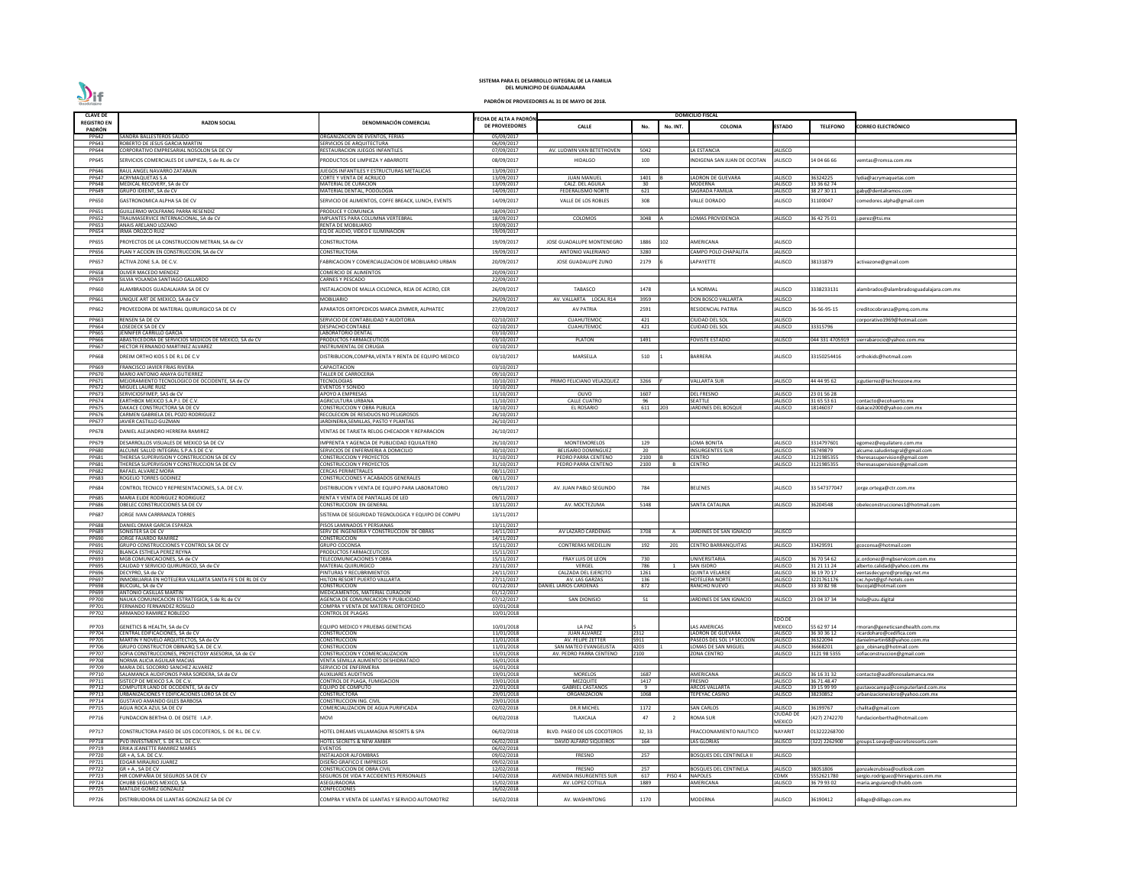| <b>CLAVE DE</b>       |                                                                                          |                                                                   |                                          |                                       |              |              | <b>DOMICILIO FISCAL</b>                   |                                  |                            |                                                              |
|-----------------------|------------------------------------------------------------------------------------------|-------------------------------------------------------------------|------------------------------------------|---------------------------------------|--------------|--------------|-------------------------------------------|----------------------------------|----------------------------|--------------------------------------------------------------|
| <b>REGISTRO EN</b>    | <b>RAZON SOCIAL</b>                                                                      | DENOMINACIÓN COMERCIAL                                            | FECHA DE ALTA A PADRÓN<br>DE PROVEEDORES | CALLE                                 | No.          | No. INT.     | <b>COLONIA</b>                            | <b>ESTADO</b>                    | <b>TELEFONO</b>            | <b>CORREO ELECTRÓNICO</b>                                    |
| <b>PADRÓN</b>         |                                                                                          |                                                                   |                                          |                                       |              |              |                                           |                                  |                            |                                                              |
| PP642                 | SANDRA BALLESTEROS SALIDO                                                                | ORGANIZACION DE EVENTOS, FERIAS                                   | 05/09/2017                               |                                       |              |              |                                           |                                  |                            |                                                              |
| PP643<br>PP644        | ROBERTO DE JESUS GARCIA MARTIN<br>CORPORATIVO EMPRESARIAL NOSOLON SA DE CV               | SERVICIOS DE ARQUITECTURA<br>RESTAURACION JUEGOS INFANTILES       | 06/09/2017<br>07/09/2017                 | AV. LUDWIN VAN BETETHOVEN             | 5042         |              | LA ESTANCIA                               | <b>JALISCO</b>                   |                            |                                                              |
|                       |                                                                                          |                                                                   |                                          |                                       |              |              |                                           |                                  |                            |                                                              |
| PP645                 | SERVICIOS COMERCIALES DE LIMPIEZA, S de RL de CV                                         | PRODUCTOS DE LIMPIEZA Y ABARROTE                                  | 08/09/2017                               | <b>HIDALGO</b>                        | 100          |              | INDIGENA SAN JUAN DE OCOTAN               | JALISCO                          | 14 04 66 66                | /emtas@romsa.com.mx                                          |
| PP646                 | RAUL ANGEL NAVARRO ZATARAIN                                                              | JUEGOS INFANTILES Y ESTRUCTURAS METALICAS                         | 13/09/2017                               |                                       |              |              |                                           |                                  |                            |                                                              |
| PP647                 | ACRYMAQUETAS S.A                                                                         | CORTE Y VENTA DE ACRILICO                                         | 13/09/2017                               | <b>JUAN MANUEL</b>                    | 1401         |              | LADRON DE GUEVARA                         | JALISCO                          | 36324225                   | ydia@acrymaquetas.com                                        |
| PP648<br>PP649        | MEDICAL RECOVERY, SA de CV<br>GRUPO IDEENT, SA de CV                                     | <b>MATERIAL DE CURACION</b><br>MATERIAL DENTAL, PODOLOGIA         | 13/09/2017<br>14/09/2017                 | CALZ. DEL AGUILA<br>FEDERALISMO NORTE | 30<br>621    |              | <b>MODERNA</b><br>SAGRADA FAMILIA         | <b>JALISCO</b><br>JALISCO        | 33 36 62 74<br>38 27 30 11 | gaby@dentalramos.com                                         |
|                       |                                                                                          |                                                                   |                                          |                                       |              |              |                                           |                                  |                            |                                                              |
| PP650                 | GASTRONOMICA ALPHA SA DE CV                                                              | SERVICIO DE ALIMENTOS, COFFE BREACK, LUNCH, EVENTS                | 14/09/2017                               | VALLE DE LOS ROBLES                   | 308          |              | VALLE DORADO                              | JALISCO                          | 1100047                    | omedores.alpha@gmail.com                                     |
| PP651                 | GUILLERMO WOLFRANG PARRA RESENDIZ                                                        | PRODUCE Y COMUNICA                                                | 18/09/2017                               |                                       |              |              |                                           |                                  |                            |                                                              |
| PP652                 | TRAUMASERVICE INTERNACIONAL, SA de CV                                                    | IMPLANTES PARA COLUMNA VERTEBRAL                                  | 18/09/2017                               | COLOMOS                               | 3048         |              | LOMAS PROVIDENCIA                         | <b>JALISCO</b>                   | 36 42 75 01                | .perez@tsi.mx                                                |
| PP653                 | ANAIS ARELANO LOZANO                                                                     | RENTA DE MOBILIARIO                                               | 19/09/2017                               |                                       |              |              |                                           |                                  |                            |                                                              |
| PP654                 | IRMA OROZCO RUIZ                                                                         | EQ DE AUDIO, VIDEO E ILUMINACION                                  | 19/09/2017                               |                                       |              |              |                                           |                                  |                            |                                                              |
| PP655                 | PROYECTOS DE LA CONSTRUCCION METRAN, SA de CV                                            | CONSTRUCTORA                                                      | 19/09/2017                               | JOSE GUADALUPE MONTENEGRO             | 1886         | 102          | AMERICANA                                 | JALISCO                          |                            |                                                              |
| PP656                 | PLAN Y ACCION EN CONSTRUCCION, SA de CV                                                  | CONSTRUCTORA                                                      | 19/09/2017                               | ANTONIO VALERIANO                     | 3280         |              | CAMPO POLO CHAPALITA                      | <b>JALISCO</b>                   |                            |                                                              |
|                       |                                                                                          |                                                                   |                                          |                                       |              |              |                                           |                                  |                            |                                                              |
| PP657                 | ACTIVA ZONE S.A. DE C.V.                                                                 | ABRICACION Y COMERCIALIZACION DE MOBILIARIO URBAN                 | 20/09/2017                               | JOSE GUADALUPE ZUNO                   | 2179         |              | LAPAYETTE                                 | JALISCO                          | 38131879                   | activazone@gmail.com                                         |
| <b>PP658</b>          | OLIVER MACEDO MENDEZ                                                                     | COMERCIO DE ALIMENTOS                                             | 20/09/2017                               |                                       |              |              |                                           |                                  |                            |                                                              |
| PP659                 | SILVIA YOLANDA SANTIAGO GALLARDO                                                         | CARNES Y PESCADO                                                  | 22/09/2017                               |                                       |              |              |                                           |                                  |                            |                                                              |
| PP660                 | ALAMBRADOS GUADALAJARA SA DE CV                                                          | INSTALACION DE MALLA CICLONICA, REJA DE ACERO, CER                | 26/09/2017                               | TABASCO                               | 1478         |              | LA NORMAL                                 | JALISCO                          | 3338233131                 | alambrados@alambradosguadalajara.com.mx                      |
| PP661                 | UNIQUE ART DE MEXICO, SA de CV                                                           | <b>MOBILIARIO</b>                                                 | 26/09/2017                               | AV. VALLARTA LOCAL R14                | 3959         |              | <b>DON BOSCO VALLARTA</b>                 | <b>JALISCO</b>                   |                            |                                                              |
|                       |                                                                                          |                                                                   |                                          |                                       |              |              |                                           |                                  |                            |                                                              |
| PP662                 | PROVEEDORA DE MATERIAL QUIRURGICO SA DE CV                                               | APARATOS ORTOPEDICOS MARCA ZIMMER, ALPHATEC                       | 27/09/2017                               | <b>AV PATRIA</b>                      | 2591         |              | RESIDENCIAL PATRIA                        | <b>JALISCO</b>                   | 36-56-95-15                | :reditocobranza@pmq.com.mx                                   |
| PP663                 | RENSEN SA DE CV                                                                          | SERVICIO DE CONTABILIDAD Y AUDITORIA                              | 02/10/2017                               | <b>CUAHUTEMOC</b>                     | 421          |              | CIUDAD DEL SOL                            | <b>JALISCO</b>                   |                            | corporativo1969@hotmail.com                                  |
| PP664                 | LOSEDECK SA DE CV                                                                        | <b>DESPACHO CONTABLE</b>                                          | 02/10/2017                               | <b>CUAHUTEMOC</b>                     | 421          |              | UIDAD DEL SOL                             | <b>JALISCO</b>                   | 33315796                   |                                                              |
| <b>PP665</b><br>PP666 | <b>IENNIFER CARRILLO GARCIA</b><br>ABASTECEDORA DE SERVICIOS MEDICOS DE MEXICO, SA de CV | LABORATORIO DENTAL<br>PRODUCTOS FARMACEUTICOS                     | 03/10/2017<br>03/10/2017                 | <b>PLATON</b>                         | 1491         |              | <b>FOVISTE ESTADIO</b>                    | <b>JALISCO</b>                   |                            |                                                              |
| PP667                 | HECTOR FERNANDO MARTINEZ ALVAREZ                                                         | INSTRUMENTAL DE CIRUGIA                                           | 03/10/2017                               |                                       |              |              |                                           |                                  |                            | 044 331 4705919 sierrabarocio@yahoo.com.mx                   |
|                       |                                                                                          |                                                                   |                                          |                                       |              |              |                                           |                                  |                            |                                                              |
| PP668                 | DREIM ORTHO KIDS S DE R.L DE C.V                                                         | DISTRIBUCION, COMPRA, VENTA Y RENTA DE EQUIPO MEDICO              | 03/10/2017                               | MARSELLA                              | 510          |              | BARRERA                                   | JALISCO                          | 33150254416                | orthokids@hotmail.com                                        |
| PP669                 | FRANCISCO JAVIER FRIAS RIVERA                                                            | CAPACITACION                                                      | 03/10/2017                               |                                       |              |              |                                           |                                  |                            |                                                              |
| PP670                 | MARIO ANTONIO ANAYA GUTIERREZ                                                            | ALLER DE CARROCERIA                                               | 09/10/2017                               |                                       |              |              |                                           |                                  |                            |                                                              |
| PP671                 | MEJORAMIENTO TECNOLOGICO DE OCCIDENTE, SA de CV                                          | <b>ECNOLOGIAS</b>                                                 | 10/10/2017                               | PRIMO FELICIANO VELAZQUEZ             | 3266         |              | <b>VALLARTA SUR</b>                       | <b>JALISCO</b>                   | 44 44 95 62                | cgutierrez@technozone.mx                                     |
| PP672                 | MIGUEL LAURE RUIZ                                                                        | EVENTOS Y SONIDO                                                  | 10/10/2017                               |                                       |              |              |                                           |                                  |                            |                                                              |
| PP673<br>PP674        | SERVICIOSFIMEP, SAS de CV<br>EARTHBOX MEXICO S.A.P.I. DE C.V.                            | APOYO A EMPRESAS<br>AGRICULTURA URBANA                            | 11/10/2017<br>11/10/2017                 | OLIVO<br><b>CALLE CUATRO</b>          | 1607<br>96   |              | <b>DEL FRESNO</b><br>SEATTLE              | <b>JALISCO</b><br>JALISCO        | 23 01 56 28<br>31 65 53 61 | contacto@ecohuerto.mx                                        |
| PP675                 | DAKACE CONSTRUCTORA SA DE CV                                                             | <b>CONSTRUCCION Y OBRA PUBLICA</b>                                | 18/10/2017                               | <b>EL ROSARIO</b>                     | 611          | 203          | <b>JARDINES DEL BOSQUE</b>                | <b>JALISCO</b>                   | 18146037                   | dakace2000@yahoo.com.mx                                      |
| PP676                 | CARMEN GABRIELA DEL POZO RODRIGUEZ                                                       | RECOLECION DE RESIDUOS NO PELIGROSOS                              | 26/10/2017                               |                                       |              |              |                                           |                                  |                            |                                                              |
| PP677                 | <b>JAVIER CASTILLO GUZMAN</b>                                                            | JARDINERIA, SEMILLAS, PASTO Y PLANTAS                             | 26/10/2017                               |                                       |              |              |                                           |                                  |                            |                                                              |
| PP678                 | DANIEL ALEJANDRO HERRERA RAMIREZ                                                         | ENTAS DE TARJETA RELOG CHECADOR Y REPARACION                      | 26/10/2017                               |                                       |              |              |                                           |                                  |                            |                                                              |
|                       |                                                                                          |                                                                   |                                          |                                       |              |              |                                           |                                  |                            |                                                              |
| PP679                 | DESARROLLOS VISUALES DE MEXICO SA DE CV                                                  | MPRENTA Y AGENCIA DE PUBLICIDAD EQUILATERO                        | 26/10/2017                               | MONTEMORELOS                          | 129          |              | OMA BONITA                                | <b>JALISCO</b>                   | 3314797601                 | egomez@equilatero.com.mx                                     |
| PP680                 | ALCUME SALUD INTEGRAL S.P.A.S DE C.V                                                     | SERVICIOS DE ENFERMERIA A DOMICILIO                               | 30/10/2017                               | BELISARIO DOMINGUEZ                   | 20           |              | INSURGENTES SUF                           | JALISCO                          | 16749879                   | alcume.saludintegral@gmail.com                               |
| PP681<br>PP681        | THERESA SUPERVISION Y CONSTRUCCION SA DE CV                                              | <b>CONSTRUCCION Y PROYECTOS</b>                                   | 31/10/2017                               | PEDRO PARRA CENTENO                   | 2100<br>2100 |              | CENTRO<br><b>CENTRO</b>                   | <b>JALISCO</b><br><b>JALISCO</b> | 3121985355                 | theresasupervision@gmail.com                                 |
| PP682                 | THERESA SUPERVISION Y CONSTRUCCION SA DE CV<br>RAFAEL ALVAREZ MORA                       | <b>CONSTRUCCION Y PROYECTOS</b><br><b>CERCAS PERIMETRALES</b>     | 31/10/2017<br>08/11/2017                 | PEDRO PARRA CENTENO                   |              |              |                                           |                                  | 3121985355                 | theresasupervision@gmail.com                                 |
| PP683                 | ROGELIO TORRES GODINEZ                                                                   | CONSTRUCCIONES Y ACABADOS GENERALES                               | 08/11/2017                               |                                       |              |              |                                           |                                  |                            |                                                              |
| PP684                 |                                                                                          |                                                                   |                                          | AV. JUAN PABLO SEGUNDO                | 784          |              |                                           | <b>IALISCO</b>                   |                            |                                                              |
|                       | CONTROL TECNICO Y REPRESENTACIONES, S.A. DE C.V.                                         | DISTRIBUCION Y VENTA DE EQUIPO PARA LABORATORIO                   | 09/11/2017                               |                                       |              |              | BELENES                                   |                                  | 33 547377047               | orge.ortega@ctr.com.mx                                       |
| <b>PP685</b>          | MARIA ELIDE RODRIGUEZ RODRIGUEZ                                                          | RENTA Y VENTA DE PANTALLAS DE LED                                 | 09/11/2017                               |                                       |              |              |                                           |                                  |                            |                                                              |
| <b>PP686</b>          | OBELEC CONSTRUCCIONES SA DE CV                                                           | CONSTRUCCION EN GENERAL                                           | 13/11/2017                               | AV. MOCTEZUMA                         | 5148         |              | <b>SANTA CATALINA</b>                     | <b>JALISCO</b>                   | 36204548                   | bbeleconstrucciones1@hotmail.com                             |
| PP687                 | <b>JORGE IVAN CARRRANZA TORRES</b>                                                       | SISTEMA DE SEGURIDAD TEGNOLOGICA Y EQUIPO DE COMPU                | 13/11/2017                               |                                       |              |              |                                           |                                  |                            |                                                              |
| <b>PP688</b>          | DANIEL OMAR GARCIA ESPARZA                                                               | PISOS LAMINADOS Y PERSIANAS                                       | 13/11/2017                               |                                       |              |              |                                           |                                  |                            |                                                              |
| PP689                 | SONISTER SA DE CV                                                                        | SERV DE INGENIERIA Y CONSTRUCCION DE OBRAS                        | 14/11/2017                               | AV LAZARO CARDENAS                    | 3708         | A            | JARDINES DE SAN IGNACIO                   | JALISCO                          |                            |                                                              |
| PP690                 | <b>JORGE FAJARDO RAMIREZ</b>                                                             | <b>CONSTRUCCION</b>                                               | 14/11/2017                               |                                       |              |              |                                           |                                  |                            |                                                              |
| PP691                 | GRUPO CONSTRUCCIONES Y CONTROL SA DE CV                                                  | <b>GRUPO COCONSA</b>                                              | 15/11/2017                               | <b>CONTRERAS MEDELLIN</b>             | 192          | 201          | <b>CENTRO BARRANQUITAS</b>                | <b>JALISCO</b>                   | 33429591                   | gcoconsa@hotmail.com                                         |
| PP692                 | BLANCA ESTHELA PEREZ REYNA                                                               | <b>PRODUCTOS FARMACEUTICOS</b>                                    | 15/11/2017                               |                                       |              |              |                                           |                                  |                            |                                                              |
| PP693<br>PP695        | MGB COMUNICACIONES. SA de CV<br>CALIDAD Y SERVICIO QUIRURGICO. SA de CV                  | <b>FELECOMUNICACIONES Y OBRA</b><br><b>MATERIAL QUIRURGICO</b>    | 15/11/2017<br>23/11/2017                 | FRAY LUIS DE LEON<br>VERGEL           | 730<br>786   | $\mathbf{1}$ | <b>JNIVERSITARIA</b><br><b>SAN ISIDRO</b> | <b>JALISCO</b><br><b>JALISCO</b> | 36 70 54 62<br>31 21 11 24 | c.ordonez@mgbservicom.com.mx<br>alberto.calidad@yahoo.com.mx |
| PP696                 | DECYPRO, SA de CV                                                                        | PINTURAS Y RECUBRIMIENTOS                                         | 24/11/2017                               | CALZADA DEL EJERCITO                  | 1261         |              | <b>QUINTA VELARDE</b>                     | <b>JALISCO</b>                   | 36 19 70 17                | /entasdecypro@prodigy.net.mx                                 |
| PP697                 | INMOBILIARIA EN HOTELERIA VALLARTA SANTA FE S DE RL DE CV                                | HILTON RESORT PUERTO VALLARTA                                     | 27/11/2017                               | AV. LAS GARZAS                        | 136          |              | <b>HOTELERA NORTI</b>                     | <b>JALISCO</b>                   | 3221761176                 | :xc.hpvt@gsf-hotels.com                                      |
| <b>PP698</b>          | BUCOJAL, SA de CV                                                                        | <b>CONSTRUCCION</b>                                               | 01/12/2017                               | DANIEL LARIOS CARDENAS                | 872          |              | RANCHO NUEVO                              | <b>IALISCO</b>                   | 33 30 82 98                | oucojal@hotmail.com                                          |
| PP699                 | ANTONIO CASILLAS MARTIN                                                                  | MEDICAMENTOS, MATERIAL CURACION                                   | 01/12/2017                               |                                       |              |              |                                           |                                  |                            |                                                              |
| PP700                 | NAUKA COMUNICACION ESTRATEGICA, S de RL de CV                                            | AGENCIA DE COMUNICACION Y PUBLICIDAD                              | 07/12/2017                               | <b>SAN DIONISIO</b>                   | 51           |              | JARDINES DE SAN IGNACIO                   | <b>JALISCO</b>                   | 23 04 37 34                | hola@uzu.digital                                             |
| PP701                 | FERNANDO FERNANDEZ ROSILLO<br>ARMANDO RAMIREZ ROBLEDO                                    | COMPRA Y VENTA DE MATERIAL ORTOPEDICO<br><b>CONTROL DE PLAGAS</b> | 10/01/2018                               |                                       |              |              |                                           |                                  |                            |                                                              |
| PP702                 |                                                                                          |                                                                   | 10/01/2018                               |                                       |              |              |                                           | EDO.DE                           |                            |                                                              |
| PP703                 | GENETICS & HEALTH, SA de CV                                                              | <b>EQUIPO MEDICO Y PRUEBAS GENETICAS</b>                          | 10/01/2018                               | LA PAZ                                |              |              | LAS AMERICAS                              | <b>MEXICO</b>                    | 55 62 97 14                | moran@geneticsandhealth.com.mx                               |
| PP704                 | CENTRAL EDIFICACIONES, SA de CV                                                          | CONSTRUCCION                                                      | 11/01/2018                               | <b>JUAN ALVAREZ</b>                   | 2312         |              | LADRON DE GUEVARA                         | <b>JALISCO</b>                   | 36 30 36 12                | icardoharo@cedifica.com                                      |
| <b>PP705</b>          | MARTIN Y NOVELO ARQUITECTOS, SA de CV                                                    | CONSTRUCCION                                                      | 11/01/2018                               | AV. FELIPE ZETTER                     | 5911         |              | PASEOS DEL SOL 1ª SECCION                 | <b>JALISCO</b>                   | 36322094                   | danielmartin68@yahoo.com.mx                                  |
| PP706                 | GRUPO CONSTRUCTOR OBINARQ S.A. DE C.V.                                                   | <b>CONSTRUCCION</b>                                               | 11/01/2018                               | SAN MATEO EVANGELISTA                 | 4203         |              | LOMAS DE SAN MIGUEL                       | <b>JALISCO</b>                   | 36668201                   | gco obinarq@hotmail.com                                      |
| PP707                 | SOFIA CONSTRUCCIONES, PROYECTOSY ASESORIA, SA de CV                                      | CONSTRUCCION Y COMERCIALIZACION                                   | 15/01/2018                               | AV. PEDRO PARRA CENTENO               | 2100         |              | ZONA CENTRO                               | <b>JALISCO</b>                   | 3121 98 5355               | sofiaconstruccion@gmail.com                                  |
| <b>PP708</b><br>PP709 | NORMA ALICIA AGUILAR MACIAS<br>MARIA DEL SOCORRO SANCHEZ ALVAREZ                         | VENTA SEMILLA ALIMENTO DESHIDRATADO<br>SERVICIO DE ENFERMERIA     | 16/01/2018<br>16/01/2018                 |                                       |              |              |                                           |                                  |                            |                                                              |
| PP710                 | SALAMANCA AUDIFONOS PARA SORDERA, SA de CV                                               | <b>AUXILIARES AUDITIVOS</b>                                       | 19/01/2018                               | <b>MORELOS</b>                        | 1687         |              | AMERICANA                                 | <b>JALISCO</b>                   | 36 16 31 32                | contacto@audifonosalamanca.mx                                |
| PP711                 | SISTECP DE MEXICO S.A. DE C.V.                                                           | CONTROL DE PLAGA, FUMIGACION                                      | 19/01/2018                               | MEZQUITE                              | 1417         |              | FRESNO                                    | <b>JALISCO</b>                   | 36.71.48.47                |                                                              |
| PP712                 | COMPUTER LAND DE OCCIDENTE, SA de CV                                                     | EQUIPO DE COMPUTO                                                 | 22/01/2018                               | <b>GABRIEL CASTAÑOS</b>               | - 9          |              | <b>ARCOS VALLARTA</b>                     | <b>JALISCO</b>                   | 39 15 99 99                | gustavocampa@computerland.com.mx                             |
| PP713                 | URBANIZACIONES Y EDIFICACIONES LORO SA DE CV                                             | CONSTRUCTORA                                                      | 29/01/2018                               | ORGANIZACION                          | 1068         |              | TEPEYAC CASINO                            | <b>IALISCO</b>                   | 38230852                   | urbanizacionesloro@yahoo.com.mx                              |
| PP714                 | <b>GUSTAVO AMANDO GILES BARBOSA</b>                                                      | CONSTRUCCION ING. CIVIL                                           | 29/01/2018                               |                                       |              |              |                                           |                                  |                            |                                                              |
| PP715                 | AGUA ROCA AZUL SA DE CV                                                                  | COMERCIALIZACION DE AGUA PURIFICADA                               | 02/02/2018                               | <b>DR.R MICHEL</b>                    | 1172         |              | <b>SAN CARLOS</b>                         | <b>JALISCO</b><br>CIUDAD DE      | 36199767                   | halita@gmail.com                                             |
| PP716                 | FUNDACION BERTHA O. DE OSETE I.A.P.                                                      | NOVI                                                              | 06/02/2018                               | TLAXCALA                              | 47           | - 2          | <b>ROMA SUR</b>                           | <b>MEXICO</b>                    | 427) 2742270               | undacionbertha@hotmail.com                                   |
|                       |                                                                                          |                                                                   |                                          |                                       |              |              |                                           |                                  |                            |                                                              |
| PP717                 | CONSTRUCTORA PASEO DE LOS COCOTEROS, S. DE R.L. DE C.V.                                  | HOTEL DREAMS VILLAMAGNA RESORTS & SPA                             | 06/02/2018                               | BLVD. PASEO DE LOS COCOTEROS          | 32, 33       |              | FRACCIONAMIENTO NAUTICO                   | NAYARIT                          | 013222268700               |                                                              |
| <b>PP718</b>          | PVD INVESTMENT, S. DE R.L. DE C.V.                                                       | <b>HOTEL SECRETS &amp; NEW AMBER</b>                              | 06/02/2018                               | DAVID ALFARO SIQUEIROS                | 164          |              | LAS GLORIAS                               | <b>JALISCO</b>                   | (322) 2262900              | roups1.sevpv@secretsresorts.com                              |
| PP719                 | ERIKA JEANETTE RAMIREZ MARES                                                             | <b>EVENTOS</b>                                                    | 06/02/2018                               |                                       |              |              |                                           |                                  |                            |                                                              |
| PP720                 | GR + A, S.A. DE C.V.                                                                     | INSTALADOR ALFOMBRAS                                              | 09/02/2018                               | <b>FRESNO</b>                         | 257          |              | <b>BOSQUES DEL CENTINELA I</b>            | <b>JALISCO</b>                   |                            |                                                              |
| PP721<br>PP722        | <b>EDGAR MIRALRIO JUAREZ</b><br>$GR + A$ . SA DE CV                                      | DISEÑO GRAFICO E IMPRESOS<br>CONSTRUCCION DE OBRA CIVIL           | 09/02/2018<br>12/02/2018                 | FRESNO                                | 257          |              | <b>BOSQUES DEL CENTINELA</b>              | JALISCO                          | 38051806                   | gonzalezrubioa@outlook.com                                   |
| PP723                 | HIR COMPAÑIA DE SEGUROS SA DE CV                                                         | SEGUROS DE VIDA Y ACCIDENTES PERSONALES                           | 14/02/2018                               | AVENIDA INSURGENTES SUR               | 617          | PISO 4       | <b>NAPOLES</b>                            | CDMX                             | 5552621780                 | sergio.rodriguez@hirseguros.com.mx                           |
| PP724                 | CHUBB SEGUROS MEXICO, SA                                                                 | ASEGURADORA                                                       | 15/02/2018                               | AV. LOPEZ COTILLA                     | 1889         |              | AMERICANA                                 | <b>IALISCO</b>                   | 36 79 93 02                | maria.anguiano@chubb.com                                     |
| <b>PP725</b>          | MATILDE GOMEZ GONZALEZ                                                                   | CONFECCIONES                                                      | 16/02/2018                               |                                       |              |              |                                           |                                  |                            |                                                              |
| PP726                 | DISTRIBUIDORA DE LLANTAS GONZALEZ SA DE CV                                               | COMPRA Y VENTA DE LLANTAS Y SERVICIO AUTOMOTRIZ                   | 16/02/2018                               | AV. WASHINTONG                        | 1170         |              | MODERNA                                   | JALISCO                          | 36190412                   | dillago@dillago.com.mx                                       |
|                       |                                                                                          |                                                                   |                                          |                                       |              |              |                                           |                                  |                            |                                                              |